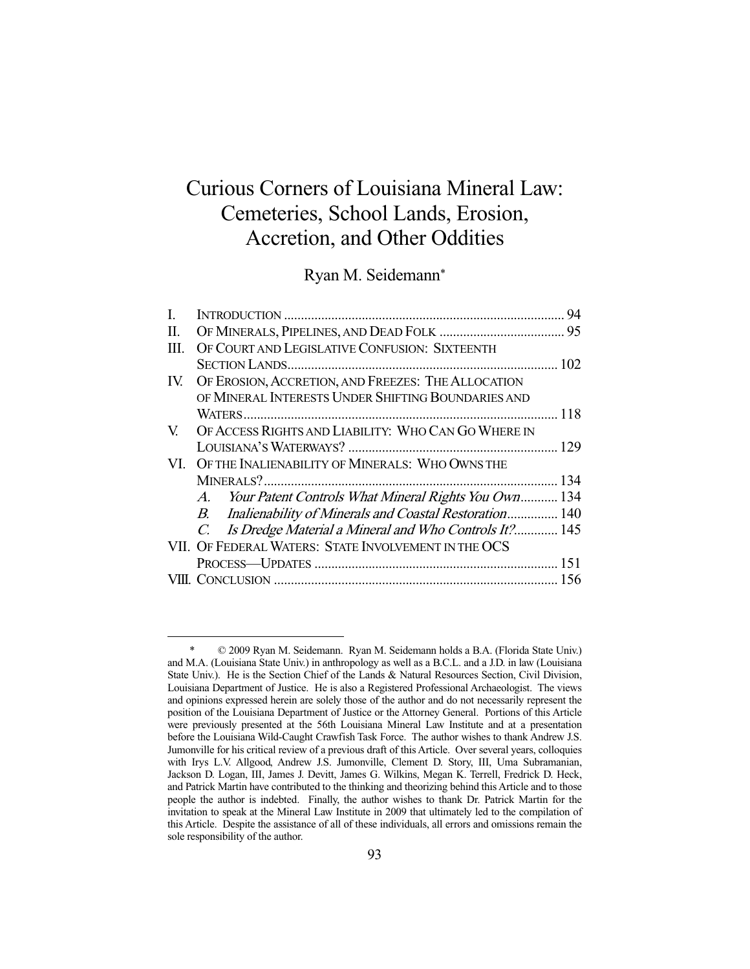# Curious Corners of Louisiana Mineral Law: Cemeteries, School Lands, Erosion, Accretion, and Other Oddities

Ryan M. Seidemann\*

| L. |                                                                      | 94 |
|----|----------------------------------------------------------------------|----|
| П. |                                                                      |    |
| Ш. | OF COURT AND LEGISLATIVE CONFUSION: SIXTEENTH                        |    |
|    |                                                                      |    |
|    | IV. OF EROSION, ACCRETION, AND FREEZES: THE ALLOCATION               |    |
|    | OF MINERAL INTERESTS UNDER SHIFTING BOUNDARIES AND                   |    |
|    |                                                                      |    |
| V. | OF ACCESS RIGHTS AND LIABILITY: WHO CAN GO WHERE IN                  |    |
|    |                                                                      |    |
|    | VI. OF THE INALIENABILITY OF MINERALS: WHO OWNS THE                  |    |
|    |                                                                      |    |
|    | A. Your Patent Controls What Mineral Rights You Own 134              |    |
|    | B. Inalienability of Minerals and Coastal Restoration 140            |    |
|    | Is Dredge Material a Mineral and Who Controls It? 145<br>$C_{\cdot}$ |    |
|    | VII. OF FEDERAL WATERS: STATE INVOLVEMENT IN THE OCS                 |    |
|    |                                                                      |    |
|    |                                                                      |    |

 <sup>\* © 2009</sup> Ryan M. Seidemann. Ryan M. Seidemann holds a B.A. (Florida State Univ.) and M.A. (Louisiana State Univ.) in anthropology as well as a B.C.L. and a J.D. in law (Louisiana State Univ.). He is the Section Chief of the Lands & Natural Resources Section, Civil Division, Louisiana Department of Justice. He is also a Registered Professional Archaeologist. The views and opinions expressed herein are solely those of the author and do not necessarily represent the position of the Louisiana Department of Justice or the Attorney General. Portions of this Article were previously presented at the 56th Louisiana Mineral Law Institute and at a presentation before the Louisiana Wild-Caught Crawfish Task Force. The author wishes to thank Andrew J.S. Jumonville for his critical review of a previous draft of this Article. Over several years, colloquies with Irys L.V. Allgood, Andrew J.S. Jumonville, Clement D. Story, III, Uma Subramanian, Jackson D. Logan, III, James J. Devitt, James G. Wilkins, Megan K. Terrell, Fredrick D. Heck, and Patrick Martin have contributed to the thinking and theorizing behind this Article and to those people the author is indebted. Finally, the author wishes to thank Dr. Patrick Martin for the invitation to speak at the Mineral Law Institute in 2009 that ultimately led to the compilation of this Article. Despite the assistance of all of these individuals, all errors and omissions remain the sole responsibility of the author.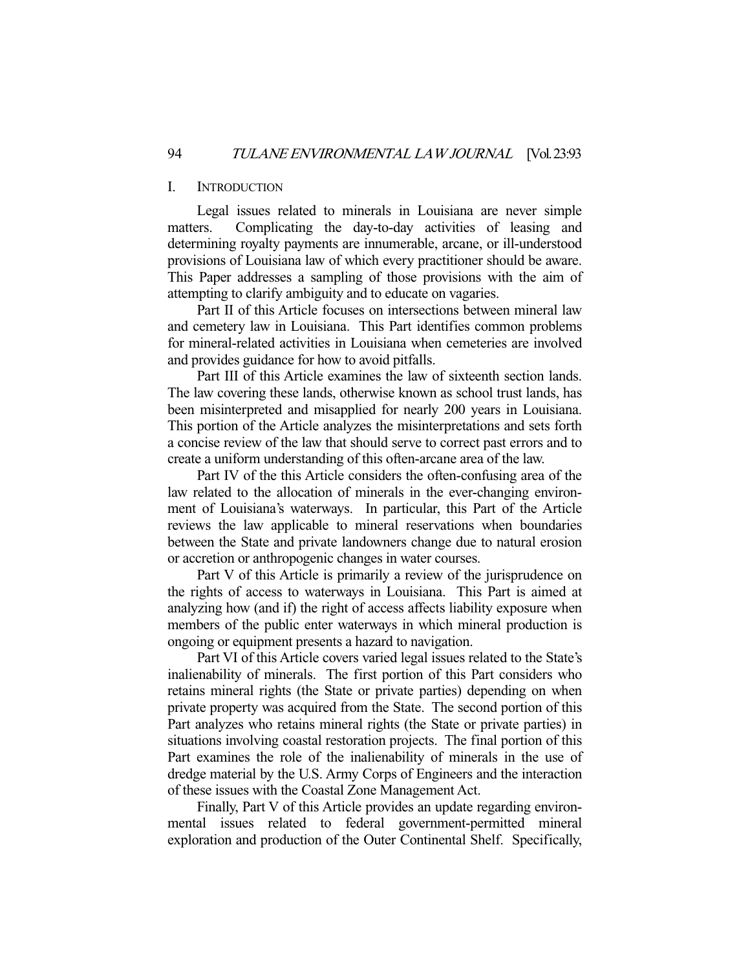## I. INTRODUCTION

 Legal issues related to minerals in Louisiana are never simple matters. Complicating the day-to-day activities of leasing and determining royalty payments are innumerable, arcane, or ill-understood provisions of Louisiana law of which every practitioner should be aware. This Paper addresses a sampling of those provisions with the aim of attempting to clarify ambiguity and to educate on vagaries.

 Part II of this Article focuses on intersections between mineral law and cemetery law in Louisiana. This Part identifies common problems for mineral-related activities in Louisiana when cemeteries are involved and provides guidance for how to avoid pitfalls.

 Part III of this Article examines the law of sixteenth section lands. The law covering these lands, otherwise known as school trust lands, has been misinterpreted and misapplied for nearly 200 years in Louisiana. This portion of the Article analyzes the misinterpretations and sets forth a concise review of the law that should serve to correct past errors and to create a uniform understanding of this often-arcane area of the law.

 Part IV of the this Article considers the often-confusing area of the law related to the allocation of minerals in the ever-changing environment of Louisiana's waterways. In particular, this Part of the Article reviews the law applicable to mineral reservations when boundaries between the State and private landowners change due to natural erosion or accretion or anthropogenic changes in water courses.

 Part V of this Article is primarily a review of the jurisprudence on the rights of access to waterways in Louisiana. This Part is aimed at analyzing how (and if) the right of access affects liability exposure when members of the public enter waterways in which mineral production is ongoing or equipment presents a hazard to navigation.

 Part VI of this Article covers varied legal issues related to the State's inalienability of minerals. The first portion of this Part considers who retains mineral rights (the State or private parties) depending on when private property was acquired from the State. The second portion of this Part analyzes who retains mineral rights (the State or private parties) in situations involving coastal restoration projects. The final portion of this Part examines the role of the inalienability of minerals in the use of dredge material by the U.S. Army Corps of Engineers and the interaction of these issues with the Coastal Zone Management Act.

 Finally, Part V of this Article provides an update regarding environmental issues related to federal government-permitted mineral exploration and production of the Outer Continental Shelf. Specifically,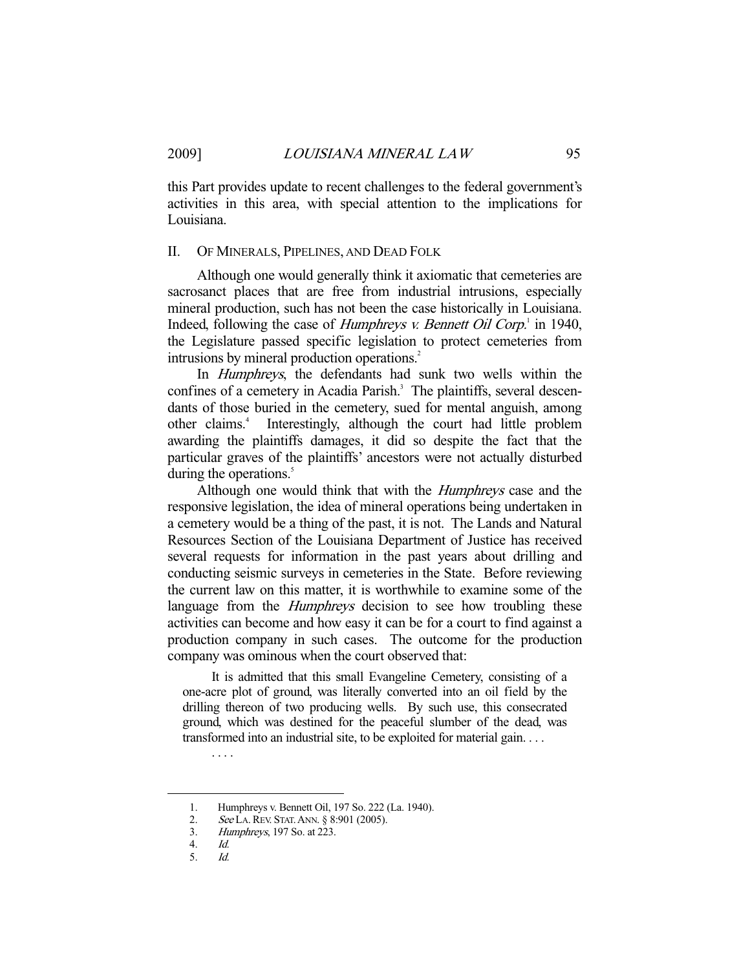this Part provides update to recent challenges to the federal government's activities in this area, with special attention to the implications for Louisiana.

#### II. OF MINERALS, PIPELINES, AND DEAD FOLK

 Although one would generally think it axiomatic that cemeteries are sacrosanct places that are free from industrial intrusions, especially mineral production, such has not been the case historically in Louisiana. Indeed, following the case of *Humphreys v. Bennett Oil Corp*.<sup>1</sup> in 1940, the Legislature passed specific legislation to protect cemeteries from intrusions by mineral production operations.<sup>2</sup>

 In Humphreys, the defendants had sunk two wells within the confines of a cemetery in Acadia Parish.<sup>3</sup> The plaintiffs, several descendants of those buried in the cemetery, sued for mental anguish, among other claims.<sup>4</sup> Interestingly, although the court had little problem awarding the plaintiffs damages, it did so despite the fact that the particular graves of the plaintiffs' ancestors were not actually disturbed during the operations.<sup>5</sup>

Although one would think that with the *Humphreys* case and the responsive legislation, the idea of mineral operations being undertaken in a cemetery would be a thing of the past, it is not. The Lands and Natural Resources Section of the Louisiana Department of Justice has received several requests for information in the past years about drilling and conducting seismic surveys in cemeteries in the State. Before reviewing the current law on this matter, it is worthwhile to examine some of the language from the *Humphreys* decision to see how troubling these activities can become and how easy it can be for a court to find against a production company in such cases. The outcome for the production company was ominous when the court observed that:

 It is admitted that this small Evangeline Cemetery, consisting of a one-acre plot of ground, was literally converted into an oil field by the drilling thereon of two producing wells. By such use, this consecrated ground, which was destined for the peaceful slumber of the dead, was transformed into an industrial site, to be exploited for material gain. . . .

-

. . . .

 <sup>1.</sup> Humphreys v. Bennett Oil, 197 So. 222 (La. 1940).

<sup>2.</sup> See LA. REV. STAT. ANN. § 8:901 (2005).

 <sup>3.</sup> Humphreys, 197 So. at 223.

<sup>4.</sup> *Id.*<br>5. *Id.* 

Id.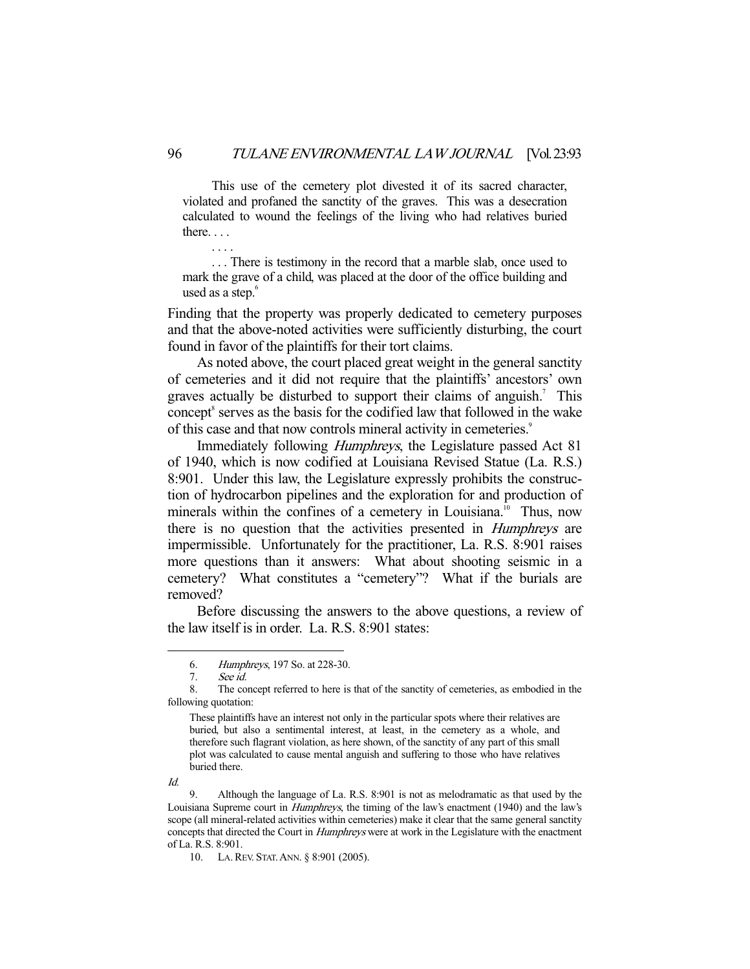This use of the cemetery plot divested it of its sacred character, violated and profaned the sanctity of the graves. This was a desecration calculated to wound the feelings of the living who had relatives buried there. . . .

 . . . There is testimony in the record that a marble slab, once used to mark the grave of a child, was placed at the door of the office building and used as a step.<sup>6</sup>

Finding that the property was properly dedicated to cemetery purposes and that the above-noted activities were sufficiently disturbing, the court found in favor of the plaintiffs for their tort claims.

 As noted above, the court placed great weight in the general sanctity of cemeteries and it did not require that the plaintiffs' ancestors' own graves actually be disturbed to support their claims of anguish.<sup>7</sup> This concept<sup>8</sup> serves as the basis for the codified law that followed in the wake of this case and that now controls mineral activity in cemeteries.<sup>9</sup>

Immediately following *Humphreys*, the Legislature passed Act 81 of 1940, which is now codified at Louisiana Revised Statue (La. R.S.) 8:901. Under this law, the Legislature expressly prohibits the construction of hydrocarbon pipelines and the exploration for and production of minerals within the confines of a cemetery in Louisiana.<sup>10</sup> Thus, now there is no question that the activities presented in Humphreys are impermissible. Unfortunately for the practitioner, La. R.S. 8:901 raises more questions than it answers: What about shooting seismic in a cemetery? What constitutes a "cemetery"? What if the burials are removed?

 Before discussing the answers to the above questions, a review of the law itself is in order. La. R.S. 8:901 states:

Id.

-

. . . .

 <sup>6.</sup> Humphreys, 197 So. at 228-30.

 <sup>7.</sup> See id.

 <sup>8.</sup> The concept referred to here is that of the sanctity of cemeteries, as embodied in the following quotation:

These plaintiffs have an interest not only in the particular spots where their relatives are buried, but also a sentimental interest, at least, in the cemetery as a whole, and therefore such flagrant violation, as here shown, of the sanctity of any part of this small plot was calculated to cause mental anguish and suffering to those who have relatives buried there.

 <sup>9.</sup> Although the language of La. R.S. 8:901 is not as melodramatic as that used by the Louisiana Supreme court in *Humphreys*, the timing of the law's enactment (1940) and the law's scope (all mineral-related activities within cemeteries) make it clear that the same general sanctity concepts that directed the Court in *Humphreys* were at work in the Legislature with the enactment of La. R.S. 8:901.

 <sup>10.</sup> LA.REV. STAT.ANN. § 8:901 (2005).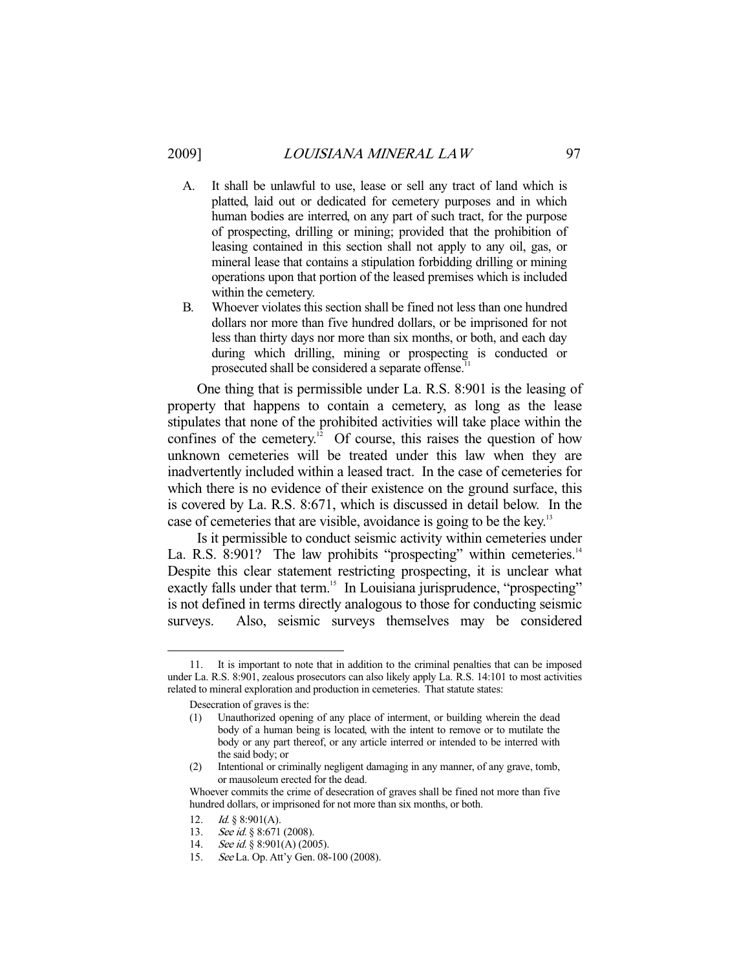- A. It shall be unlawful to use, lease or sell any tract of land which is platted, laid out or dedicated for cemetery purposes and in which human bodies are interred, on any part of such tract, for the purpose of prospecting, drilling or mining; provided that the prohibition of leasing contained in this section shall not apply to any oil, gas, or mineral lease that contains a stipulation forbidding drilling or mining operations upon that portion of the leased premises which is included within the cemetery.
- B. Whoever violates this section shall be fined not less than one hundred dollars nor more than five hundred dollars, or be imprisoned for not less than thirty days nor more than six months, or both, and each day during which drilling, mining or prospecting is conducted or prosecuted shall be considered a separate offense.<sup>1</sup>

 One thing that is permissible under La. R.S. 8:901 is the leasing of property that happens to contain a cemetery, as long as the lease stipulates that none of the prohibited activities will take place within the confines of the cemetery.<sup>12</sup> Of course, this raises the question of how unknown cemeteries will be treated under this law when they are inadvertently included within a leased tract. In the case of cemeteries for which there is no evidence of their existence on the ground surface, this is covered by La. R.S. 8:671, which is discussed in detail below. In the case of cemeteries that are visible, avoidance is going to be the key.<sup>13</sup>

 Is it permissible to conduct seismic activity within cemeteries under La. R.S. 8:901? The law prohibits "prospecting" within cemeteries. $14$ Despite this clear statement restricting prospecting, it is unclear what exactly falls under that term.<sup>15</sup> In Louisiana jurisprudence, "prospecting" is not defined in terms directly analogous to those for conducting seismic surveys. Also, seismic surveys themselves may be considered

 <sup>11.</sup> It is important to note that in addition to the criminal penalties that can be imposed under La. R.S. 8:901, zealous prosecutors can also likely apply La. R.S. 14:101 to most activities related to mineral exploration and production in cemeteries. That statute states:

Desecration of graves is the:

<sup>(1)</sup> Unauthorized opening of any place of interment, or building wherein the dead body of a human being is located, with the intent to remove or to mutilate the body or any part thereof, or any article interred or intended to be interred with the said body; or

<sup>(2)</sup> Intentional or criminally negligent damaging in any manner, of any grave, tomb, or mausoleum erected for the dead.

Whoever commits the crime of desecration of graves shall be fined not more than five hundred dollars, or imprisoned for not more than six months, or both.

<sup>12.</sup> *Id.* § 8:901(A).

<sup>13.</sup> See id. § 8:671 (2008).

<sup>14.</sup> See id. § 8:901(A) (2005).

 <sup>15.</sup> See La. Op. Att'y Gen. 08-100 (2008).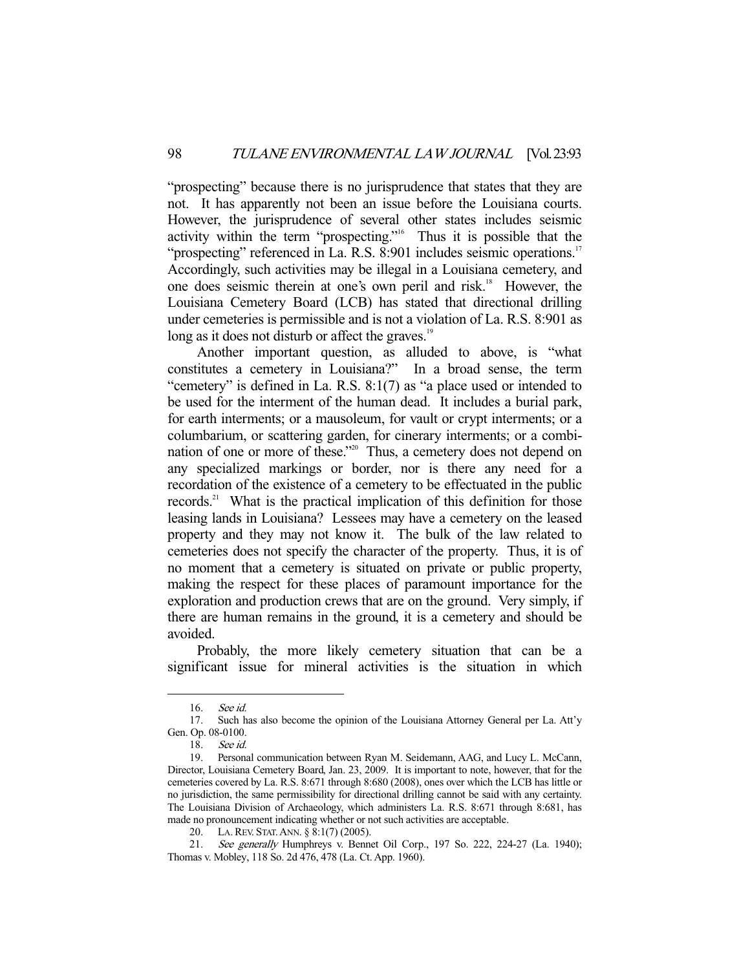"prospecting" because there is no jurisprudence that states that they are not. It has apparently not been an issue before the Louisiana courts. However, the jurisprudence of several other states includes seismic activity within the term "prospecting."16 Thus it is possible that the "prospecting" referenced in La. R.S. 8:901 includes seismic operations.<sup>17</sup> Accordingly, such activities may be illegal in a Louisiana cemetery, and one does seismic therein at one's own peril and risk.<sup>18</sup> However, the Louisiana Cemetery Board (LCB) has stated that directional drilling under cemeteries is permissible and is not a violation of La. R.S. 8:901 as long as it does not disturb or affect the graves.<sup>19</sup>

 Another important question, as alluded to above, is "what constitutes a cemetery in Louisiana?" In a broad sense, the term "cemetery" is defined in La. R.S. 8:1(7) as "a place used or intended to be used for the interment of the human dead. It includes a burial park, for earth interments; or a mausoleum, for vault or crypt interments; or a columbarium, or scattering garden, for cinerary interments; or a combination of one or more of these."20 Thus, a cemetery does not depend on any specialized markings or border, nor is there any need for a recordation of the existence of a cemetery to be effectuated in the public records.<sup>21</sup> What is the practical implication of this definition for those leasing lands in Louisiana? Lessees may have a cemetery on the leased property and they may not know it. The bulk of the law related to cemeteries does not specify the character of the property. Thus, it is of no moment that a cemetery is situated on private or public property, making the respect for these places of paramount importance for the exploration and production crews that are on the ground. Very simply, if there are human remains in the ground, it is a cemetery and should be avoided.

 Probably, the more likely cemetery situation that can be a significant issue for mineral activities is the situation in which

 <sup>16.</sup> See id.

 <sup>17.</sup> Such has also become the opinion of the Louisiana Attorney General per La. Att'y Gen. Op. 08-0100.

 <sup>18.</sup> See id.

 <sup>19.</sup> Personal communication between Ryan M. Seidemann, AAG, and Lucy L. McCann, Director, Louisiana Cemetery Board, Jan. 23, 2009. It is important to note, however, that for the cemeteries covered by La. R.S. 8:671 through 8:680 (2008), ones over which the LCB has little or no jurisdiction, the same permissibility for directional drilling cannot be said with any certainty. The Louisiana Division of Archaeology, which administers La. R.S. 8:671 through 8:681, has made no pronouncement indicating whether or not such activities are acceptable.

 <sup>20.</sup> LA.REV. STAT.ANN. § 8:1(7) (2005).

 <sup>21.</sup> See generally Humphreys v. Bennet Oil Corp., 197 So. 222, 224-27 (La. 1940); Thomas v. Mobley, 118 So. 2d 476, 478 (La. Ct. App. 1960).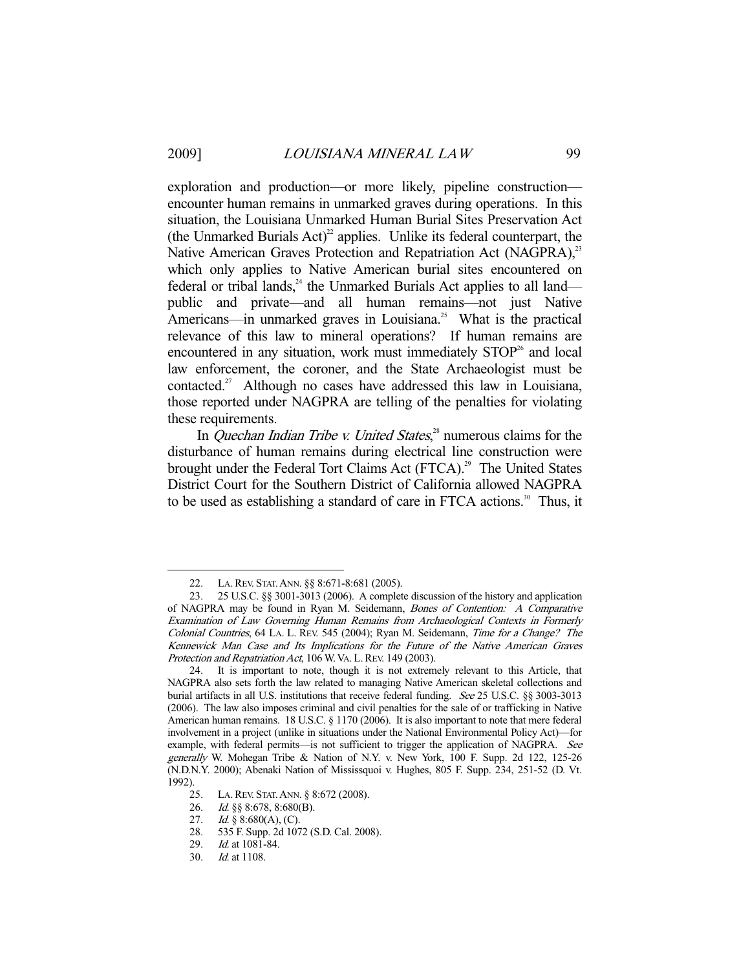-

exploration and production—or more likely, pipeline construction encounter human remains in unmarked graves during operations. In this situation, the Louisiana Unmarked Human Burial Sites Preservation Act (the Unmarked Burials  $Act)^2$  applies. Unlike its federal counterpart, the Native American Graves Protection and Repatriation Act (NAGPRA),<sup>23</sup> which only applies to Native American burial sites encountered on federal or tribal lands, $^{24}$  the Unmarked Burials Act applies to all land public and private—and all human remains—not just Native Americans—in unmarked graves in Louisiana.<sup>25</sup> What is the practical relevance of this law to mineral operations? If human remains are encountered in any situation, work must immediately  $STOP<sup>26</sup>$  and local law enforcement, the coroner, and the State Archaeologist must be contacted.27 Although no cases have addressed this law in Louisiana, those reported under NAGPRA are telling of the penalties for violating these requirements.

In *Quechan Indian Tribe v. United States*,<sup>28</sup> numerous claims for the disturbance of human remains during electrical line construction were brought under the Federal Tort Claims Act (FTCA).<sup>29</sup> The United States District Court for the Southern District of California allowed NAGPRA to be used as establishing a standard of care in FTCA actions.<sup>30</sup> Thus, it

28. 535 F. Supp. 2d 1072 (S.D. Cal. 2008).

 <sup>22.</sup> LA.REV. STAT.ANN. §§ 8:671-8:681 (2005).

 <sup>23. 25</sup> U.S.C. §§ 3001-3013 (2006). A complete discussion of the history and application of NAGPRA may be found in Ryan M. Seidemann, Bones of Contention: A Comparative Examination of Law Governing Human Remains from Archaeological Contexts in Formerly Colonial Countries, 64 LA. L. REV. 545 (2004); Ryan M. Seidemann, Time for a Change? The Kennewick Man Case and Its Implications for the Future of the Native American Graves Protection and Repatriation Act, 106 W. VA. L. REV. 149 (2003).

 <sup>24.</sup> It is important to note, though it is not extremely relevant to this Article, that NAGPRA also sets forth the law related to managing Native American skeletal collections and burial artifacts in all U.S. institutions that receive federal funding. See 25 U.S.C. §§ 3003-3013 (2006). The law also imposes criminal and civil penalties for the sale of or trafficking in Native American human remains. 18 U.S.C. § 1170 (2006). It is also important to note that mere federal involvement in a project (unlike in situations under the National Environmental Policy Act)—for example, with federal permits-is not sufficient to trigger the application of NAGPRA. See generally W. Mohegan Tribe & Nation of N.Y. v. New York, 100 F. Supp. 2d 122, 125-26 (N.D.N.Y. 2000); Abenaki Nation of Mississquoi v. Hughes, 805 F. Supp. 234, 251-52 (D. Vt. 1992).

 <sup>25.</sup> LA.REV. STAT.ANN. § 8:672 (2008).

 <sup>26.</sup> Id. §§ 8:678, 8:680(B).

<sup>27.</sup> Id.  $\S 8:680(A), (C)$ .

 <sup>29.</sup> Id. at 1081-84.

 <sup>30.</sup> Id. at 1108.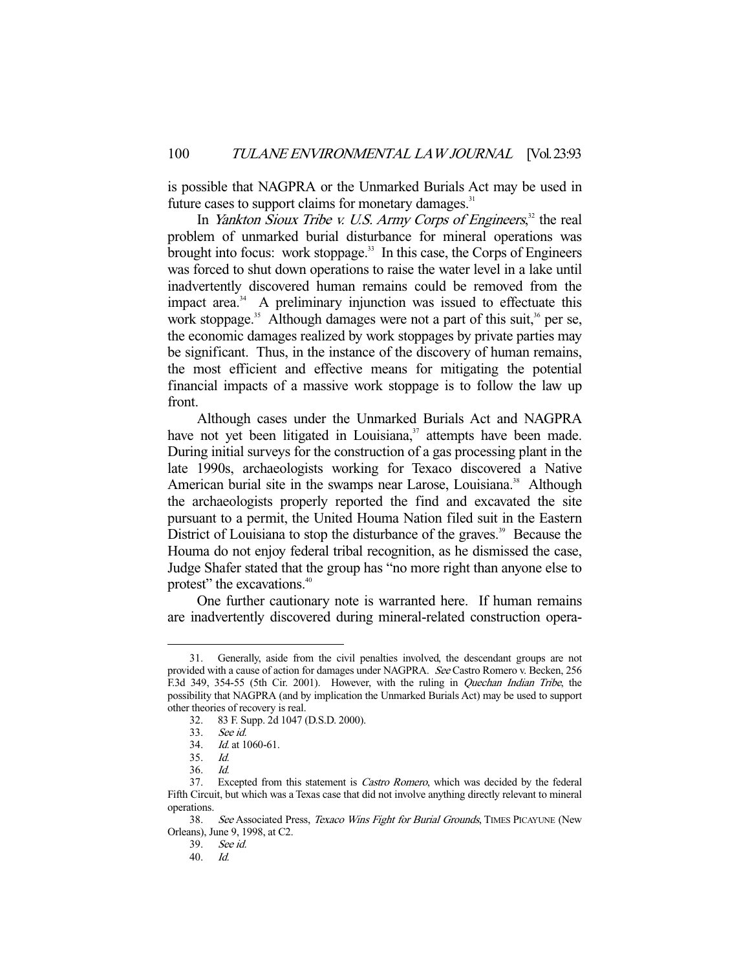is possible that NAGPRA or the Unmarked Burials Act may be used in future cases to support claims for monetary damages.<sup>31</sup>

In *Yankton Sioux Tribe v. U.S. Army Corps of Engineers*,<sup>32</sup> the real problem of unmarked burial disturbance for mineral operations was brought into focus: work stoppage.<sup>33</sup> In this case, the Corps of Engineers was forced to shut down operations to raise the water level in a lake until inadvertently discovered human remains could be removed from the impact area.<sup>34</sup> A preliminary injunction was issued to effectuate this work stoppage.<sup>35</sup> Although damages were not a part of this suit,<sup>36</sup> per se, the economic damages realized by work stoppages by private parties may be significant. Thus, in the instance of the discovery of human remains, the most efficient and effective means for mitigating the potential financial impacts of a massive work stoppage is to follow the law up front.

 Although cases under the Unmarked Burials Act and NAGPRA have not yet been litigated in Louisiana, $37$  attempts have been made. During initial surveys for the construction of a gas processing plant in the late 1990s, archaeologists working for Texaco discovered a Native American burial site in the swamps near Larose, Louisiana.<sup>38</sup> Although the archaeologists properly reported the find and excavated the site pursuant to a permit, the United Houma Nation filed suit in the Eastern District of Louisiana to stop the disturbance of the graves.<sup>39</sup> Because the Houma do not enjoy federal tribal recognition, as he dismissed the case, Judge Shafer stated that the group has "no more right than anyone else to protest" the excavations.<sup>40</sup>

 One further cautionary note is warranted here. If human remains are inadvertently discovered during mineral-related construction opera-

 <sup>31.</sup> Generally, aside from the civil penalties involved, the descendant groups are not provided with a cause of action for damages under NAGPRA. See Castro Romero v. Becken, 256 F.3d 349, 354-55 (5th Cir. 2001). However, with the ruling in Quechan Indian Tribe, the possibility that NAGPRA (and by implication the Unmarked Burials Act) may be used to support other theories of recovery is real.

 <sup>32. 83</sup> F. Supp. 2d 1047 (D.S.D. 2000).

<sup>33.</sup> *See id.*<br>34. *Id.* at 1 Id. at 1060-61.

 <sup>35.</sup> Id.

 <sup>36.</sup> Id.

 <sup>37.</sup> Excepted from this statement is Castro Romero, which was decided by the federal Fifth Circuit, but which was a Texas case that did not involve anything directly relevant to mineral operations.

<sup>38.</sup> See Associated Press, Texaco Wins Fight for Burial Grounds, TIMES PICAYUNE (New Orleans), June 9, 1998, at C2.

 <sup>39.</sup> See id.

 <sup>40.</sup> Id.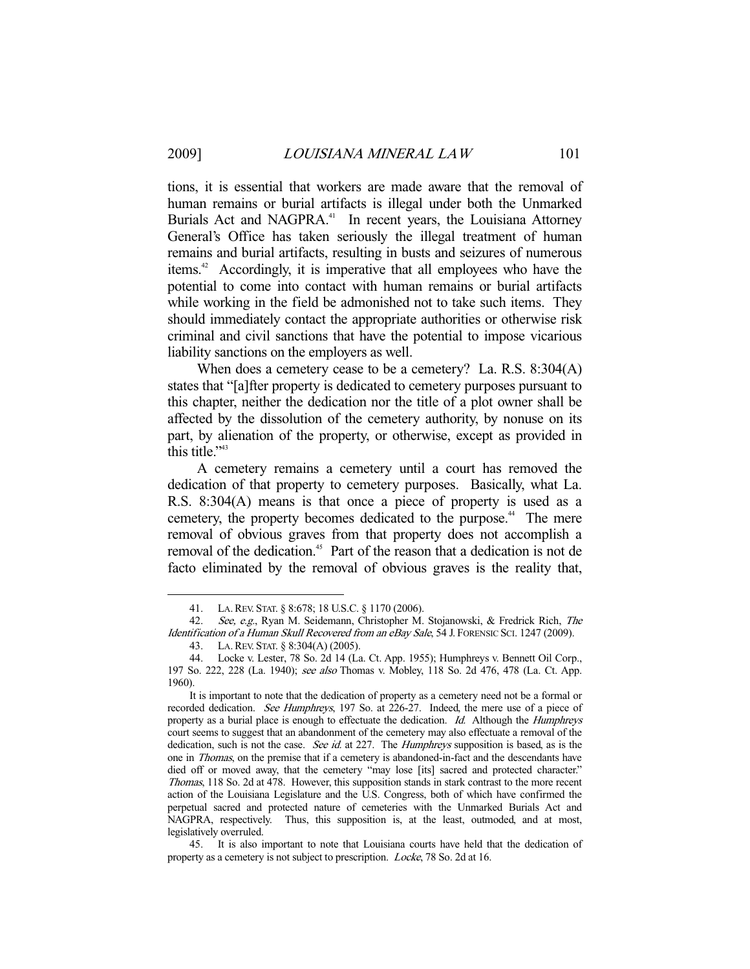-

tions, it is essential that workers are made aware that the removal of human remains or burial artifacts is illegal under both the Unmarked Burials Act and NAGPRA.<sup>41</sup> In recent years, the Louisiana Attorney General's Office has taken seriously the illegal treatment of human remains and burial artifacts, resulting in busts and seizures of numerous items.42 Accordingly, it is imperative that all employees who have the potential to come into contact with human remains or burial artifacts while working in the field be admonished not to take such items. They should immediately contact the appropriate authorities or otherwise risk criminal and civil sanctions that have the potential to impose vicarious liability sanctions on the employers as well.

When does a cemetery cease to be a cemetery? La. R.S. 8:304(A) states that "[a]fter property is dedicated to cemetery purposes pursuant to this chapter, neither the dedication nor the title of a plot owner shall be affected by the dissolution of the cemetery authority, by nonuse on its part, by alienation of the property, or otherwise, except as provided in this title."<sup>43</sup>

 A cemetery remains a cemetery until a court has removed the dedication of that property to cemetery purposes. Basically, what La. R.S. 8:304(A) means is that once a piece of property is used as a cemetery, the property becomes dedicated to the purpose.<sup>44</sup> The mere removal of obvious graves from that property does not accomplish a removal of the dedication.<sup>45</sup> Part of the reason that a dedication is not de facto eliminated by the removal of obvious graves is the reality that,

 <sup>41.</sup> LA.REV. STAT. § 8:678; 18 U.S.C. § 1170 (2006).

 <sup>42.</sup> See, e.g., Ryan M. Seidemann, Christopher M. Stojanowski, & Fredrick Rich, The Identification of a Human Skull Recovered from an eBay Sale, 54 J. FORENSIC SCI. 1247 (2009).

 <sup>43.</sup> LA.REV. STAT. § 8:304(A) (2005).

 <sup>44.</sup> Locke v. Lester, 78 So. 2d 14 (La. Ct. App. 1955); Humphreys v. Bennett Oil Corp., 197 So. 222, 228 (La. 1940); see also Thomas v. Mobley, 118 So. 2d 476, 478 (La. Ct. App. 1960).

It is important to note that the dedication of property as a cemetery need not be a formal or recorded dedication. See Humphreys, 197 So. at 226-27. Indeed, the mere use of a piece of property as a burial place is enough to effectuate the dedication. Id. Although the Humphreys court seems to suggest that an abandonment of the cemetery may also effectuate a removal of the dedication, such is not the case. See id. at 227. The Humphreys supposition is based, as is the one in *Thomas*, on the premise that if a cemetery is abandoned-in-fact and the descendants have died off or moved away, that the cemetery "may lose [its] sacred and protected character." Thomas, 118 So. 2d at 478. However, this supposition stands in stark contrast to the more recent action of the Louisiana Legislature and the U.S. Congress, both of which have confirmed the perpetual sacred and protected nature of cemeteries with the Unmarked Burials Act and NAGPRA, respectively. Thus, this supposition is, at the least, outmoded, and at most, legislatively overruled.

 <sup>45.</sup> It is also important to note that Louisiana courts have held that the dedication of property as a cemetery is not subject to prescription. Locke, 78 So. 2d at 16.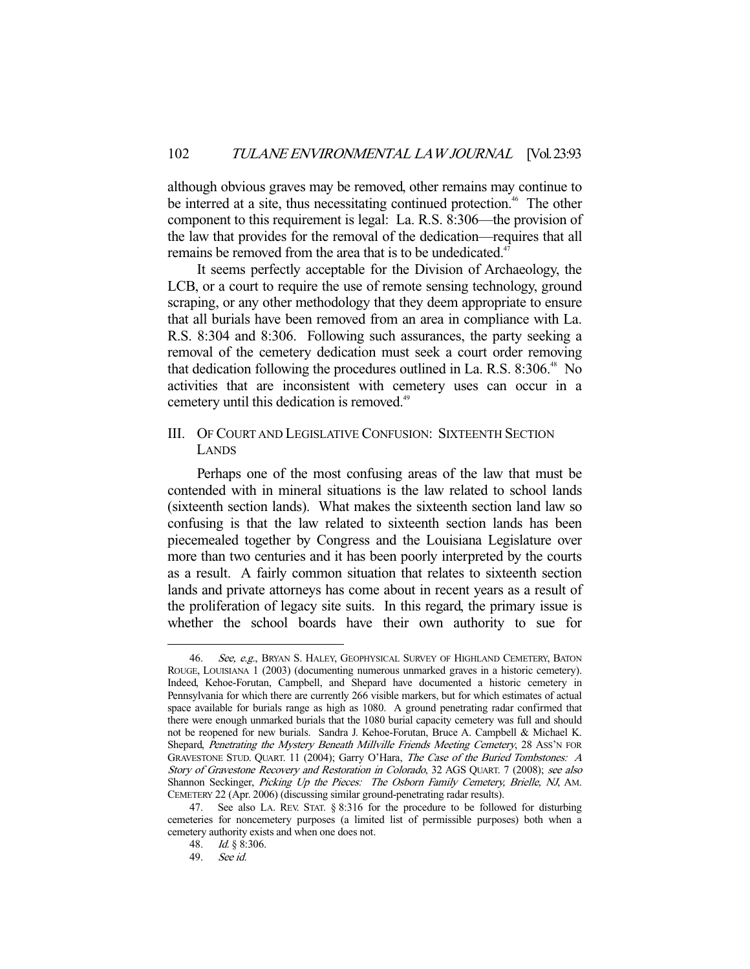although obvious graves may be removed, other remains may continue to be interred at a site, thus necessitating continued protection.<sup>46</sup> The other component to this requirement is legal: La. R.S. 8:306—the provision of the law that provides for the removal of the dedication—requires that all remains be removed from the area that is to be undedicated.<sup>47</sup>

 It seems perfectly acceptable for the Division of Archaeology, the LCB, or a court to require the use of remote sensing technology, ground scraping, or any other methodology that they deem appropriate to ensure that all burials have been removed from an area in compliance with La. R.S. 8:304 and 8:306. Following such assurances, the party seeking a removal of the cemetery dedication must seek a court order removing that dedication following the procedures outlined in La. R.S.  $8:306.^{48}$  No activities that are inconsistent with cemetery uses can occur in a cemetery until this dedication is removed.<sup>49</sup>

# III. OF COURT AND LEGISLATIVE CONFUSION: SIXTEENTH SECTION LANDS

 Perhaps one of the most confusing areas of the law that must be contended with in mineral situations is the law related to school lands (sixteenth section lands). What makes the sixteenth section land law so confusing is that the law related to sixteenth section lands has been piecemealed together by Congress and the Louisiana Legislature over more than two centuries and it has been poorly interpreted by the courts as a result. A fairly common situation that relates to sixteenth section lands and private attorneys has come about in recent years as a result of the proliferation of legacy site suits. In this regard, the primary issue is whether the school boards have their own authority to sue for

<sup>46.</sup> See, e.g., BRYAN S. HALEY, GEOPHYSICAL SURVEY OF HIGHLAND CEMETERY, BATON ROUGE, LOUISIANA 1 (2003) (documenting numerous unmarked graves in a historic cemetery). Indeed, Kehoe-Forutan, Campbell, and Shepard have documented a historic cemetery in Pennsylvania for which there are currently 266 visible markers, but for which estimates of actual space available for burials range as high as 1080. A ground penetrating radar confirmed that there were enough unmarked burials that the 1080 burial capacity cemetery was full and should not be reopened for new burials. Sandra J. Kehoe-Forutan, Bruce A. Campbell & Michael K. Shepard, Penetrating the Mystery Beneath Millville Friends Meeting Cemetery, 28 ASS'N FOR GRAVESTONE STUD. QUART. 11 (2004); Garry O'Hara, The Case of the Buried Tombstones: A Story of Gravestone Recovery and Restoration in Colorado, 32 AGS QUART. 7 (2008); see also Shannon Seckinger, Picking Up the Pieces: The Osborn Family Cemetery, Brielle, NJ, AM. CEMETERY 22 (Apr. 2006) (discussing similar ground-penetrating radar results).

 <sup>47.</sup> See also LA. REV. STAT. § 8:316 for the procedure to be followed for disturbing cemeteries for noncemetery purposes (a limited list of permissible purposes) both when a cemetery authority exists and when one does not.

 <sup>48.</sup> Id. § 8:306.

 <sup>49.</sup> See id.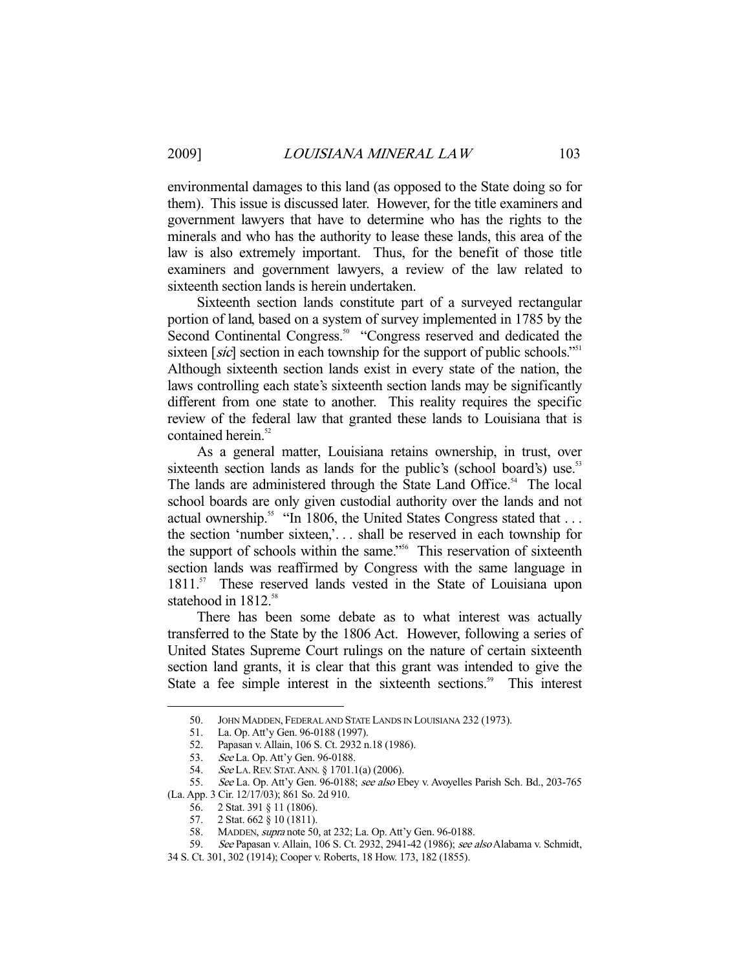environmental damages to this land (as opposed to the State doing so for them). This issue is discussed later. However, for the title examiners and government lawyers that have to determine who has the rights to the minerals and who has the authority to lease these lands, this area of the law is also extremely important. Thus, for the benefit of those title examiners and government lawyers, a review of the law related to sixteenth section lands is herein undertaken.

 Sixteenth section lands constitute part of a surveyed rectangular portion of land, based on a system of survey implemented in 1785 by the Second Continental Congress.<sup>50</sup> "Congress reserved and dedicated the sixteen [sic] section in each township for the support of public schools."<sup>51</sup> Although sixteenth section lands exist in every state of the nation, the laws controlling each state's sixteenth section lands may be significantly different from one state to another. This reality requires the specific review of the federal law that granted these lands to Louisiana that is contained herein.<sup>52</sup>

 As a general matter, Louisiana retains ownership, in trust, over sixteenth section lands as lands for the public's (school board's) use.<sup>53</sup> The lands are administered through the State Land Office.<sup>54</sup> The local school boards are only given custodial authority over the lands and not actual ownership.<sup>55</sup> "In 1806, the United States Congress stated that ... the section 'number sixteen,'. . . shall be reserved in each township for the support of schools within the same."<sup>56</sup> This reservation of sixteenth section lands was reaffirmed by Congress with the same language in 1811.<sup>57</sup> These reserved lands vested in the State of Louisiana upon statehood in 1812.<sup>58</sup>

 There has been some debate as to what interest was actually transferred to the State by the 1806 Act. However, following a series of United States Supreme Court rulings on the nature of certain sixteenth section land grants, it is clear that this grant was intended to give the State a fee simple interest in the sixteenth sections.<sup>59</sup> This interest

 <sup>50.</sup> JOHN MADDEN, FEDERAL AND STATE LANDS IN LOUISIANA 232 (1973).

 <sup>51.</sup> La. Op. Att'y Gen. 96-0188 (1997).

 <sup>52.</sup> Papasan v. Allain, 106 S. Ct. 2932 n.18 (1986).

 <sup>53.</sup> See La. Op. Att'y Gen. 96-0188.

 <sup>54.</sup> See LA.REV. STAT.ANN. § 1701.1(a) (2006).

<sup>55.</sup> See La. Op. Att'y Gen. 96-0188; see also Ebey v. Avoyelles Parish Sch. Bd., 203-765 (La. App. 3 Cir. 12/17/03); 861 So. 2d 910.

 <sup>56. 2</sup> Stat. 391 § 11 (1806).

 <sup>57. 2</sup> Stat. 662 § 10 (1811).

 <sup>58.</sup> MADDEN, supra note 50, at 232; La. Op. Att'y Gen. 96-0188.

 <sup>59.</sup> See Papasan v. Allain, 106 S. Ct. 2932, 2941-42 (1986); see also Alabama v. Schmidt,

<sup>34</sup> S. Ct. 301, 302 (1914); Cooper v. Roberts, 18 How. 173, 182 (1855).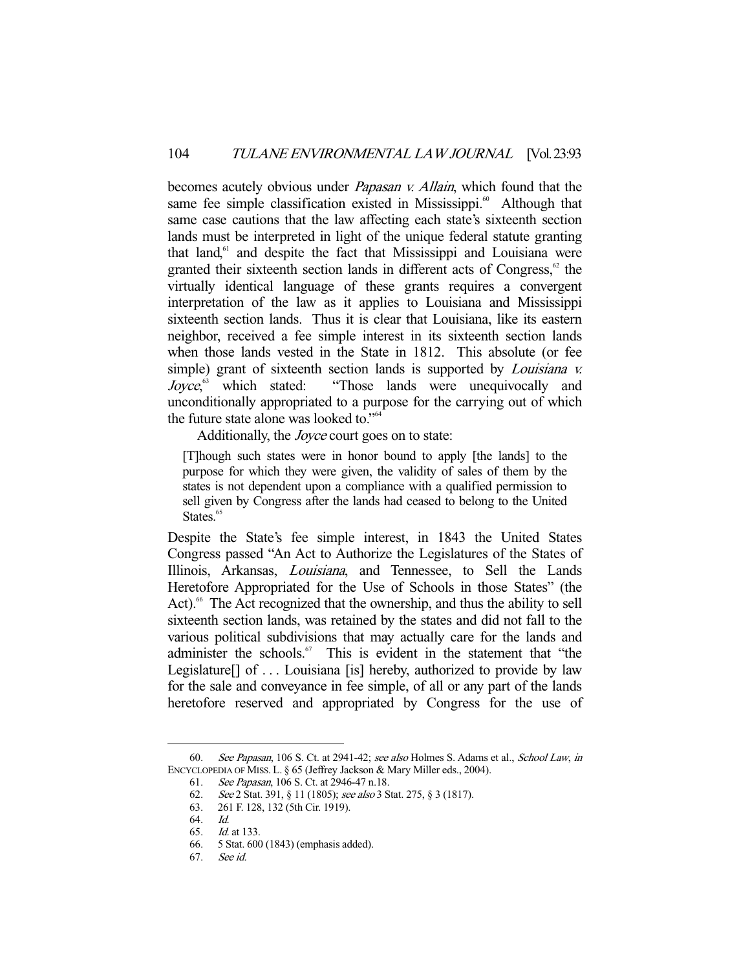becomes acutely obvious under *Papasan v. Allain*, which found that the same fee simple classification existed in Mississippi. $\degree$  Although that same case cautions that the law affecting each state's sixteenth section lands must be interpreted in light of the unique federal statute granting that  $land<sub>61</sub>$  and despite the fact that Mississippi and Louisiana were granted their sixteenth section lands in different acts of Congress, $62$  the virtually identical language of these grants requires a convergent interpretation of the law as it applies to Louisiana and Mississippi sixteenth section lands. Thus it is clear that Louisiana, like its eastern neighbor, received a fee simple interest in its sixteenth section lands when those lands vested in the State in 1812. This absolute (or fee simple) grant of sixteenth section lands is supported by *Louisiana v. Jovce*.<sup>63</sup> which stated: "Those lands were unequivocally and unconditionally appropriated to a purpose for the carrying out of which the future state alone was looked to."<sup>64</sup>

Additionally, the Joyce court goes on to state:

[T]hough such states were in honor bound to apply [the lands] to the purpose for which they were given, the validity of sales of them by the states is not dependent upon a compliance with a qualified permission to sell given by Congress after the lands had ceased to belong to the United States.<sup>65</sup>

Despite the State's fee simple interest, in 1843 the United States Congress passed "An Act to Authorize the Legislatures of the States of Illinois, Arkansas, Louisiana, and Tennessee, to Sell the Lands Heretofore Appropriated for the Use of Schools in those States" (the Act).<sup>66</sup> The Act recognized that the ownership, and thus the ability to sell sixteenth section lands, was retained by the states and did not fall to the various political subdivisions that may actually care for the lands and administer the schools.<sup>67</sup> This is evident in the statement that "the Legislature<sup>[]</sup> of ... Louisiana [is] hereby, authorized to provide by law for the sale and conveyance in fee simple, of all or any part of the lands heretofore reserved and appropriated by Congress for the use of

 <sup>60.</sup> See Papasan, 106 S. Ct. at 2941-42; see also Holmes S. Adams et al., School Law, in ENCYCLOPEDIA OF MISS. L. § 65 (Jeffrey Jackson & Mary Miller eds., 2004).

<sup>61.</sup> See Papasan, 106 S. Ct. at 2946-47 n.18.<br>62. See 2 Stat. 391, § 11 (1805); see also 3 S

<sup>62.</sup> See 2 Stat. 391, § 11 (1805); see also 3 Stat. 275, § 3 (1817). 63. 261 F. 128, 132 (5th Cir. 1919).

 <sup>63. 261</sup> F. 128, 132 (5th Cir. 1919).

 <sup>64.</sup> Id.

 <sup>65.</sup> Id. at 133.

 <sup>66. 5</sup> Stat. 600 (1843) (emphasis added).

 <sup>67.</sup> See id.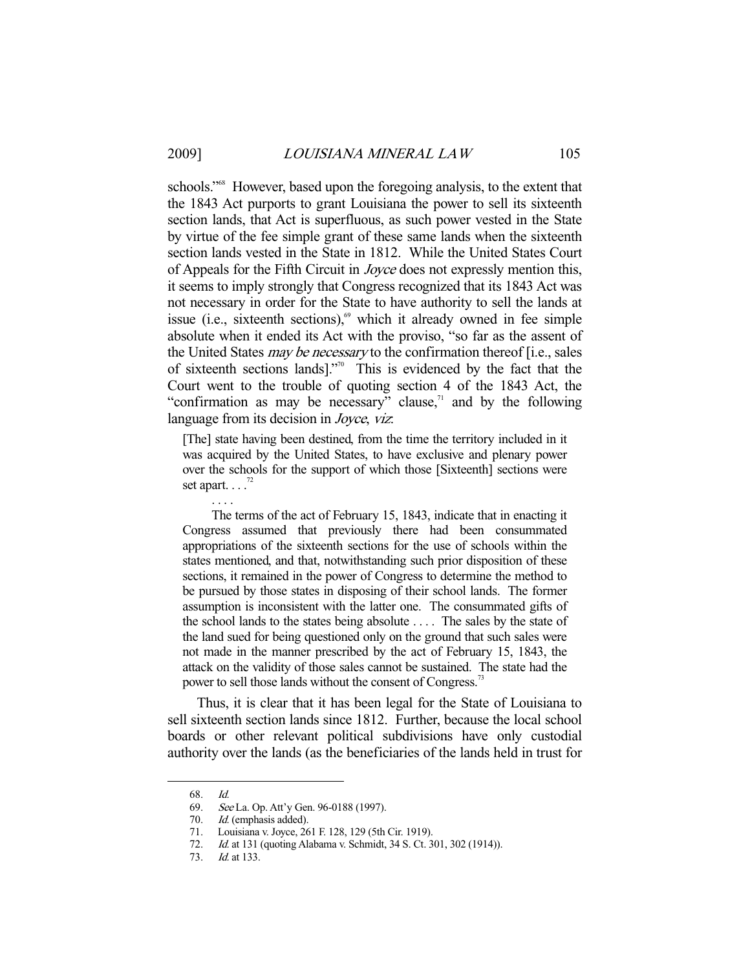schools."<sup>68</sup> However, based upon the foregoing analysis, to the extent that the 1843 Act purports to grant Louisiana the power to sell its sixteenth section lands, that Act is superfluous, as such power vested in the State by virtue of the fee simple grant of these same lands when the sixteenth section lands vested in the State in 1812. While the United States Court of Appeals for the Fifth Circuit in Joyce does not expressly mention this, it seems to imply strongly that Congress recognized that its 1843 Act was not necessary in order for the State to have authority to sell the lands at issue (i.e., sixteenth sections), $6^{\circ}$  which it already owned in fee simple absolute when it ended its Act with the proviso, "so far as the assent of the United States *may be necessary* to the confirmation thereof [i.e., sales of sixteenth sections lands]."70 This is evidenced by the fact that the Court went to the trouble of quoting section 4 of the 1843 Act, the "confirmation as may be necessary" clause, $\frac{1}{1}$  and by the following language from its decision in *Joyce*, viz.

[The] state having been destined, from the time the territory included in it was acquired by the United States, to have exclusive and plenary power over the schools for the support of which those [Sixteenth] sections were set apart.  $\ldots$ <sup>72</sup>

 The terms of the act of February 15, 1843, indicate that in enacting it Congress assumed that previously there had been consummated appropriations of the sixteenth sections for the use of schools within the states mentioned, and that, notwithstanding such prior disposition of these sections, it remained in the power of Congress to determine the method to be pursued by those states in disposing of their school lands. The former assumption is inconsistent with the latter one. The consummated gifts of the school lands to the states being absolute . . . . The sales by the state of the land sued for being questioned only on the ground that such sales were not made in the manner prescribed by the act of February 15, 1843, the attack on the validity of those sales cannot be sustained. The state had the power to sell those lands without the consent of Congress.<sup>73</sup>

 Thus, it is clear that it has been legal for the State of Louisiana to sell sixteenth section lands since 1812. Further, because the local school boards or other relevant political subdivisions have only custodial authority over the lands (as the beneficiaries of the lands held in trust for

-

. . . .

 <sup>68.</sup> Id.

 <sup>69.</sup> See La. Op. Att'y Gen. 96-0188 (1997).

<sup>70.</sup> *Id.* (emphasis added).<br>71. Louisiana v. Joyce, 26 Louisiana v. Joyce, 261 F. 128, 129 (5th Cir. 1919).

 <sup>72.</sup> Id. at 131 (quoting Alabama v. Schmidt, 34 S. Ct. 301, 302 (1914)).

 <sup>73.</sup> Id. at 133.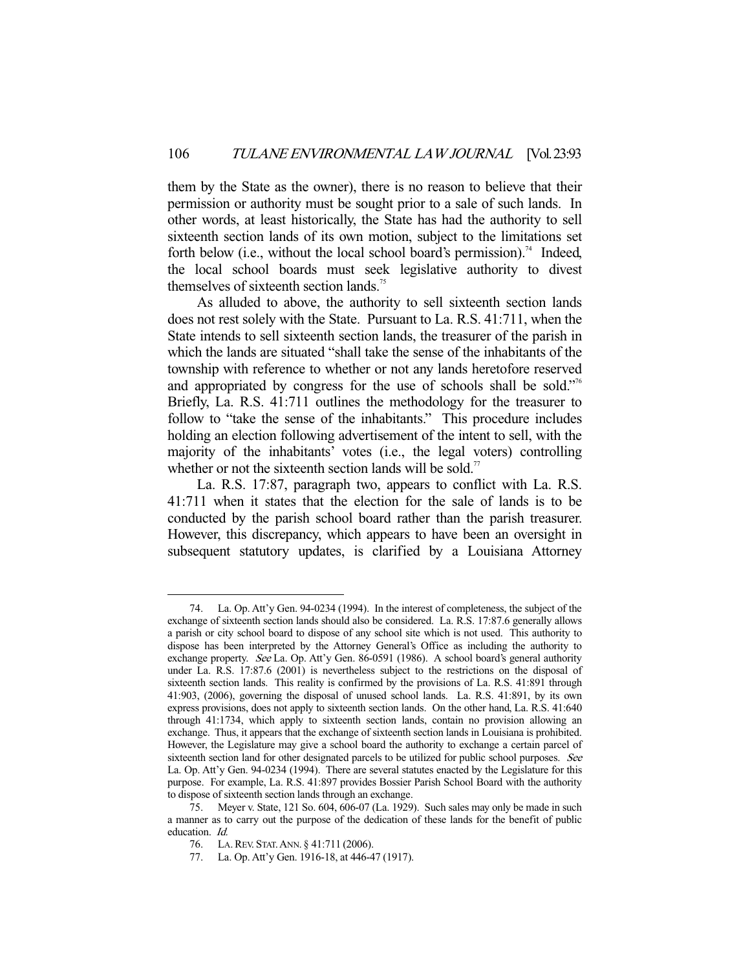them by the State as the owner), there is no reason to believe that their permission or authority must be sought prior to a sale of such lands. In other words, at least historically, the State has had the authority to sell sixteenth section lands of its own motion, subject to the limitations set forth below (i.e., without the local school board's permission).<sup>74</sup> Indeed, the local school boards must seek legislative authority to divest themselves of sixteenth section lands.<sup>75</sup>

 As alluded to above, the authority to sell sixteenth section lands does not rest solely with the State. Pursuant to La. R.S. 41:711, when the State intends to sell sixteenth section lands, the treasurer of the parish in which the lands are situated "shall take the sense of the inhabitants of the township with reference to whether or not any lands heretofore reserved and appropriated by congress for the use of schools shall be sold."<sup>76</sup> Briefly, La. R.S. 41:711 outlines the methodology for the treasurer to follow to "take the sense of the inhabitants." This procedure includes holding an election following advertisement of the intent to sell, with the majority of the inhabitants' votes (i.e., the legal voters) controlling whether or not the sixteenth section lands will be sold.<sup>77</sup>

 La. R.S. 17:87, paragraph two, appears to conflict with La. R.S. 41:711 when it states that the election for the sale of lands is to be conducted by the parish school board rather than the parish treasurer. However, this discrepancy, which appears to have been an oversight in subsequent statutory updates, is clarified by a Louisiana Attorney

 <sup>74.</sup> La. Op. Att'y Gen. 94-0234 (1994). In the interest of completeness, the subject of the exchange of sixteenth section lands should also be considered. La. R.S. 17:87.6 generally allows a parish or city school board to dispose of any school site which is not used. This authority to dispose has been interpreted by the Attorney General's Office as including the authority to exchange property. See La. Op. Att'y Gen. 86-0591 (1986). A school board's general authority under La. R.S. 17:87.6 (2001) is nevertheless subject to the restrictions on the disposal of sixteenth section lands. This reality is confirmed by the provisions of La. R.S. 41:891 through 41:903, (2006), governing the disposal of unused school lands. La. R.S. 41:891, by its own express provisions, does not apply to sixteenth section lands. On the other hand, La. R.S. 41:640 through 41:1734, which apply to sixteenth section lands, contain no provision allowing an exchange. Thus, it appears that the exchange of sixteenth section lands in Louisiana is prohibited. However, the Legislature may give a school board the authority to exchange a certain parcel of sixteenth section land for other designated parcels to be utilized for public school purposes. See La. Op. Att'y Gen. 94-0234 (1994). There are several statutes enacted by the Legislature for this purpose. For example, La. R.S. 41:897 provides Bossier Parish School Board with the authority to dispose of sixteenth section lands through an exchange.

 <sup>75.</sup> Meyer v. State, 121 So. 604, 606-07 (La. 1929). Such sales may only be made in such a manner as to carry out the purpose of the dedication of these lands for the benefit of public education. Id.

 <sup>76.</sup> LA.REV. STAT.ANN. § 41:711 (2006).

 <sup>77.</sup> La. Op. Att'y Gen. 1916-18, at 446-47 (1917).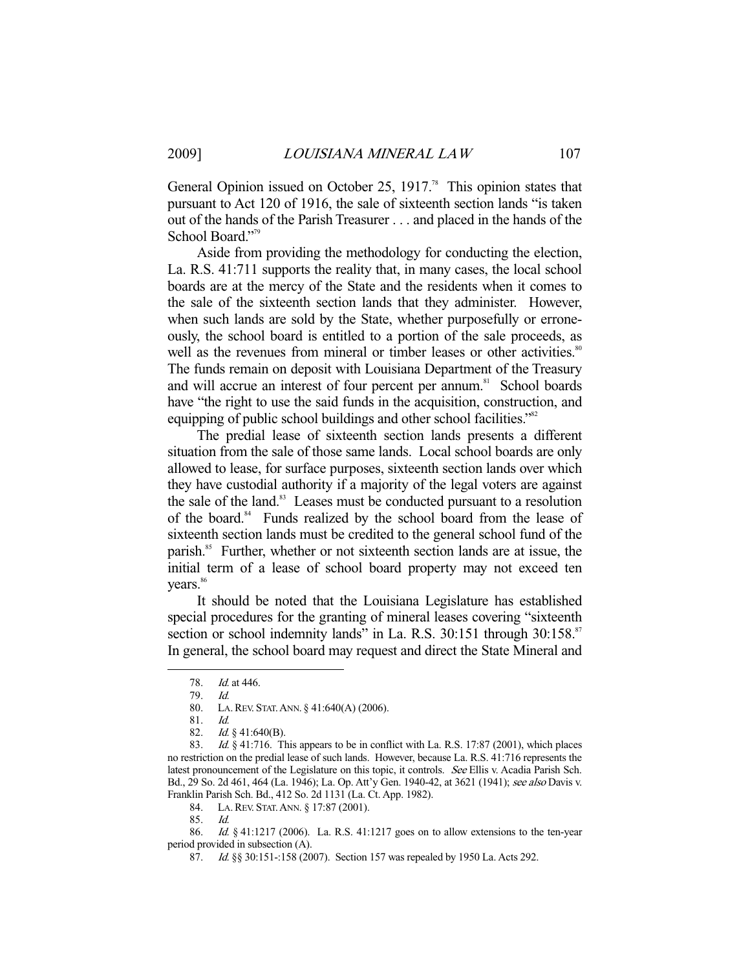General Opinion issued on October 25, 1917.<sup>78</sup> This opinion states that pursuant to Act 120 of 1916, the sale of sixteenth section lands "is taken out of the hands of the Parish Treasurer . . . and placed in the hands of the School Board."<sup>79</sup>

 Aside from providing the methodology for conducting the election, La. R.S. 41:711 supports the reality that, in many cases, the local school boards are at the mercy of the State and the residents when it comes to the sale of the sixteenth section lands that they administer. However, when such lands are sold by the State, whether purposefully or erroneously, the school board is entitled to a portion of the sale proceeds, as well as the revenues from mineral or timber leases or other activities.<sup>80</sup> The funds remain on deposit with Louisiana Department of the Treasury and will accrue an interest of four percent per annum.<sup>81</sup> School boards have "the right to use the said funds in the acquisition, construction, and equipping of public school buildings and other school facilities."<sup>82</sup>

 The predial lease of sixteenth section lands presents a different situation from the sale of those same lands. Local school boards are only allowed to lease, for surface purposes, sixteenth section lands over which they have custodial authority if a majority of the legal voters are against the sale of the land.<sup>83</sup> Leases must be conducted pursuant to a resolution of the board.<sup>84</sup> Funds realized by the school board from the lease of sixteenth section lands must be credited to the general school fund of the parish.<sup>85</sup> Further, whether or not sixteenth section lands are at issue, the initial term of a lease of school board property may not exceed ten vears.<sup>86</sup>

 It should be noted that the Louisiana Legislature has established special procedures for the granting of mineral leases covering "sixteenth section or school indemnity lands" in La. R.S. 30:151 through 30:158.<sup>87</sup> In general, the school board may request and direct the State Mineral and

-

84. LA.REV. STAT.ANN. § 17:87 (2001).

86. *Id.* § 41:1217 (2006). La. R.S. 41:1217 goes on to allow extensions to the ten-year period provided in subsection (A).

 <sup>78.</sup> Id. at 446.

 <sup>79.</sup> Id.

 <sup>80.</sup> LA.REV. STAT.ANN. § 41:640(A) (2006).

 <sup>81.</sup> Id.

 <sup>82.</sup> Id. § 41:640(B).

<sup>83.</sup> Id. § 41:716. This appears to be in conflict with La. R.S. 17:87 (2001), which places no restriction on the predial lease of such lands. However, because La. R.S. 41:716 represents the latest pronouncement of the Legislature on this topic, it controls. See Ellis v. Acadia Parish Sch. Bd., 29 So. 2d 461, 464 (La. 1946); La. Op. Att'y Gen. 1940-42, at 3621 (1941); see also Davis v. Franklin Parish Sch. Bd., 412 So. 2d 1131 (La. Ct. App. 1982).

 <sup>85.</sup> Id.

<sup>87.</sup> *Id.* §§ 30:151-:158 (2007). Section 157 was repealed by 1950 La. Acts 292.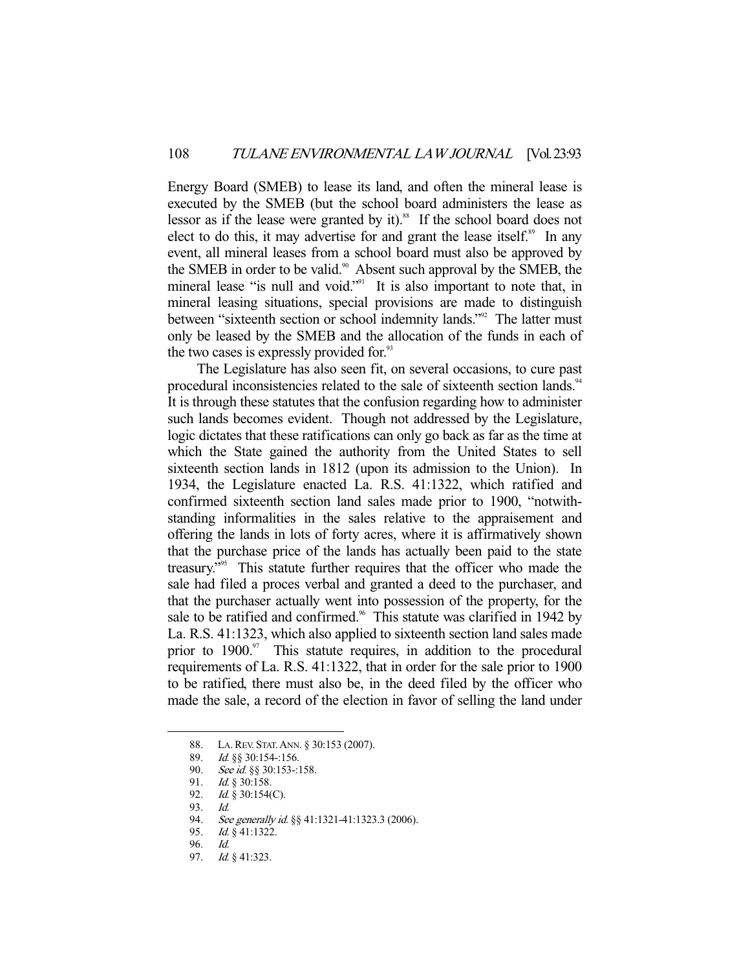Energy Board (SMEB) to lease its land, and often the mineral lease is executed by the SMEB (but the school board administers the lease as lessor as if the lease were granted by it).<sup>88</sup> If the school board does not elect to do this, it may advertise for and grant the lease itself.<sup>89</sup> In any event, all mineral leases from a school board must also be approved by the SMEB in order to be valid.<sup>90</sup> Absent such approval by the SMEB, the mineral lease "is null and void."<sup>91</sup> It is also important to note that, in mineral leasing situations, special provisions are made to distinguish between "sixteenth section or school indemnity lands."<sup>92</sup> The latter must only be leased by the SMEB and the allocation of the funds in each of the two cases is expressly provided for.<sup>93</sup>

 The Legislature has also seen fit, on several occasions, to cure past procedural inconsistencies related to the sale of sixteenth section lands.<sup>94</sup> It is through these statutes that the confusion regarding how to administer such lands becomes evident. Though not addressed by the Legislature, logic dictates that these ratifications can only go back as far as the time at which the State gained the authority from the United States to sell sixteenth section lands in 1812 (upon its admission to the Union). In 1934, the Legislature enacted La. R.S. 41:1322, which ratified and confirmed sixteenth section land sales made prior to 1900, "notwithstanding informalities in the sales relative to the appraisement and offering the lands in lots of forty acres, where it is affirmatively shown that the purchase price of the lands has actually been paid to the state treasury."95 This statute further requires that the officer who made the sale had filed a proces verbal and granted a deed to the purchaser, and that the purchaser actually went into possession of the property, for the sale to be ratified and confirmed.<sup>96</sup> This statute was clarified in 1942 by La. R.S. 41:1323, which also applied to sixteenth section land sales made prior to  $1900$ .<sup>97</sup> This statute requires, in addition to the procedural requirements of La. R.S. 41:1322, that in order for the sale prior to 1900 to be ratified, there must also be, in the deed filed by the officer who made the sale, a record of the election in favor of selling the land under

 <sup>88.</sup> LA.REV. STAT.ANN. § 30:153 (2007).

 <sup>89.</sup> Id. §§ 30:154-:156.

<sup>90.</sup> See id. §§ 30:153-:158.<br>91. Id. § 30:158.

Id. § 30:158.

 <sup>92.</sup> Id. § 30:154(C).

 <sup>93.</sup> Id.

<sup>94.</sup> See generally id. §§ 41:1321-41:1323.3 (2006).

<sup>95.</sup> *Id.* § 41:1322.

 <sup>96.</sup> Id.

<sup>97.</sup> *Id.* § 41:323.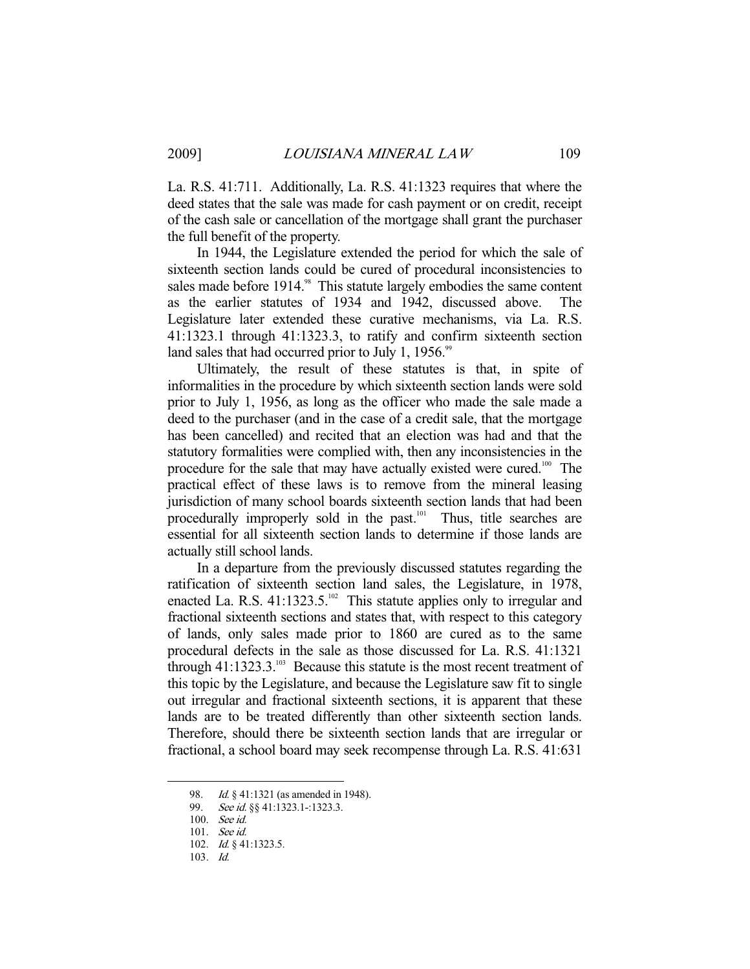La. R.S. 41:711. Additionally, La. R.S. 41:1323 requires that where the deed states that the sale was made for cash payment or on credit, receipt of the cash sale or cancellation of the mortgage shall grant the purchaser the full benefit of the property.

 In 1944, the Legislature extended the period for which the sale of sixteenth section lands could be cured of procedural inconsistencies to sales made before 1914.<sup>98</sup> This statute largely embodies the same content as the earlier statutes of 1934 and 1942, discussed above. The Legislature later extended these curative mechanisms, via La. R.S. 41:1323.1 through 41:1323.3, to ratify and confirm sixteenth section land sales that had occurred prior to July 1, 1956.<sup>99</sup>

 Ultimately, the result of these statutes is that, in spite of informalities in the procedure by which sixteenth section lands were sold prior to July 1, 1956, as long as the officer who made the sale made a deed to the purchaser (and in the case of a credit sale, that the mortgage has been cancelled) and recited that an election was had and that the statutory formalities were complied with, then any inconsistencies in the procedure for the sale that may have actually existed were cured.<sup>100</sup> The practical effect of these laws is to remove from the mineral leasing jurisdiction of many school boards sixteenth section lands that had been procedurally improperly sold in the past.<sup>101</sup> Thus, title searches are essential for all sixteenth section lands to determine if those lands are actually still school lands.

 In a departure from the previously discussed statutes regarding the ratification of sixteenth section land sales, the Legislature, in 1978, enacted La. R.S.  $41:1323.5.^{102}$  This statute applies only to irregular and fractional sixteenth sections and states that, with respect to this category of lands, only sales made prior to 1860 are cured as to the same procedural defects in the sale as those discussed for La. R.S. 41:1321 through  $41:1323.3^{103}$  Because this statute is the most recent treatment of this topic by the Legislature, and because the Legislature saw fit to single out irregular and fractional sixteenth sections, it is apparent that these lands are to be treated differently than other sixteenth section lands. Therefore, should there be sixteenth section lands that are irregular or fractional, a school board may seek recompense through La. R.S. 41:631

<sup>98.</sup> *Id.* § 41:1321 (as amended in 1948).

<sup>99.</sup> *See id.* §§ 41:1323.1-:1323.3.

 <sup>100.</sup> See id.

 <sup>101.</sup> See id.

<sup>102.</sup> *Id.* § 41:1323.5.

 <sup>103.</sup> Id.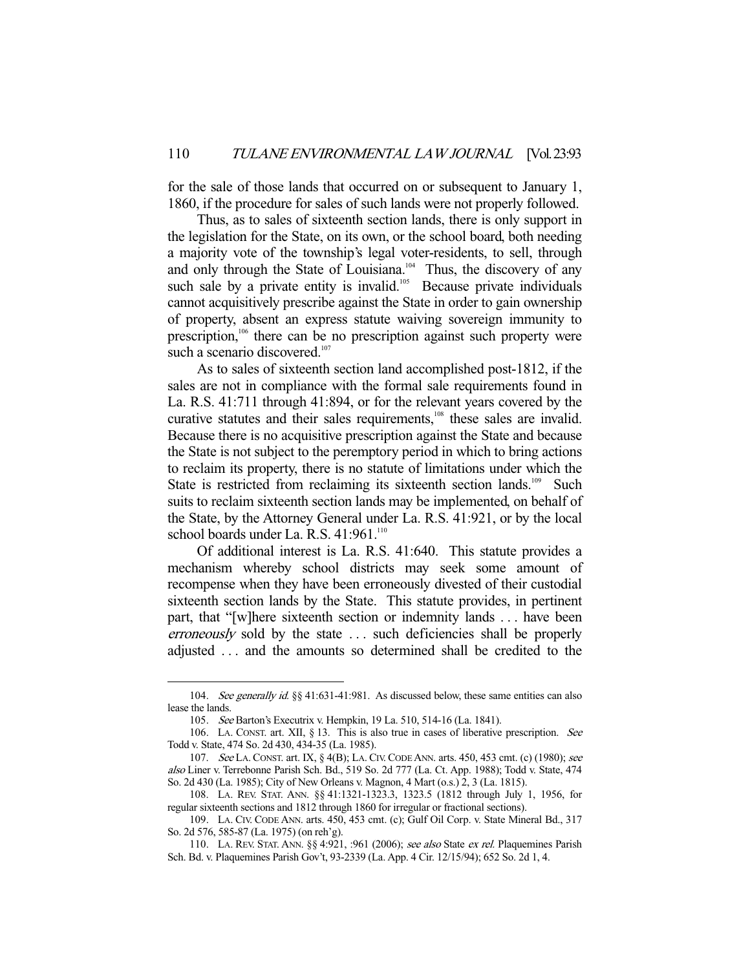for the sale of those lands that occurred on or subsequent to January 1, 1860, if the procedure for sales of such lands were not properly followed.

 Thus, as to sales of sixteenth section lands, there is only support in the legislation for the State, on its own, or the school board, both needing a majority vote of the township's legal voter-residents, to sell, through and only through the State of Louisiana.<sup>104</sup> Thus, the discovery of any such sale by a private entity is invalid.<sup>105</sup> Because private individuals cannot acquisitively prescribe against the State in order to gain ownership of property, absent an express statute waiving sovereign immunity to prescription,<sup>106</sup> there can be no prescription against such property were such a scenario discovered.<sup>107</sup>

 As to sales of sixteenth section land accomplished post-1812, if the sales are not in compliance with the formal sale requirements found in La. R.S. 41:711 through 41:894, or for the relevant years covered by the curative statutes and their sales requirements,<sup>108</sup> these sales are invalid. Because there is no acquisitive prescription against the State and because the State is not subject to the peremptory period in which to bring actions to reclaim its property, there is no statute of limitations under which the State is restricted from reclaiming its sixteenth section lands.<sup>109</sup> Such suits to reclaim sixteenth section lands may be implemented, on behalf of the State, by the Attorney General under La. R.S. 41:921, or by the local school boards under La. R.S. 41:961.<sup>110</sup>

 Of additional interest is La. R.S. 41:640. This statute provides a mechanism whereby school districts may seek some amount of recompense when they have been erroneously divested of their custodial sixteenth section lands by the State. This statute provides, in pertinent part, that "[w]here sixteenth section or indemnity lands . . . have been erroneously sold by the state . . . such deficiencies shall be properly adjusted . . . and the amounts so determined shall be credited to the

<sup>104.</sup> See generally id. §§ 41:631-41:981. As discussed below, these same entities can also lease the lands.

 <sup>105.</sup> See Barton's Executrix v. Hempkin, 19 La. 510, 514-16 (La. 1841).

 <sup>106.</sup> LA. CONST. art. XII, § 13. This is also true in cases of liberative prescription. See Todd v. State, 474 So. 2d 430, 434-35 (La. 1985).

<sup>107.</sup> See LA. CONST. art. IX, § 4(B); LA. CIV. CODE ANN. arts. 450, 453 cmt. (c) (1980); see also Liner v. Terrebonne Parish Sch. Bd., 519 So. 2d 777 (La. Ct. App. 1988); Todd v. State, 474 So. 2d 430 (La. 1985); City of New Orleans v. Magnon, 4 Mart (o.s.) 2, 3 (La. 1815).

 <sup>108.</sup> LA. REV. STAT. ANN. §§ 41:1321-1323.3, 1323.5 (1812 through July 1, 1956, for regular sixteenth sections and 1812 through 1860 for irregular or fractional sections).

 <sup>109.</sup> LA. CIV. CODE ANN. arts. 450, 453 cmt. (c); Gulf Oil Corp. v. State Mineral Bd., 317 So. 2d 576, 585-87 (La. 1975) (on reh'g).

 <sup>110.</sup> LA. REV. STAT. ANN. §§ 4:921, :961 (2006); see also State ex rel. Plaquemines Parish Sch. Bd. v. Plaquemines Parish Gov't, 93-2339 (La. App. 4 Cir. 12/15/94); 652 So. 2d 1, 4.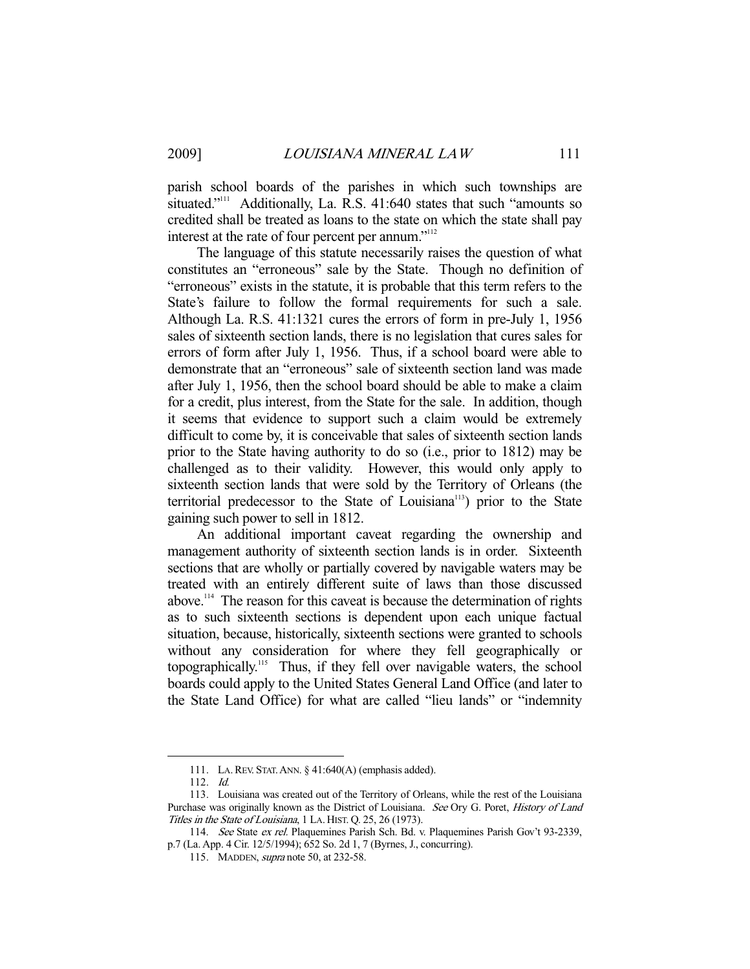parish school boards of the parishes in which such townships are situated."<sup>111</sup> Additionally, La. R.S. 41:640 states that such "amounts so credited shall be treated as loans to the state on which the state shall pay interest at the rate of four percent per annum."<sup>112</sup>

 The language of this statute necessarily raises the question of what constitutes an "erroneous" sale by the State. Though no definition of "erroneous" exists in the statute, it is probable that this term refers to the State's failure to follow the formal requirements for such a sale. Although La. R.S. 41:1321 cures the errors of form in pre-July 1, 1956 sales of sixteenth section lands, there is no legislation that cures sales for errors of form after July 1, 1956. Thus, if a school board were able to demonstrate that an "erroneous" sale of sixteenth section land was made after July 1, 1956, then the school board should be able to make a claim for a credit, plus interest, from the State for the sale. In addition, though it seems that evidence to support such a claim would be extremely difficult to come by, it is conceivable that sales of sixteenth section lands prior to the State having authority to do so (i.e., prior to 1812) may be challenged as to their validity. However, this would only apply to sixteenth section lands that were sold by the Territory of Orleans (the territorial predecessor to the State of Louisiana<sup>113</sup>) prior to the State gaining such power to sell in 1812.

 An additional important caveat regarding the ownership and management authority of sixteenth section lands is in order. Sixteenth sections that are wholly or partially covered by navigable waters may be treated with an entirely different suite of laws than those discussed above.114 The reason for this caveat is because the determination of rights as to such sixteenth sections is dependent upon each unique factual situation, because, historically, sixteenth sections were granted to schools without any consideration for where they fell geographically or topographically.115 Thus, if they fell over navigable waters, the school boards could apply to the United States General Land Office (and later to the State Land Office) for what are called "lieu lands" or "indemnity

 <sup>111.</sup> LA.REV. STAT.ANN. § 41:640(A) (emphasis added).

 <sup>112.</sup> Id.

 <sup>113.</sup> Louisiana was created out of the Territory of Orleans, while the rest of the Louisiana Purchase was originally known as the District of Louisiana. See Ory G. Poret, History of Land Titles in the State of Louisiana, 1 LA. HIST. Q. 25, 26 (1973).

<sup>114.</sup> See State ex rel. Plaquemines Parish Sch. Bd. v. Plaquemines Parish Gov't 93-2339, p.7 (La. App. 4 Cir. 12/5/1994); 652 So. 2d 1, 7 (Byrnes, J., concurring).

 <sup>115.</sup> MADDEN, supra note 50, at 232-58.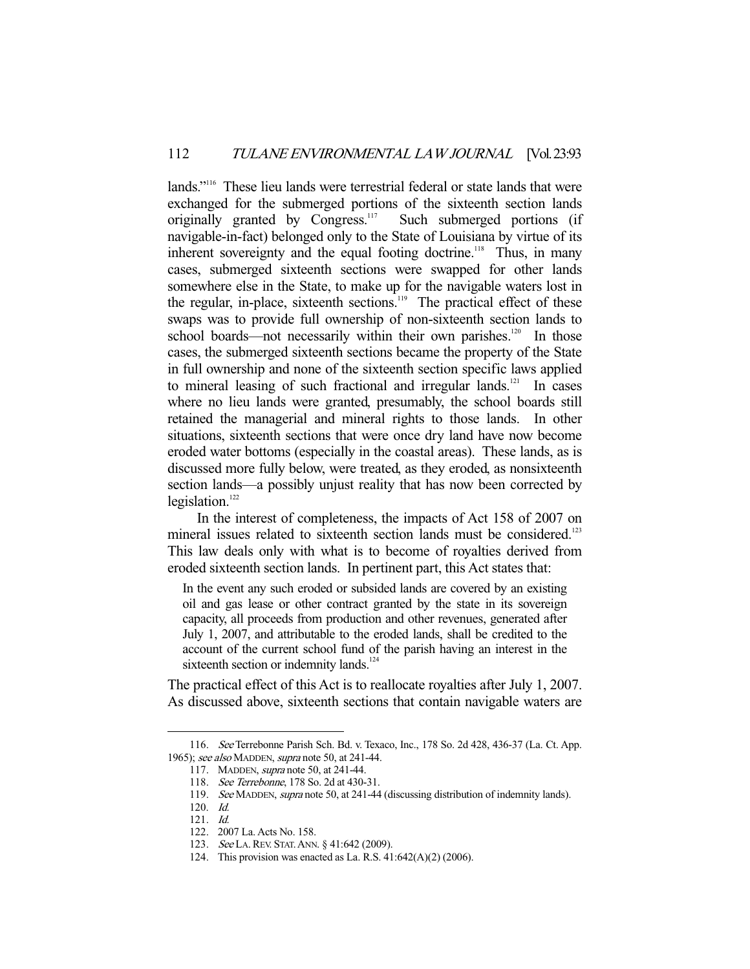lands."116 These lieu lands were terrestrial federal or state lands that were exchanged for the submerged portions of the sixteenth section lands originally granted by Congress.<sup>117</sup> Such submerged portions (if navigable-in-fact) belonged only to the State of Louisiana by virtue of its inherent sovereignty and the equal footing doctrine.<sup>118</sup> Thus, in many cases, submerged sixteenth sections were swapped for other lands somewhere else in the State, to make up for the navigable waters lost in the regular, in-place, sixteenth sections.<sup>119</sup> The practical effect of these swaps was to provide full ownership of non-sixteenth section lands to school boards—not necessarily within their own parishes.<sup>120</sup> In those cases, the submerged sixteenth sections became the property of the State in full ownership and none of the sixteenth section specific laws applied to mineral leasing of such fractional and irregular lands.<sup>121</sup> In cases where no lieu lands were granted, presumably, the school boards still retained the managerial and mineral rights to those lands. In other situations, sixteenth sections that were once dry land have now become eroded water bottoms (especially in the coastal areas). These lands, as is discussed more fully below, were treated, as they eroded, as nonsixteenth section lands—a possibly unjust reality that has now been corrected by legislation. $122$ 

 In the interest of completeness, the impacts of Act 158 of 2007 on mineral issues related to sixteenth section lands must be considered.<sup>123</sup> This law deals only with what is to become of royalties derived from eroded sixteenth section lands. In pertinent part, this Act states that:

In the event any such eroded or subsided lands are covered by an existing oil and gas lease or other contract granted by the state in its sovereign capacity, all proceeds from production and other revenues, generated after July 1, 2007, and attributable to the eroded lands, shall be credited to the account of the current school fund of the parish having an interest in the sixteenth section or indemnity lands.<sup>124</sup>

The practical effect of this Act is to reallocate royalties after July 1, 2007. As discussed above, sixteenth sections that contain navigable waters are

 <sup>116.</sup> See Terrebonne Parish Sch. Bd. v. Texaco, Inc., 178 So. 2d 428, 436-37 (La. Ct. App. 1965); see also MADDEN, supra note 50, at 241-44.

 <sup>117.</sup> MADDEN, supra note 50, at 241-44.

 <sup>118.</sup> See Terrebonne, 178 So. 2d at 430-31.

<sup>119.</sup> See MADDEN, supra note 50, at 241-44 (discussing distribution of indemnity lands).

 <sup>120.</sup> Id.

 <sup>121.</sup> Id.

 <sup>122. 2007</sup> La. Acts No. 158.

<sup>123.</sup> See LA. REV. STAT. ANN. § 41:642 (2009).

 <sup>124.</sup> This provision was enacted as La. R.S. 41:642(A)(2) (2006).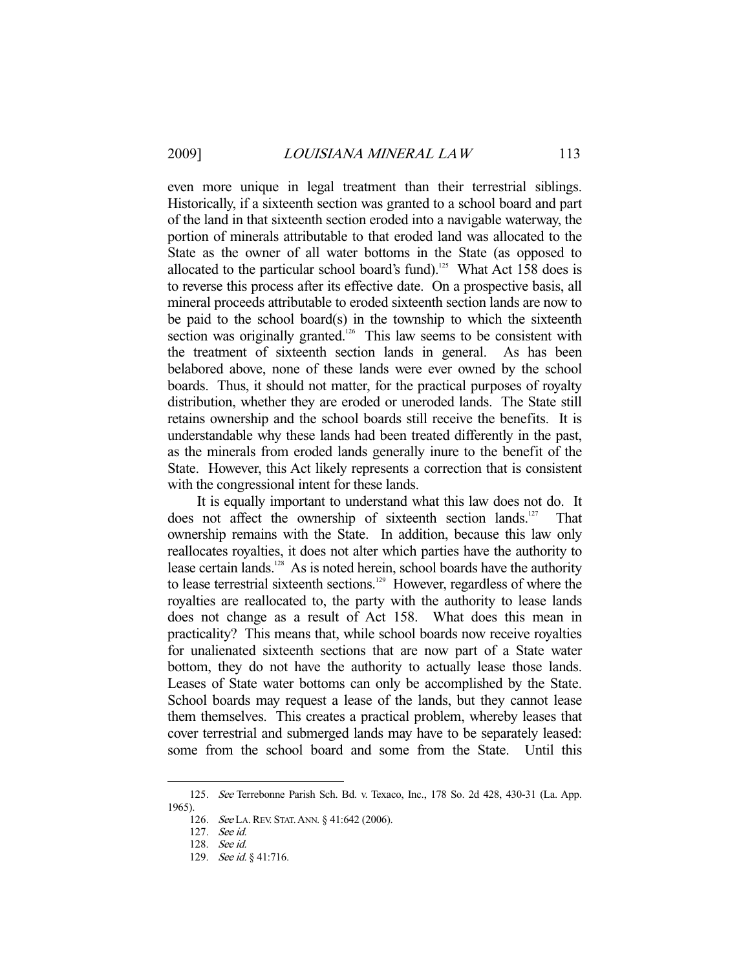even more unique in legal treatment than their terrestrial siblings. Historically, if a sixteenth section was granted to a school board and part of the land in that sixteenth section eroded into a navigable waterway, the portion of minerals attributable to that eroded land was allocated to the State as the owner of all water bottoms in the State (as opposed to allocated to the particular school board's fund).<sup>125</sup> What Act 158 does is to reverse this process after its effective date. On a prospective basis, all mineral proceeds attributable to eroded sixteenth section lands are now to be paid to the school board(s) in the township to which the sixteenth section was originally granted.<sup>126</sup> This law seems to be consistent with the treatment of sixteenth section lands in general. As has been belabored above, none of these lands were ever owned by the school boards. Thus, it should not matter, for the practical purposes of royalty distribution, whether they are eroded or uneroded lands. The State still retains ownership and the school boards still receive the benefits. It is understandable why these lands had been treated differently in the past, as the minerals from eroded lands generally inure to the benefit of the State. However, this Act likely represents a correction that is consistent with the congressional intent for these lands.

 It is equally important to understand what this law does not do. It does not affect the ownership of sixteenth section lands.<sup>127</sup> That ownership remains with the State. In addition, because this law only reallocates royalties, it does not alter which parties have the authority to lease certain lands.<sup>128</sup> As is noted herein, school boards have the authority to lease terrestrial sixteenth sections.<sup>129</sup> However, regardless of where the royalties are reallocated to, the party with the authority to lease lands does not change as a result of Act 158. What does this mean in practicality? This means that, while school boards now receive royalties for unalienated sixteenth sections that are now part of a State water bottom, they do not have the authority to actually lease those lands. Leases of State water bottoms can only be accomplished by the State. School boards may request a lease of the lands, but they cannot lease them themselves. This creates a practical problem, whereby leases that cover terrestrial and submerged lands may have to be separately leased: some from the school board and some from the State. Until this

 <sup>125.</sup> See Terrebonne Parish Sch. Bd. v. Texaco, Inc., 178 So. 2d 428, 430-31 (La. App. 1965).

<sup>126.</sup> See LA. REV. STAT. ANN. § 41:642 (2006).

 <sup>127.</sup> See id.

 <sup>128.</sup> See id.

<sup>129.</sup> See id. § 41:716.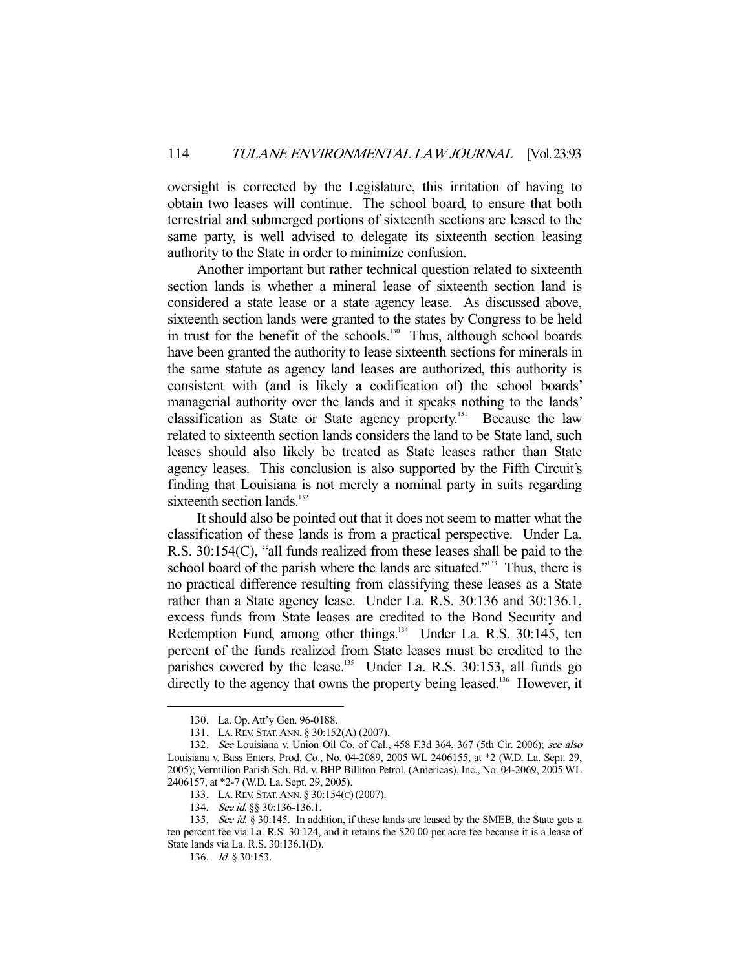oversight is corrected by the Legislature, this irritation of having to obtain two leases will continue. The school board, to ensure that both terrestrial and submerged portions of sixteenth sections are leased to the same party, is well advised to delegate its sixteenth section leasing authority to the State in order to minimize confusion.

 Another important but rather technical question related to sixteenth section lands is whether a mineral lease of sixteenth section land is considered a state lease or a state agency lease. As discussed above, sixteenth section lands were granted to the states by Congress to be held in trust for the benefit of the schools.<sup>130</sup> Thus, although school boards have been granted the authority to lease sixteenth sections for minerals in the same statute as agency land leases are authorized, this authority is consistent with (and is likely a codification of) the school boards' managerial authority over the lands and it speaks nothing to the lands' classification as State or State agency property.<sup>131</sup> Because the law related to sixteenth section lands considers the land to be State land, such leases should also likely be treated as State leases rather than State agency leases. This conclusion is also supported by the Fifth Circuit's finding that Louisiana is not merely a nominal party in suits regarding sixteenth section lands.<sup>132</sup>

 It should also be pointed out that it does not seem to matter what the classification of these lands is from a practical perspective. Under La. R.S. 30:154(C), "all funds realized from these leases shall be paid to the school board of the parish where the lands are situated."<sup>133</sup> Thus, there is no practical difference resulting from classifying these leases as a State rather than a State agency lease. Under La. R.S. 30:136 and 30:136.1, excess funds from State leases are credited to the Bond Security and Redemption Fund, among other things.<sup>134</sup> Under La. R.S. 30:145, ten percent of the funds realized from State leases must be credited to the parishes covered by the lease.<sup>135</sup> Under La. R.S.  $30:153$ , all funds go directly to the agency that owns the property being leased.<sup>136</sup> However, it

 <sup>130.</sup> La. Op. Att'y Gen. 96-0188.

 <sup>131.</sup> LA.REV. STAT.ANN. § 30:152(A) (2007).

 <sup>132.</sup> See Louisiana v. Union Oil Co. of Cal., 458 F.3d 364, 367 (5th Cir. 2006); see also Louisiana v. Bass Enters. Prod. Co., No. 04-2089, 2005 WL 2406155, at \*2 (W.D. La. Sept. 29, 2005); Vermilion Parish Sch. Bd. v. BHP Billiton Petrol. (Americas), Inc., No. 04-2069, 2005 WL 2406157, at \*2-7 (W.D. La. Sept. 29, 2005).

 <sup>133.</sup> LA.REV. STAT.ANN. § 30:154(C)(2007).

<sup>134.</sup> See id. §§ 30:136-136.1.

<sup>135.</sup> See id. § 30:145. In addition, if these lands are leased by the SMEB, the State gets a ten percent fee via La. R.S. 30:124, and it retains the \$20.00 per acre fee because it is a lease of State lands via La. R.S. 30:136.1(D).

 <sup>136.</sup> Id. § 30:153.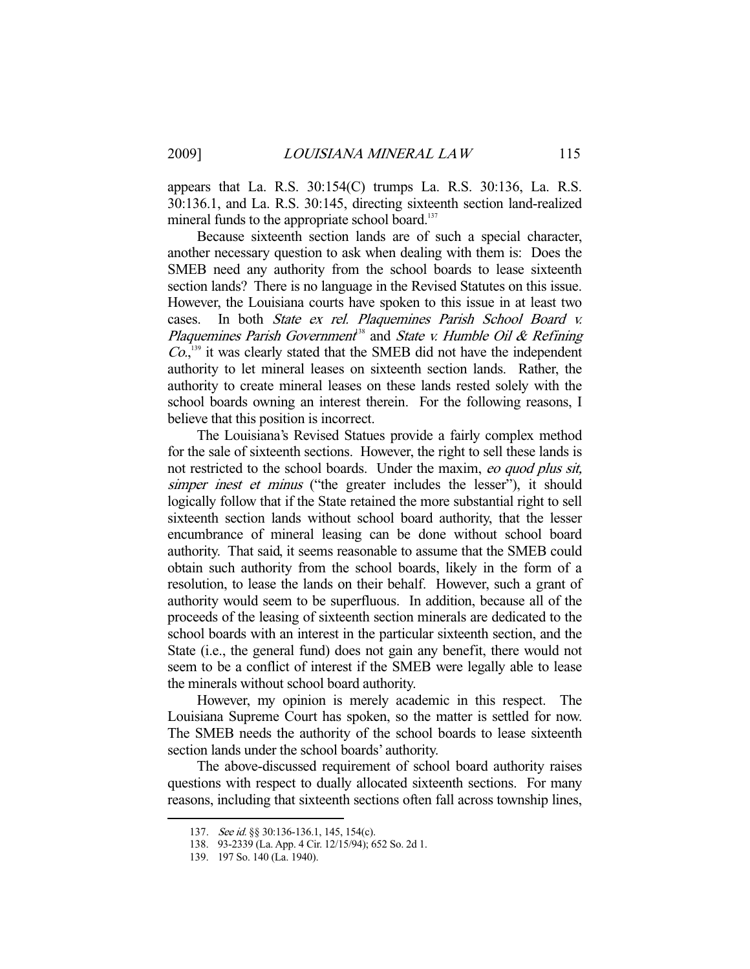appears that La. R.S. 30:154(C) trumps La. R.S. 30:136, La. R.S. 30:136.1, and La. R.S. 30:145, directing sixteenth section land-realized mineral funds to the appropriate school board. $137$ 

 Because sixteenth section lands are of such a special character, another necessary question to ask when dealing with them is: Does the SMEB need any authority from the school boards to lease sixteenth section lands? There is no language in the Revised Statutes on this issue. However, the Louisiana courts have spoken to this issue in at least two cases. In both State ex rel. Plaquemines Parish School Board v. Plaquemines Parish Government<sup>38</sup> and State v. Humble Oil & Refining Co., 139 it was clearly stated that the SMEB did not have the independent authority to let mineral leases on sixteenth section lands. Rather, the authority to create mineral leases on these lands rested solely with the school boards owning an interest therein. For the following reasons, I believe that this position is incorrect.

 The Louisiana's Revised Statues provide a fairly complex method for the sale of sixteenth sections. However, the right to sell these lands is not restricted to the school boards. Under the maxim, eo quod plus sit, simper inest et minus ("the greater includes the lesser"), it should logically follow that if the State retained the more substantial right to sell sixteenth section lands without school board authority, that the lesser encumbrance of mineral leasing can be done without school board authority. That said, it seems reasonable to assume that the SMEB could obtain such authority from the school boards, likely in the form of a resolution, to lease the lands on their behalf. However, such a grant of authority would seem to be superfluous. In addition, because all of the proceeds of the leasing of sixteenth section minerals are dedicated to the school boards with an interest in the particular sixteenth section, and the State (i.e., the general fund) does not gain any benefit, there would not seem to be a conflict of interest if the SMEB were legally able to lease the minerals without school board authority.

 However, my opinion is merely academic in this respect. The Louisiana Supreme Court has spoken, so the matter is settled for now. The SMEB needs the authority of the school boards to lease sixteenth section lands under the school boards' authority.

 The above-discussed requirement of school board authority raises questions with respect to dually allocated sixteenth sections. For many reasons, including that sixteenth sections often fall across township lines,

<sup>137.</sup> See id. §§ 30:136-136.1, 145, 154(c).

 <sup>138. 93-2339 (</sup>La. App. 4 Cir. 12/15/94); 652 So. 2d 1.

 <sup>139. 197</sup> So. 140 (La. 1940).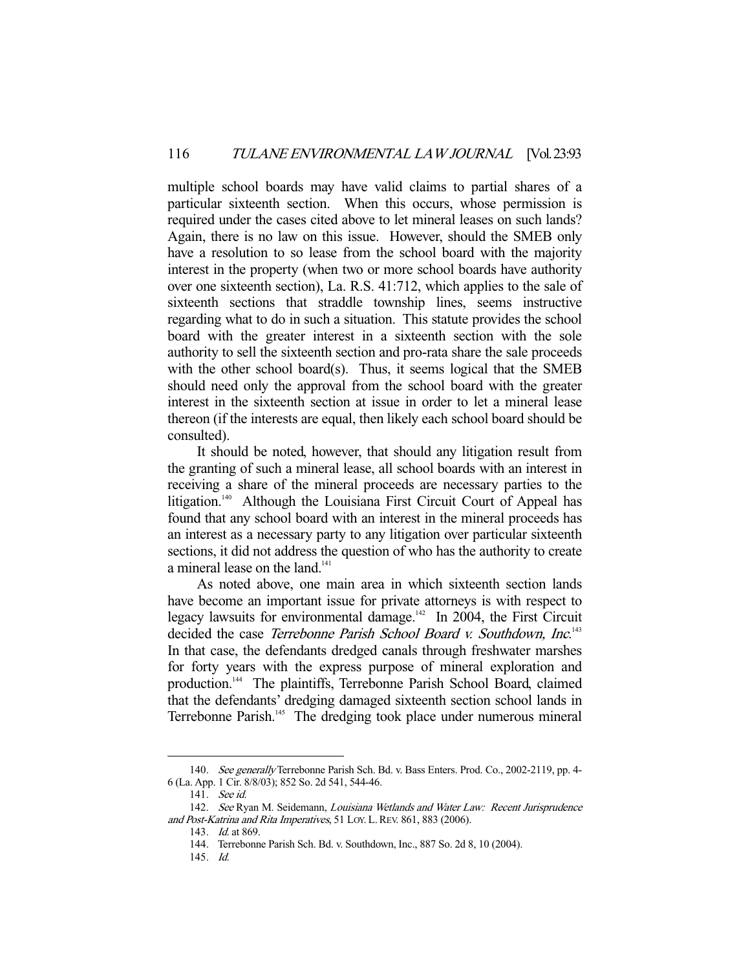multiple school boards may have valid claims to partial shares of a particular sixteenth section. When this occurs, whose permission is required under the cases cited above to let mineral leases on such lands? Again, there is no law on this issue. However, should the SMEB only have a resolution to so lease from the school board with the majority interest in the property (when two or more school boards have authority over one sixteenth section), La. R.S. 41:712, which applies to the sale of sixteenth sections that straddle township lines, seems instructive regarding what to do in such a situation. This statute provides the school board with the greater interest in a sixteenth section with the sole authority to sell the sixteenth section and pro-rata share the sale proceeds with the other school board(s). Thus, it seems logical that the SMEB should need only the approval from the school board with the greater interest in the sixteenth section at issue in order to let a mineral lease thereon (if the interests are equal, then likely each school board should be consulted).

 It should be noted, however, that should any litigation result from the granting of such a mineral lease, all school boards with an interest in receiving a share of the mineral proceeds are necessary parties to the litigation.<sup>140</sup> Although the Louisiana First Circuit Court of Appeal has found that any school board with an interest in the mineral proceeds has an interest as a necessary party to any litigation over particular sixteenth sections, it did not address the question of who has the authority to create a mineral lease on the land.<sup>141</sup>

 As noted above, one main area in which sixteenth section lands have become an important issue for private attorneys is with respect to legacy lawsuits for environmental damage.<sup> $142$ </sup> In 2004, the First Circuit decided the case Terrebonne Parish School Board v. Southdown, Inc.<sup>143</sup> In that case, the defendants dredged canals through freshwater marshes for forty years with the express purpose of mineral exploration and production.144 The plaintiffs, Terrebonne Parish School Board, claimed that the defendants' dredging damaged sixteenth section school lands in Terrebonne Parish.<sup>145</sup> The dredging took place under numerous mineral

 <sup>140.</sup> See generally Terrebonne Parish Sch. Bd. v. Bass Enters. Prod. Co., 2002-2119, pp. 4- 6 (La. App. 1 Cir. 8/8/03); 852 So. 2d 541, 544-46.

 <sup>141.</sup> See id.

<sup>142.</sup> See Ryan M. Seidemann, Louisiana Wetlands and Water Law: Recent Jurisprudence and Post-Katrina and Rita Imperatives, 51 LOY. L.REV. 861, 883 (2006).

<sup>143.</sup> *Id.* at 869.

 <sup>144.</sup> Terrebonne Parish Sch. Bd. v. Southdown, Inc., 887 So. 2d 8, 10 (2004).

 <sup>145.</sup> Id.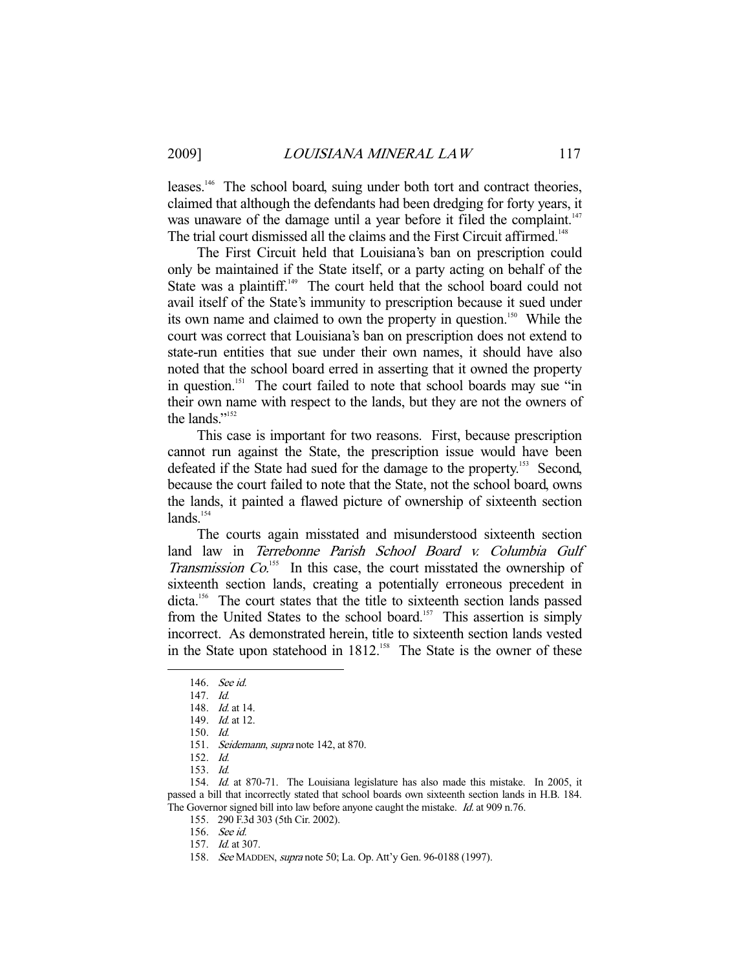leases.<sup>146</sup> The school board, suing under both tort and contract theories, claimed that although the defendants had been dredging for forty years, it was unaware of the damage until a year before it filed the complaint.<sup>147</sup> The trial court dismissed all the claims and the First Circuit affirmed.<sup>148</sup>

 The First Circuit held that Louisiana's ban on prescription could only be maintained if the State itself, or a party acting on behalf of the State was a plaintiff.<sup>149</sup> The court held that the school board could not avail itself of the State's immunity to prescription because it sued under its own name and claimed to own the property in question.<sup>150</sup> While the court was correct that Louisiana's ban on prescription does not extend to state-run entities that sue under their own names, it should have also noted that the school board erred in asserting that it owned the property in question.<sup>151</sup> The court failed to note that school boards may sue "in" their own name with respect to the lands, but they are not the owners of the lands."152

 This case is important for two reasons. First, because prescription cannot run against the State, the prescription issue would have been defeated if the State had sued for the damage to the property.<sup>153</sup> Second, because the court failed to note that the State, not the school board, owns the lands, it painted a flawed picture of ownership of sixteenth section lands.<sup>154</sup>

 The courts again misstated and misunderstood sixteenth section land law in Terrebonne Parish School Board v. Columbia Gulf Transmission  $Co$ <sup>155</sup> In this case, the court misstated the ownership of sixteenth section lands, creating a potentially erroneous precedent in dicta.<sup>156</sup> The court states that the title to sixteenth section lands passed from the United States to the school board.<sup>157</sup> This assertion is simply incorrect. As demonstrated herein, title to sixteenth section lands vested in the State upon statehood in 1812.<sup>158</sup> The State is the owner of these

-

156. See id.

 <sup>146.</sup> See id.

 <sup>147.</sup> Id.

<sup>148.</sup> *Id.* at 14.

<sup>149.</sup> *Id.* at 12.

 <sup>150.</sup> Id.

<sup>151.</sup> Seidemann, supra note 142, at 870.

 <sup>152.</sup> Id.

 <sup>153.</sup> Id.

 <sup>154.</sup> Id. at 870-71. The Louisiana legislature has also made this mistake. In 2005, it passed a bill that incorrectly stated that school boards own sixteenth section lands in H.B. 184. The Governor signed bill into law before anyone caught the mistake. Id. at 909 n.76.

 <sup>155. 290</sup> F.3d 303 (5th Cir. 2002).

 <sup>157.</sup> Id. at 307.

 <sup>158.</sup> See MADDEN, supra note 50; La. Op. Att'y Gen. 96-0188 (1997).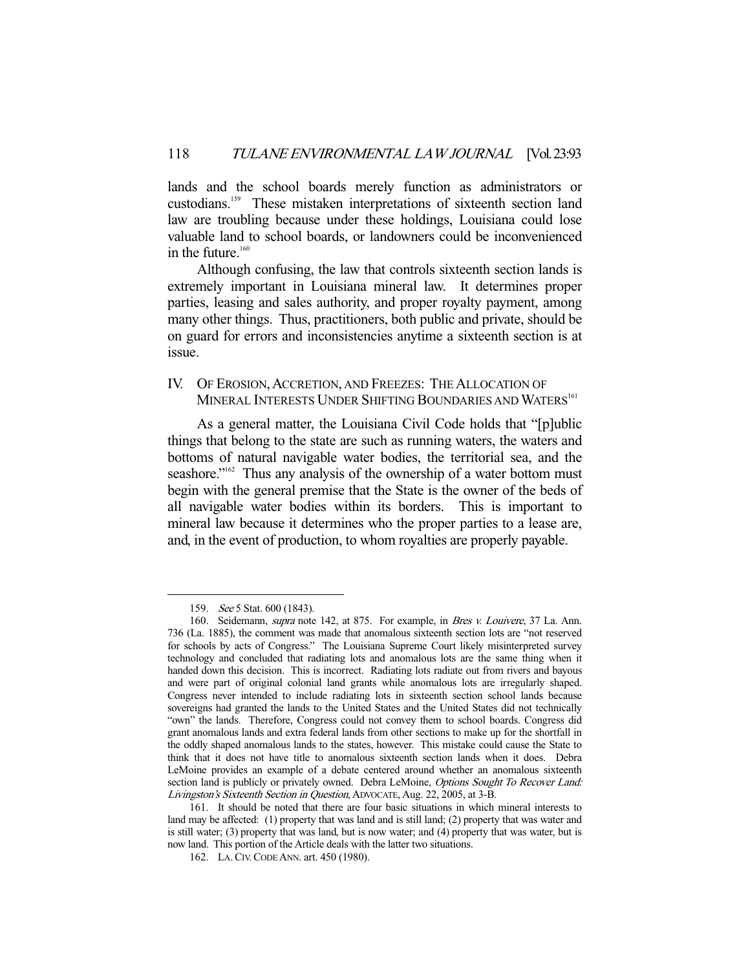lands and the school boards merely function as administrators or custodians.159 These mistaken interpretations of sixteenth section land law are troubling because under these holdings, Louisiana could lose valuable land to school boards, or landowners could be inconvenienced in the future. $160$ 

 Although confusing, the law that controls sixteenth section lands is extremely important in Louisiana mineral law. It determines proper parties, leasing and sales authority, and proper royalty payment, among many other things. Thus, practitioners, both public and private, should be on guard for errors and inconsistencies anytime a sixteenth section is at issue.

# IV. OF EROSION, ACCRETION, AND FREEZES: THE ALLOCATION OF MINERAL INTERESTS UNDER SHIFTING BOUNDARIES AND WATERS<sup>161</sup>

 As a general matter, the Louisiana Civil Code holds that "[p]ublic things that belong to the state are such as running waters, the waters and bottoms of natural navigable water bodies, the territorial sea, and the seashore."<sup>162</sup> Thus any analysis of the ownership of a water bottom must begin with the general premise that the State is the owner of the beds of all navigable water bodies within its borders. This is important to mineral law because it determines who the proper parties to a lease are, and, in the event of production, to whom royalties are properly payable.

 <sup>159.</sup> See 5 Stat. 600 (1843).

<sup>160.</sup> Seidemann, *supra* note 142, at 875. For example, in Bres v. Louivere, 37 La. Ann. 736 (La. 1885), the comment was made that anomalous sixteenth section lots are "not reserved for schools by acts of Congress." The Louisiana Supreme Court likely misinterpreted survey technology and concluded that radiating lots and anomalous lots are the same thing when it handed down this decision. This is incorrect. Radiating lots radiate out from rivers and bayous and were part of original colonial land grants while anomalous lots are irregularly shaped. Congress never intended to include radiating lots in sixteenth section school lands because sovereigns had granted the lands to the United States and the United States did not technically "own" the lands. Therefore, Congress could not convey them to school boards. Congress did grant anomalous lands and extra federal lands from other sections to make up for the shortfall in the oddly shaped anomalous lands to the states, however. This mistake could cause the State to think that it does not have title to anomalous sixteenth section lands when it does. Debra LeMoine provides an example of a debate centered around whether an anomalous sixteenth section land is publicly or privately owned. Debra LeMoine, Options Sought To Recover Land: Livingston's Sixteenth Section in Question, ADVOCATE, Aug. 22, 2005, at 3-B.

 <sup>161.</sup> It should be noted that there are four basic situations in which mineral interests to land may be affected: (1) property that was land and is still land; (2) property that was water and is still water; (3) property that was land, but is now water; and (4) property that was water, but is now land. This portion of the Article deals with the latter two situations.

 <sup>162.</sup> LA.CIV.CODE ANN. art. 450 (1980).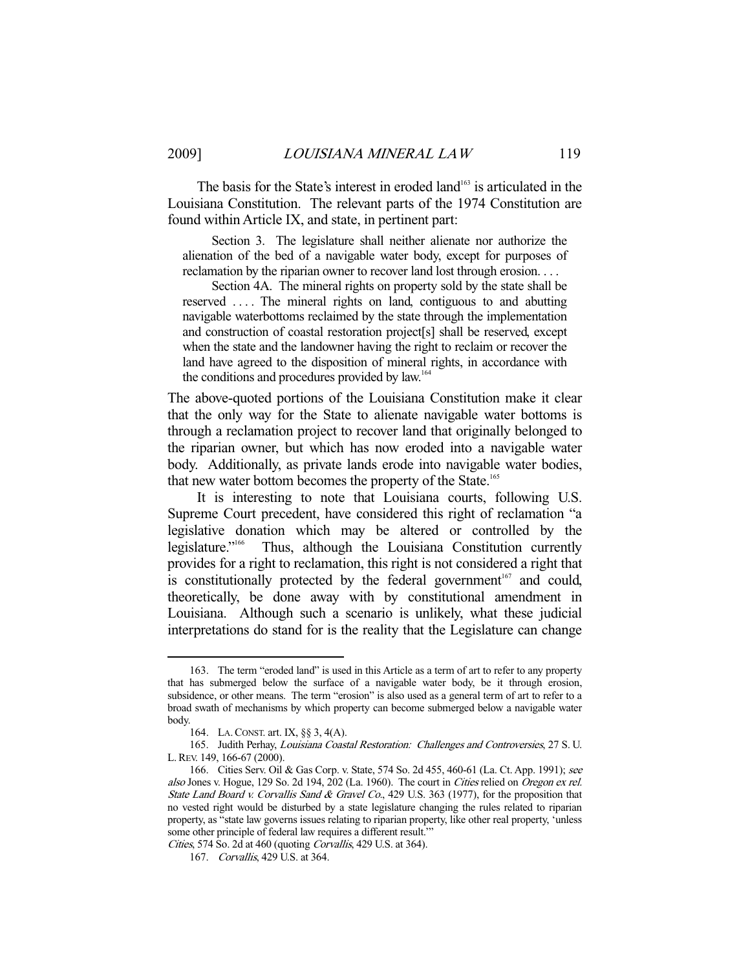The basis for the State's interest in eroded land<sup>163</sup> is articulated in the Louisiana Constitution. The relevant parts of the 1974 Constitution are found within Article IX, and state, in pertinent part:

 Section 3. The legislature shall neither alienate nor authorize the alienation of the bed of a navigable water body, except for purposes of reclamation by the riparian owner to recover land lost through erosion. . . .

 Section 4A. The mineral rights on property sold by the state shall be reserved .... The mineral rights on land, contiguous to and abutting navigable waterbottoms reclaimed by the state through the implementation and construction of coastal restoration project[s] shall be reserved, except when the state and the landowner having the right to reclaim or recover the land have agreed to the disposition of mineral rights, in accordance with the conditions and procedures provided by law.<sup>164</sup>

The above-quoted portions of the Louisiana Constitution make it clear that the only way for the State to alienate navigable water bottoms is through a reclamation project to recover land that originally belonged to the riparian owner, but which has now eroded into a navigable water body. Additionally, as private lands erode into navigable water bodies, that new water bottom becomes the property of the State.<sup>165</sup>

 It is interesting to note that Louisiana courts, following U.S. Supreme Court precedent, have considered this right of reclamation "a legislative donation which may be altered or controlled by the legislature."166 Thus, although the Louisiana Constitution currently provides for a right to reclamation, this right is not considered a right that is constitutionally protected by the federal government<sup>167</sup> and could, theoretically, be done away with by constitutional amendment in Louisiana. Although such a scenario is unlikely, what these judicial interpretations do stand for is the reality that the Legislature can change

 <sup>163.</sup> The term "eroded land" is used in this Article as a term of art to refer to any property that has submerged below the surface of a navigable water body, be it through erosion, subsidence, or other means. The term "erosion" is also used as a general term of art to refer to a broad swath of mechanisms by which property can become submerged below a navigable water body.

 <sup>164.</sup> LA.CONST. art. IX, §§ 3, 4(A).

 <sup>165.</sup> Judith Perhay, Louisiana Coastal Restoration: Challenges and Controversies, 27 S. U. L.REV. 149, 166-67 (2000).

 <sup>166.</sup> Cities Serv. Oil & Gas Corp. v. State, 574 So. 2d 455, 460-61 (La. Ct. App. 1991); see also Jones v. Hogue, 129 So. 2d 194, 202 (La. 1960). The court in Cities relied on Oregon ex rel. State Land Board v. Corvallis Sand & Gravel Co., 429 U.S. 363 (1977), for the proposition that no vested right would be disturbed by a state legislature changing the rules related to riparian property, as "state law governs issues relating to riparian property, like other real property, 'unless some other principle of federal law requires a different result.'"

Cities, 574 So. 2d at 460 (quoting Corvallis, 429 U.S. at 364).

 <sup>167.</sup> Corvallis, 429 U.S. at 364.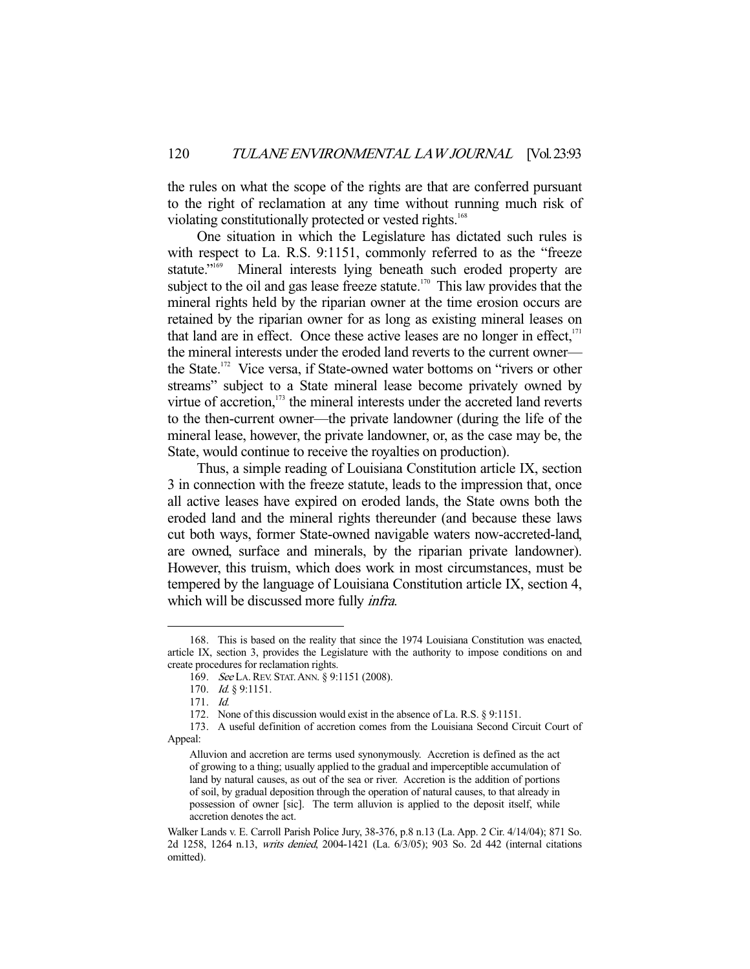the rules on what the scope of the rights are that are conferred pursuant to the right of reclamation at any time without running much risk of violating constitutionally protected or vested rights.<sup>168</sup>

 One situation in which the Legislature has dictated such rules is with respect to La. R.S. 9:1151, commonly referred to as the "freeze statute."<sup>169</sup> Mineral interests lying beneath such eroded property are subject to the oil and gas lease freeze statute.<sup>170</sup> This law provides that the mineral rights held by the riparian owner at the time erosion occurs are retained by the riparian owner for as long as existing mineral leases on that land are in effect. Once these active leases are no longer in effect, $171$ the mineral interests under the eroded land reverts to the current owner the State.<sup>172</sup> Vice versa, if State-owned water bottoms on "rivers or other streams" subject to a State mineral lease become privately owned by virtue of accretion, $173$  the mineral interests under the accreted land reverts to the then-current owner—the private landowner (during the life of the mineral lease, however, the private landowner, or, as the case may be, the State, would continue to receive the royalties on production).

 Thus, a simple reading of Louisiana Constitution article IX, section 3 in connection with the freeze statute, leads to the impression that, once all active leases have expired on eroded lands, the State owns both the eroded land and the mineral rights thereunder (and because these laws cut both ways, former State-owned navigable waters now-accreted-land, are owned, surface and minerals, by the riparian private landowner). However, this truism, which does work in most circumstances, must be tempered by the language of Louisiana Constitution article IX, section 4, which will be discussed more fully *infra*.

 <sup>168.</sup> This is based on the reality that since the 1974 Louisiana Constitution was enacted, article IX, section 3, provides the Legislature with the authority to impose conditions on and create procedures for reclamation rights.

<sup>169.</sup> See LA. REV. STAT. ANN. § 9:1151 (2008).

<sup>170.</sup> *Id.* § 9:1151.

 <sup>171.</sup> Id.

 <sup>172.</sup> None of this discussion would exist in the absence of La. R.S. § 9:1151.

 <sup>173.</sup> A useful definition of accretion comes from the Louisiana Second Circuit Court of Appeal:

Alluvion and accretion are terms used synonymously. Accretion is defined as the act of growing to a thing; usually applied to the gradual and imperceptible accumulation of land by natural causes, as out of the sea or river. Accretion is the addition of portions of soil, by gradual deposition through the operation of natural causes, to that already in possession of owner [sic]. The term alluvion is applied to the deposit itself, while accretion denotes the act.

Walker Lands v. E. Carroll Parish Police Jury, 38-376, p.8 n.13 (La. App. 2 Cir. 4/14/04); 871 So. 2d 1258, 1264 n.13, writs denied, 2004-1421 (La. 6/3/05); 903 So. 2d 442 (internal citations omitted).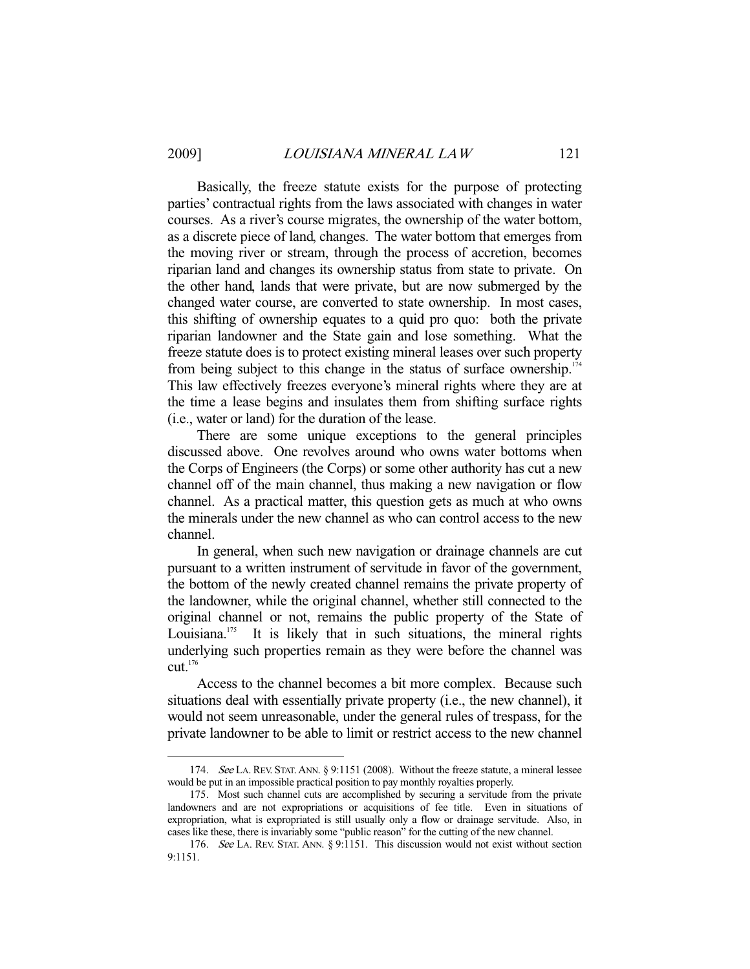-

 Basically, the freeze statute exists for the purpose of protecting parties' contractual rights from the laws associated with changes in water courses. As a river's course migrates, the ownership of the water bottom, as a discrete piece of land, changes. The water bottom that emerges from the moving river or stream, through the process of accretion, becomes riparian land and changes its ownership status from state to private. On the other hand, lands that were private, but are now submerged by the changed water course, are converted to state ownership. In most cases, this shifting of ownership equates to a quid pro quo: both the private riparian landowner and the State gain and lose something. What the freeze statute does is to protect existing mineral leases over such property from being subject to this change in the status of surface ownership.<sup>174</sup> This law effectively freezes everyone's mineral rights where they are at the time a lease begins and insulates them from shifting surface rights (i.e., water or land) for the duration of the lease.

 There are some unique exceptions to the general principles discussed above. One revolves around who owns water bottoms when the Corps of Engineers (the Corps) or some other authority has cut a new channel off of the main channel, thus making a new navigation or flow channel. As a practical matter, this question gets as much at who owns the minerals under the new channel as who can control access to the new channel.

 In general, when such new navigation or drainage channels are cut pursuant to a written instrument of servitude in favor of the government, the bottom of the newly created channel remains the private property of the landowner, while the original channel, whether still connected to the original channel or not, remains the public property of the State of Louisiana.<sup>175</sup> It is likely that in such situations, the mineral rights underlying such properties remain as they were before the channel was  $cut<sup>176</sup>$ 

 Access to the channel becomes a bit more complex. Because such situations deal with essentially private property (i.e., the new channel), it would not seem unreasonable, under the general rules of trespass, for the private landowner to be able to limit or restrict access to the new channel

 <sup>174.</sup> See LA. REV. STAT.ANN. § 9:1151 (2008). Without the freeze statute, a mineral lessee would be put in an impossible practical position to pay monthly royalties properly.

 <sup>175.</sup> Most such channel cuts are accomplished by securing a servitude from the private landowners and are not expropriations or acquisitions of fee title. Even in situations of expropriation, what is expropriated is still usually only a flow or drainage servitude. Also, in cases like these, there is invariably some "public reason" for the cutting of the new channel.

 <sup>176.</sup> See LA. REV. STAT. ANN. § 9:1151. This discussion would not exist without section 9:1151.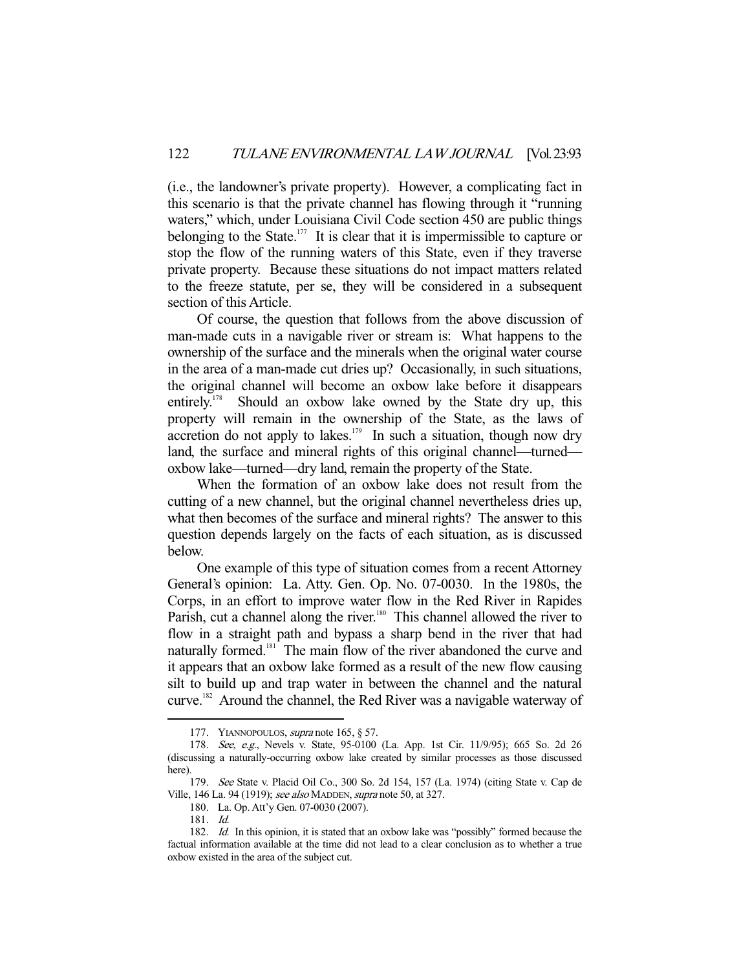(i.e., the landowner's private property). However, a complicating fact in this scenario is that the private channel has flowing through it "running waters," which, under Louisiana Civil Code section 450 are public things belonging to the State.<sup>177</sup> It is clear that it is impermissible to capture or stop the flow of the running waters of this State, even if they traverse private property. Because these situations do not impact matters related to the freeze statute, per se, they will be considered in a subsequent section of this Article.

 Of course, the question that follows from the above discussion of man-made cuts in a navigable river or stream is: What happens to the ownership of the surface and the minerals when the original water course in the area of a man-made cut dries up? Occasionally, in such situations, the original channel will become an oxbow lake before it disappears entirely.<sup>178</sup> Should an oxbow lake owned by the State dry up, this property will remain in the ownership of the State, as the laws of accretion do not apply to lakes.<sup>179</sup> In such a situation, though now dry land, the surface and mineral rights of this original channel—turned oxbow lake—turned—dry land, remain the property of the State.

 When the formation of an oxbow lake does not result from the cutting of a new channel, but the original channel nevertheless dries up, what then becomes of the surface and mineral rights? The answer to this question depends largely on the facts of each situation, as is discussed below.

 One example of this type of situation comes from a recent Attorney General's opinion: La. Atty. Gen. Op. No. 07-0030. In the 1980s, the Corps, in an effort to improve water flow in the Red River in Rapides Parish, cut a channel along the river.<sup>180</sup> This channel allowed the river to flow in a straight path and bypass a sharp bend in the river that had naturally formed.<sup>181</sup> The main flow of the river abandoned the curve and it appears that an oxbow lake formed as a result of the new flow causing silt to build up and trap water in between the channel and the natural curve.182 Around the channel, the Red River was a navigable waterway of

<sup>177.</sup> YIANNOPOULOS, *supra* note 165, § 57.

 <sup>178.</sup> See, e.g., Nevels v. State, 95-0100 (La. App. 1st Cir. 11/9/95); 665 So. 2d 26 (discussing a naturally-occurring oxbow lake created by similar processes as those discussed here).

 <sup>179.</sup> See State v. Placid Oil Co., 300 So. 2d 154, 157 (La. 1974) (citing State v. Cap de Ville, 146 La. 94 (1919); see also MADDEN, supra note 50, at 327.

 <sup>180.</sup> La. Op. Att'y Gen. 07-0030 (2007).

 <sup>181.</sup> Id.

<sup>182.</sup> Id. In this opinion, it is stated that an oxbow lake was "possibly" formed because the factual information available at the time did not lead to a clear conclusion as to whether a true oxbow existed in the area of the subject cut.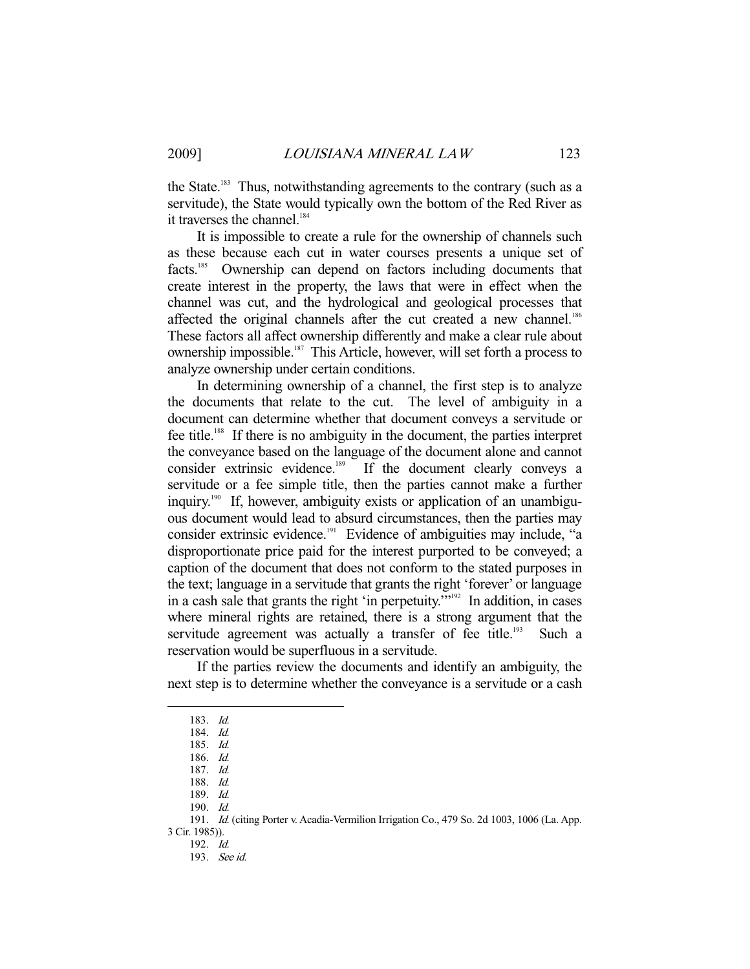the State.<sup>183</sup> Thus, notwithstanding agreements to the contrary (such as a servitude), the State would typically own the bottom of the Red River as it traverses the channel.<sup>184</sup>

 It is impossible to create a rule for the ownership of channels such as these because each cut in water courses presents a unique set of facts.185 Ownership can depend on factors including documents that create interest in the property, the laws that were in effect when the channel was cut, and the hydrological and geological processes that affected the original channels after the cut created a new channel.<sup>186</sup> These factors all affect ownership differently and make a clear rule about ownership impossible.187 This Article, however, will set forth a process to analyze ownership under certain conditions.

 In determining ownership of a channel, the first step is to analyze the documents that relate to the cut. The level of ambiguity in a document can determine whether that document conveys a servitude or fee title.188 If there is no ambiguity in the document, the parties interpret the conveyance based on the language of the document alone and cannot consider extrinsic evidence.<sup>189</sup> If the document clearly conveys a servitude or a fee simple title, then the parties cannot make a further inquiry.190 If, however, ambiguity exists or application of an unambiguous document would lead to absurd circumstances, then the parties may consider extrinsic evidence.<sup>191</sup> Evidence of ambiguities may include, "a disproportionate price paid for the interest purported to be conveyed; a caption of the document that does not conform to the stated purposes in the text; language in a servitude that grants the right 'forever' or language in a cash sale that grants the right 'in perpetuity.'"192 In addition, in cases where mineral rights are retained, there is a strong argument that the servitude agreement was actually a transfer of fee title.<sup>193</sup> Such a reservation would be superfluous in a servitude.

 If the parties review the documents and identify an ambiguity, the next step is to determine whether the conveyance is a servitude or a cash

-

191. Id. (citing Porter v. Acadia-Vermilion Irrigation Co., 479 So. 2d 1003, 1006 (La. App.

3 Cir. 1985)). 192. Id.

 <sup>183.</sup> Id.

 <sup>184.</sup> Id.

 <sup>185.</sup> Id.

 <sup>186.</sup> Id.

 <sup>187.</sup> Id.

 <sup>188.</sup> Id.

 <sup>189.</sup> Id.

 <sup>190.</sup> Id.

 <sup>193.</sup> See id.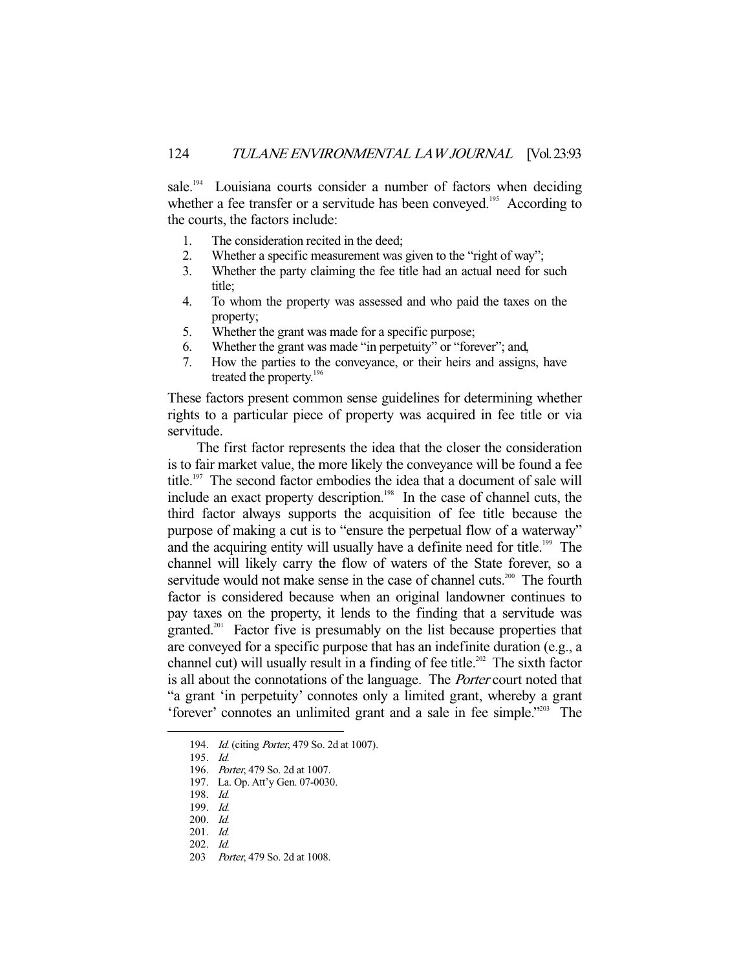sale.<sup>194</sup> Louisiana courts consider a number of factors when deciding whether a fee transfer or a servitude has been conveyed.<sup>195</sup> According to the courts, the factors include:

- 1. The consideration recited in the deed;
- 2. Whether a specific measurement was given to the "right of way";
- 3. Whether the party claiming the fee title had an actual need for such title;
- 4. To whom the property was assessed and who paid the taxes on the property;
- 5. Whether the grant was made for a specific purpose;
- 6. Whether the grant was made "in perpetuity" or "forever"; and,
- 7. How the parties to the conveyance, or their heirs and assigns, have treated the property.<sup>196</sup>

These factors present common sense guidelines for determining whether rights to a particular piece of property was acquired in fee title or via servitude.

 The first factor represents the idea that the closer the consideration is to fair market value, the more likely the conveyance will be found a fee title.<sup>197</sup> The second factor embodies the idea that a document of sale will include an exact property description.<sup>198</sup> In the case of channel cuts, the third factor always supports the acquisition of fee title because the purpose of making a cut is to "ensure the perpetual flow of a waterway" and the acquiring entity will usually have a definite need for title.<sup>199</sup> The channel will likely carry the flow of waters of the State forever, so a servitude would not make sense in the case of channel cuts.<sup>200</sup> The fourth factor is considered because when an original landowner continues to pay taxes on the property, it lends to the finding that a servitude was granted.<sup>201</sup> Factor five is presumably on the list because properties that are conveyed for a specific purpose that has an indefinite duration (e.g., a channel cut) will usually result in a finding of fee title.<sup>202</sup> The sixth factor is all about the connotations of the language. The Porter court noted that "a grant 'in perpetuity' connotes only a limited grant, whereby a grant 'forever' connotes an unlimited grant and a sale in fee simple."203 The

-

199. Id.

<sup>194.</sup> *Id.* (citing *Porter*, 479 So. 2d at 1007).

 <sup>195.</sup> Id.

 <sup>196.</sup> Porter, 479 So. 2d at 1007.

 <sup>197.</sup> La. Op. Att'y Gen. 07-0030.

 <sup>198.</sup> Id.

 <sup>200.</sup> Id.

 <sup>201.</sup> Id.

 <sup>202.</sup> Id.

<sup>203</sup> *Porter*, 479 So. 2d at 1008.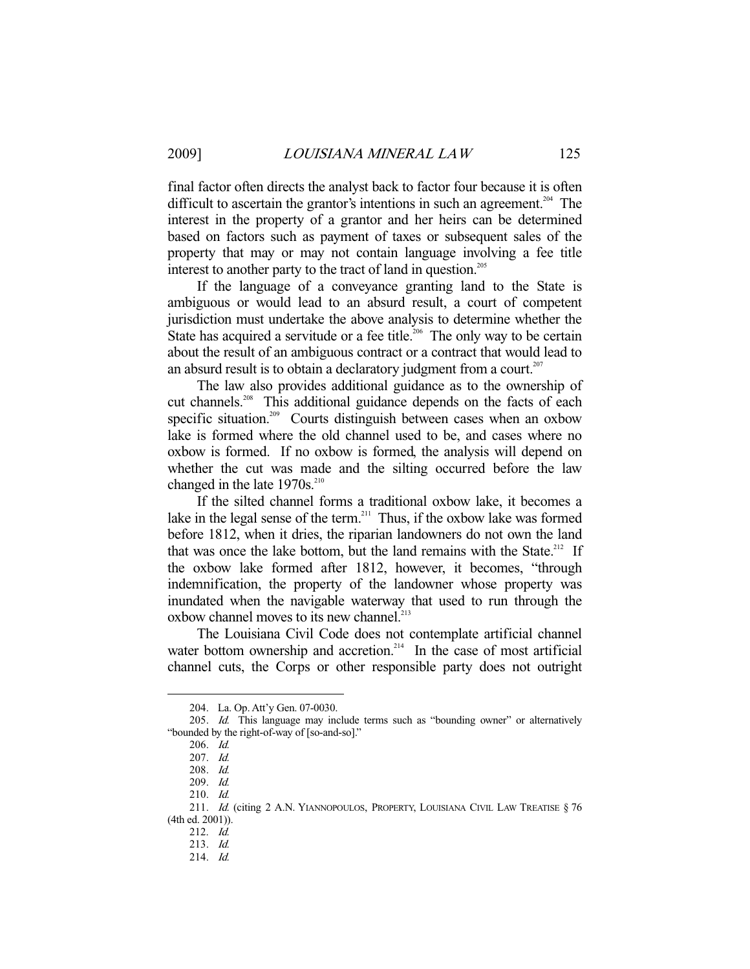final factor often directs the analyst back to factor four because it is often difficult to ascertain the grantor's intentions in such an agreement.<sup>204</sup> The interest in the property of a grantor and her heirs can be determined based on factors such as payment of taxes or subsequent sales of the property that may or may not contain language involving a fee title interest to another party to the tract of land in question.<sup>205</sup>

 If the language of a conveyance granting land to the State is ambiguous or would lead to an absurd result, a court of competent jurisdiction must undertake the above analysis to determine whether the State has acquired a servitude or a fee title.<sup>206</sup> The only way to be certain about the result of an ambiguous contract or a contract that would lead to an absurd result is to obtain a declaratory judgment from a court.<sup>207</sup>

 The law also provides additional guidance as to the ownership of cut channels.<sup>208</sup> This additional guidance depends on the facts of each specific situation.<sup>209</sup> Courts distinguish between cases when an oxbow lake is formed where the old channel used to be, and cases where no oxbow is formed. If no oxbow is formed, the analysis will depend on whether the cut was made and the silting occurred before the law changed in the late  $1970s.^{210}$ 

 If the silted channel forms a traditional oxbow lake, it becomes a lake in the legal sense of the term.<sup>211</sup> Thus, if the oxbow lake was formed before 1812, when it dries, the riparian landowners do not own the land that was once the lake bottom, but the land remains with the State.<sup>212</sup> If the oxbow lake formed after 1812, however, it becomes, "through indemnification, the property of the landowner whose property was inundated when the navigable waterway that used to run through the oxbow channel moves to its new channel.<sup>213</sup>

 The Louisiana Civil Code does not contemplate artificial channel water bottom ownership and accretion.<sup>214</sup> In the case of most artificial channel cuts, the Corps or other responsible party does not outright

 <sup>204.</sup> La. Op. Att'y Gen. 07-0030.

<sup>205.</sup> Id. This language may include terms such as "bounding owner" or alternatively "bounded by the right-of-way of [so-and-so]."

 <sup>206.</sup> Id.

 <sup>207.</sup> Id.

 <sup>208.</sup> Id.

 <sup>209.</sup> Id.

 <sup>210.</sup> Id.

<sup>211.</sup> Id. (citing 2 A.N. YIANNOPOULOS, PROPERTY, LOUISIANA CIVIL LAW TREATISE § 76 (4th ed. 2001)).

 <sup>212.</sup> Id.

 <sup>213.</sup> Id.

 <sup>214.</sup> Id.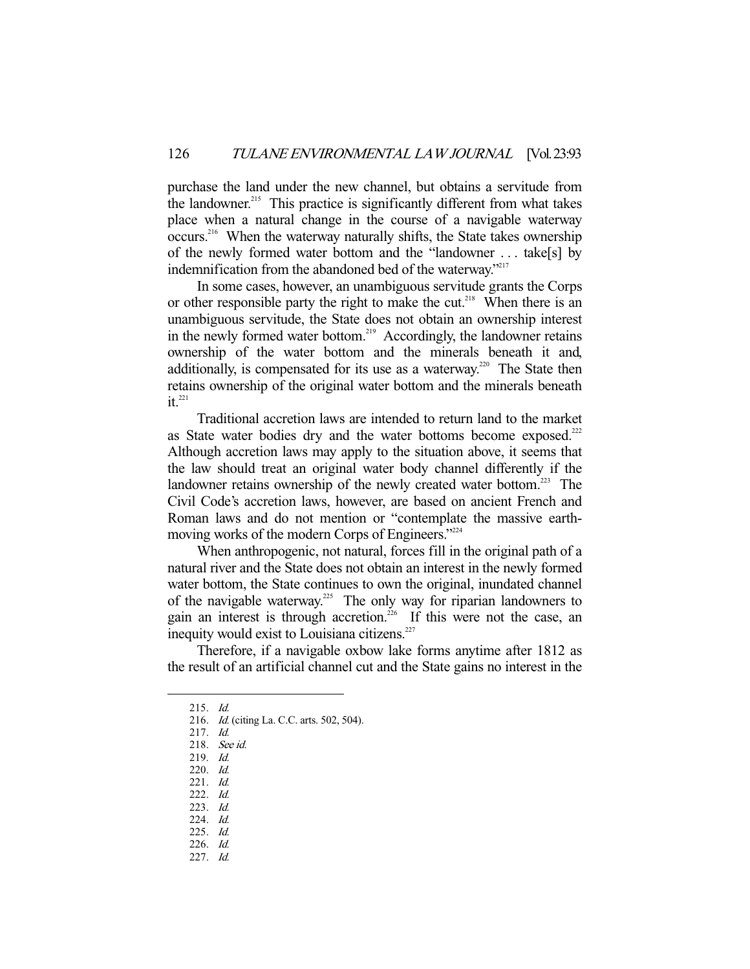purchase the land under the new channel, but obtains a servitude from the landowner.<sup>215</sup> This practice is significantly different from what takes place when a natural change in the course of a navigable waterway occurs.<sup>216</sup> When the waterway naturally shifts, the State takes ownership of the newly formed water bottom and the "landowner . . . take[s] by indemnification from the abandoned bed of the waterway."<sup>217</sup>

 In some cases, however, an unambiguous servitude grants the Corps or other responsible party the right to make the cut.<sup>218</sup> When there is an unambiguous servitude, the State does not obtain an ownership interest in the newly formed water bottom.<sup>219</sup> Accordingly, the landowner retains ownership of the water bottom and the minerals beneath it and, additionally, is compensated for its use as a waterway.<sup>220</sup> The State then retains ownership of the original water bottom and the minerals beneath  $it^{221}$ 

 Traditional accretion laws are intended to return land to the market as State water bodies dry and the water bottoms become exposed.<sup>222</sup> Although accretion laws may apply to the situation above, it seems that the law should treat an original water body channel differently if the landowner retains ownership of the newly created water bottom.<sup>223</sup> The Civil Code's accretion laws, however, are based on ancient French and Roman laws and do not mention or "contemplate the massive earthmoving works of the modern Corps of Engineers."224

 When anthropogenic, not natural, forces fill in the original path of a natural river and the State does not obtain an interest in the newly formed water bottom, the State continues to own the original, inundated channel of the navigable waterway.<sup>225</sup> The only way for riparian landowners to gain an interest is through accretion.<sup>226</sup> If this were not the case, an inequity would exist to Louisiana citizens.<sup>227</sup>

 Therefore, if a navigable oxbow lake forms anytime after 1812 as the result of an artificial channel cut and the State gains no interest in the

 <sup>215.</sup> Id.

<sup>216.</sup> *Id.* (citing La. C.C. arts. 502, 504).

 <sup>217.</sup> Id.

 <sup>218.</sup> See id.

 <sup>219.</sup> Id.

 <sup>220.</sup> Id.

 <sup>221.</sup> Id.

 <sup>222.</sup> Id.

 <sup>223.</sup> Id.

 <sup>224.</sup> Id. 225. Id.

 <sup>226.</sup> Id.

 <sup>227.</sup> Id.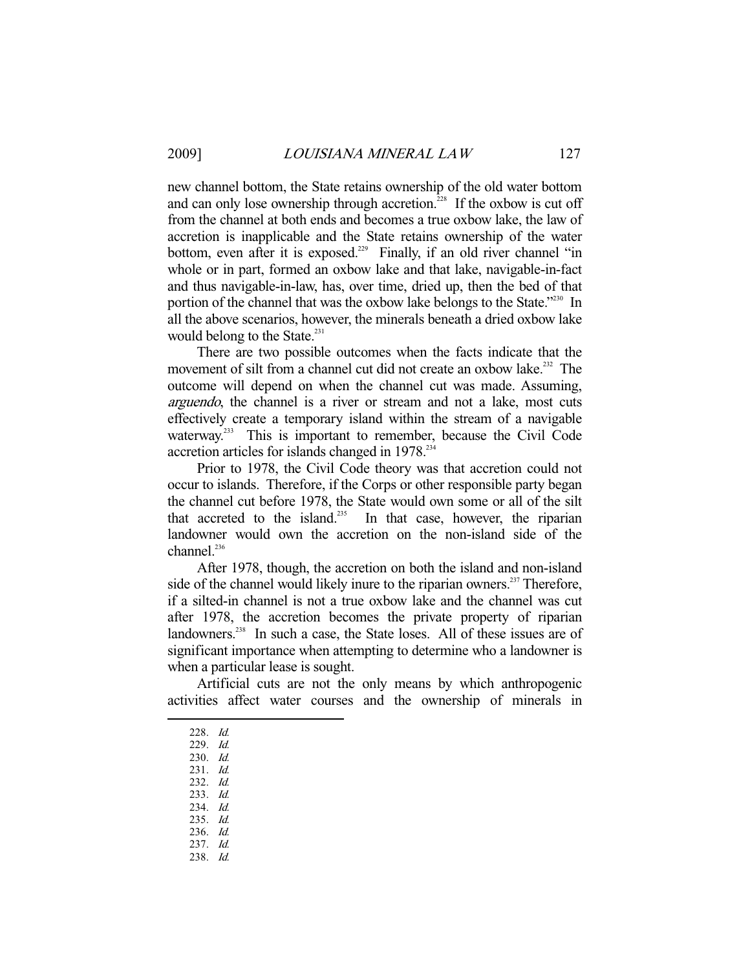new channel bottom, the State retains ownership of the old water bottom and can only lose ownership through accretion.<sup>228</sup> If the oxbow is cut off from the channel at both ends and becomes a true oxbow lake, the law of accretion is inapplicable and the State retains ownership of the water bottom, even after it is exposed.<sup>229</sup> Finally, if an old river channel "in whole or in part, formed an oxbow lake and that lake, navigable-in-fact and thus navigable-in-law, has, over time, dried up, then the bed of that portion of the channel that was the oxbow lake belongs to the State."<sup>230</sup> In all the above scenarios, however, the minerals beneath a dried oxbow lake would belong to the State.<sup>231</sup>

 There are two possible outcomes when the facts indicate that the movement of silt from a channel cut did not create an oxbow lake.<sup>232</sup> The outcome will depend on when the channel cut was made. Assuming, arguendo, the channel is a river or stream and not a lake, most cuts effectively create a temporary island within the stream of a navigable waterway.<sup>233</sup> This is important to remember, because the Civil Code accretion articles for islands changed in 1978.<sup>234</sup>

 Prior to 1978, the Civil Code theory was that accretion could not occur to islands. Therefore, if the Corps or other responsible party began the channel cut before 1978, the State would own some or all of the silt that accreted to the island.<sup>235</sup> In that case, however, the riparian landowner would own the accretion on the non-island side of the channel.<sup>236</sup>

 After 1978, though, the accretion on both the island and non-island side of the channel would likely inure to the riparian owners.<sup>237</sup> Therefore, if a silted-in channel is not a true oxbow lake and the channel was cut after 1978, the accretion becomes the private property of riparian landowners.<sup>238</sup> In such a case, the State loses. All of these issues are of significant importance when attempting to determine who a landowner is when a particular lease is sought.

 Artificial cuts are not the only means by which anthropogenic activities affect water courses and the ownership of minerals in

- 228. Id.
- 229. Id.

- 230. Id.
- 231. Id.
- 232. Id.
- 233. Id.
- 234. Id. 235. Id.
- 236. Id.
- 237. Id.
- 238. Id.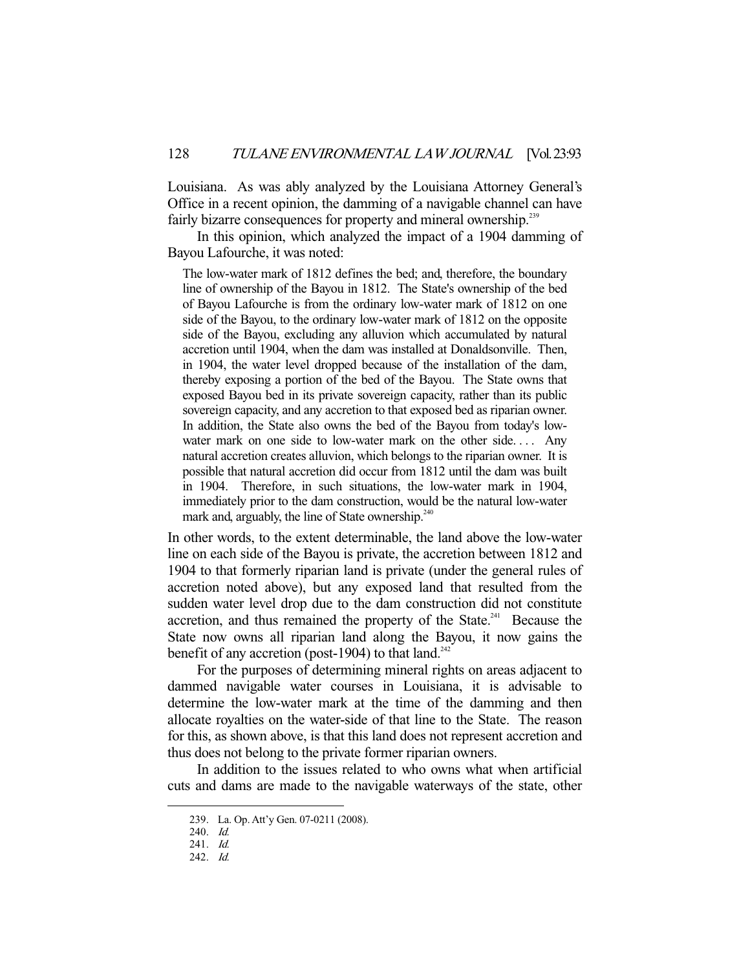Louisiana. As was ably analyzed by the Louisiana Attorney General's Office in a recent opinion, the damming of a navigable channel can have fairly bizarre consequences for property and mineral ownership.<sup>239</sup>

 In this opinion, which analyzed the impact of a 1904 damming of Bayou Lafourche, it was noted:

The low-water mark of 1812 defines the bed; and, therefore, the boundary line of ownership of the Bayou in 1812. The State's ownership of the bed of Bayou Lafourche is from the ordinary low-water mark of 1812 on one side of the Bayou, to the ordinary low-water mark of 1812 on the opposite side of the Bayou, excluding any alluvion which accumulated by natural accretion until 1904, when the dam was installed at Donaldsonville. Then, in 1904, the water level dropped because of the installation of the dam, thereby exposing a portion of the bed of the Bayou. The State owns that exposed Bayou bed in its private sovereign capacity, rather than its public sovereign capacity, and any accretion to that exposed bed as riparian owner. In addition, the State also owns the bed of the Bayou from today's lowwater mark on one side to low-water mark on the other side.... Any natural accretion creates alluvion, which belongs to the riparian owner. It is possible that natural accretion did occur from 1812 until the dam was built in 1904. Therefore, in such situations, the low-water mark in 1904, immediately prior to the dam construction, would be the natural low-water mark and, arguably, the line of State ownership. $240$ 

In other words, to the extent determinable, the land above the low-water line on each side of the Bayou is private, the accretion between 1812 and 1904 to that formerly riparian land is private (under the general rules of accretion noted above), but any exposed land that resulted from the sudden water level drop due to the dam construction did not constitute accretion, and thus remained the property of the State.<sup>241</sup> Because the State now owns all riparian land along the Bayou, it now gains the benefit of any accretion (post-1904) to that  $land.^{242}$ 

 For the purposes of determining mineral rights on areas adjacent to dammed navigable water courses in Louisiana, it is advisable to determine the low-water mark at the time of the damming and then allocate royalties on the water-side of that line to the State. The reason for this, as shown above, is that this land does not represent accretion and thus does not belong to the private former riparian owners.

 In addition to the issues related to who owns what when artificial cuts and dams are made to the navigable waterways of the state, other

 <sup>239.</sup> La. Op. Att'y Gen. 07-0211 (2008).

 <sup>240.</sup> Id. 241. Id.

 <sup>242.</sup> Id.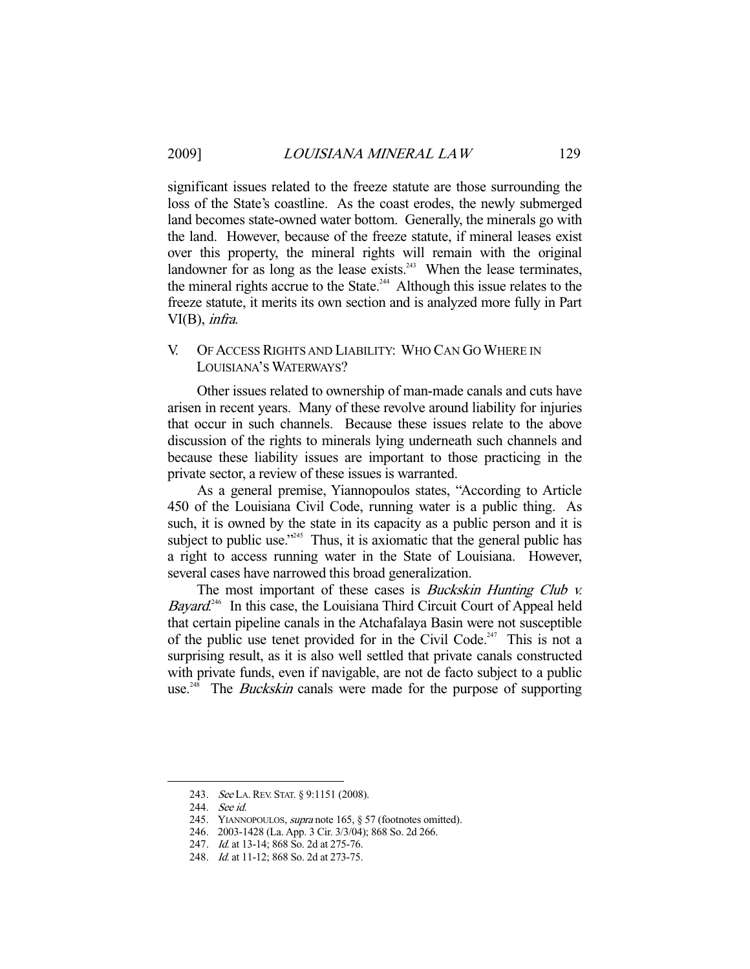significant issues related to the freeze statute are those surrounding the loss of the State's coastline. As the coast erodes, the newly submerged land becomes state-owned water bottom. Generally, the minerals go with the land. However, because of the freeze statute, if mineral leases exist over this property, the mineral rights will remain with the original landowner for as long as the lease exists.<sup>243</sup> When the lease terminates, the mineral rights accrue to the State.<sup> $244$ </sup> Although this issue relates to the freeze statute, it merits its own section and is analyzed more fully in Part VI(B), infra.

# V. OF ACCESS RIGHTS AND LIABILITY: WHO CAN GO WHERE IN LOUISIANA'S WATERWAYS?

 Other issues related to ownership of man-made canals and cuts have arisen in recent years. Many of these revolve around liability for injuries that occur in such channels. Because these issues relate to the above discussion of the rights to minerals lying underneath such channels and because these liability issues are important to those practicing in the private sector, a review of these issues is warranted.

 As a general premise, Yiannopoulos states, "According to Article 450 of the Louisiana Civil Code, running water is a public thing. As such, it is owned by the state in its capacity as a public person and it is subject to public use." $245$  Thus, it is axiomatic that the general public has a right to access running water in the State of Louisiana. However, several cases have narrowed this broad generalization.

The most important of these cases is *Buckskin Hunting Club v.* Bayard.<sup>246</sup> In this case, the Louisiana Third Circuit Court of Appeal held that certain pipeline canals in the Atchafalaya Basin were not susceptible of the public use tenet provided for in the Civil Code.<sup>247</sup> This is not a surprising result, as it is also well settled that private canals constructed with private funds, even if navigable, are not de facto subject to a public use.<sup>248</sup> The *Buckskin* canals were made for the purpose of supporting

<sup>243.</sup> See LA. REV. STAT. § 9:1151 (2008).

 <sup>244.</sup> See id.

<sup>245.</sup> YIANNOPOULOS, *supra* note 165, § 57 (footnotes omitted).

 <sup>246. 2003-1428 (</sup>La. App. 3 Cir. 3/3/04); 868 So. 2d 266.

<sup>247.</sup> *Id.* at 13-14; 868 So. 2d at 275-76.

<sup>248.</sup> *Id.* at 11-12; 868 So. 2d at 273-75.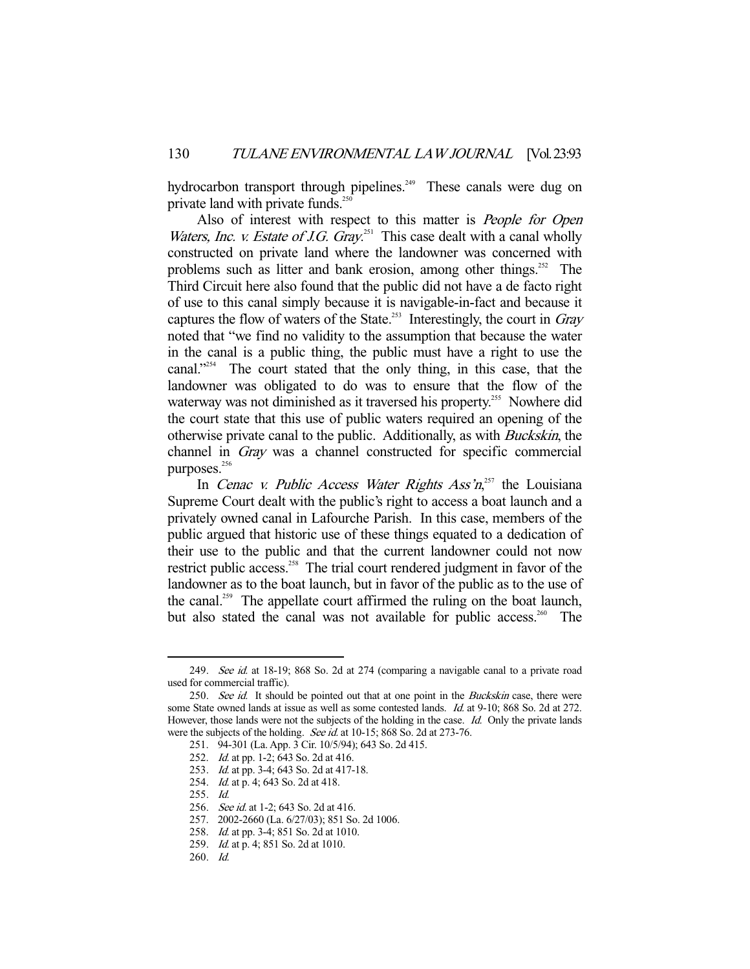hydrocarbon transport through pipelines.<sup>249</sup> These canals were dug on private land with private funds. $25$ 

Also of interest with respect to this matter is People for Open *Waters, Inc. v. Estate of J.G. Gray.*<sup>251</sup> This case dealt with a canal wholly constructed on private land where the landowner was concerned with problems such as litter and bank erosion, among other things.<sup>252</sup> The Third Circuit here also found that the public did not have a de facto right of use to this canal simply because it is navigable-in-fact and because it captures the flow of waters of the State.<sup>253</sup> Interestingly, the court in  $Gray$ noted that "we find no validity to the assumption that because the water in the canal is a public thing, the public must have a right to use the canal."254 The court stated that the only thing, in this case, that the landowner was obligated to do was to ensure that the flow of the waterway was not diminished as it traversed his property.<sup>255</sup> Nowhere did the court state that this use of public waters required an opening of the otherwise private canal to the public. Additionally, as with Buckskin, the channel in Gray was a channel constructed for specific commercial purposes.<sup>256</sup>

In Cenac v. Public Access Water Rights  $Ass \, n^{257}$  the Louisiana Supreme Court dealt with the public's right to access a boat launch and a privately owned canal in Lafourche Parish. In this case, members of the public argued that historic use of these things equated to a dedication of their use to the public and that the current landowner could not now restrict public access.<sup>258</sup> The trial court rendered judgment in favor of the landowner as to the boat launch, but in favor of the public as to the use of the canal.<sup>259</sup> The appellate court affirmed the ruling on the boat launch, but also stated the canal was not available for public access.<sup>260</sup> The

<sup>249.</sup> See id. at 18-19; 868 So. 2d at 274 (comparing a navigable canal to a private road used for commercial traffic).

<sup>250.</sup> See id. It should be pointed out that at one point in the Buckskin case, there were some State owned lands at issue as well as some contested lands. *Id.* at 9-10; 868 So. 2d at 272. However, those lands were not the subjects of the holding in the case. Id. Only the private lands were the subjects of the holding. See id. at 10-15; 868 So. 2d at 273-76.

 <sup>251. 94-301 (</sup>La. App. 3 Cir. 10/5/94); 643 So. 2d 415.

<sup>252.</sup> *Id.* at pp. 1-2; 643 So. 2d at 416.

<sup>253.</sup> *Id.* at pp. 3-4; 643 So. 2d at 417-18.

 <sup>254.</sup> Id. at p. 4; 643 So. 2d at 418.

 <sup>255.</sup> Id.

<sup>256.</sup> *See id.* at 1-2; 643 So. 2d at 416.

 <sup>257. 2002-2660 (</sup>La. 6/27/03); 851 So. 2d 1006.

 <sup>258.</sup> Id. at pp. 3-4; 851 So. 2d at 1010.

<sup>259.</sup> *Id.* at p. 4; 851 So. 2d at 1010.

 <sup>260.</sup> Id.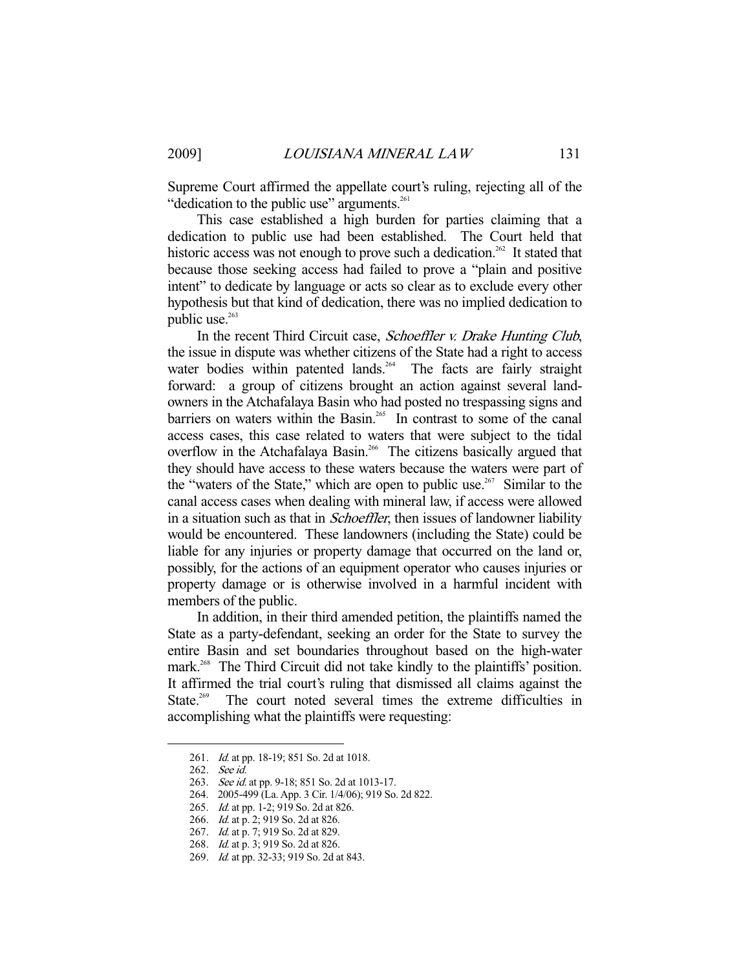Supreme Court affirmed the appellate court's ruling, rejecting all of the "dedication to the public use" arguments.<sup>261</sup>

 This case established a high burden for parties claiming that a dedication to public use had been established. The Court held that historic access was not enough to prove such a dedication.<sup>262</sup> It stated that because those seeking access had failed to prove a "plain and positive intent" to dedicate by language or acts so clear as to exclude every other hypothesis but that kind of dedication, there was no implied dedication to public use.<sup>263</sup>

 In the recent Third Circuit case, Schoeffler v. Drake Hunting Club, the issue in dispute was whether citizens of the State had a right to access water bodies within patented lands.<sup>264</sup> The facts are fairly straight forward: a group of citizens brought an action against several landowners in the Atchafalaya Basin who had posted no trespassing signs and barriers on waters within the Basin.<sup>265</sup> In contrast to some of the canal access cases, this case related to waters that were subject to the tidal overflow in the Atchafalaya Basin.<sup>266</sup> The citizens basically argued that they should have access to these waters because the waters were part of the "waters of the State," which are open to public use.<sup>267</sup> Similar to the canal access cases when dealing with mineral law, if access were allowed in a situation such as that in *Schoeffler*, then issues of landowner liability would be encountered. These landowners (including the State) could be liable for any injuries or property damage that occurred on the land or, possibly, for the actions of an equipment operator who causes injuries or property damage or is otherwise involved in a harmful incident with members of the public.

 In addition, in their third amended petition, the plaintiffs named the State as a party-defendant, seeking an order for the State to survey the entire Basin and set boundaries throughout based on the high-water mark.<sup>268</sup> The Third Circuit did not take kindly to the plaintiffs' position. It affirmed the trial court's ruling that dismissed all claims against the State.<sup>269</sup> The court noted several times the extreme difficulties in accomplishing what the plaintiffs were requesting:

<sup>261.</sup> *Id.* at pp. 18-19; 851 So. 2d at 1018.

 <sup>262.</sup> See id.

<sup>263.</sup> See id. at pp. 9-18; 851 So. 2d at 1013-17.

 <sup>264. 2005-499 (</sup>La. App. 3 Cir. 1/4/06); 919 So. 2d 822.

 <sup>265.</sup> Id. at pp. 1-2; 919 So. 2d at 826.

<sup>266.</sup> *Id.* at p. 2; 919 So. 2d at 826.

<sup>267.</sup> *Id.* at p. 7; 919 So. 2d at 829.

 <sup>268.</sup> Id. at p. 3; 919 So. 2d at 826.

<sup>269.</sup> *Id.* at pp. 32-33; 919 So. 2d at 843.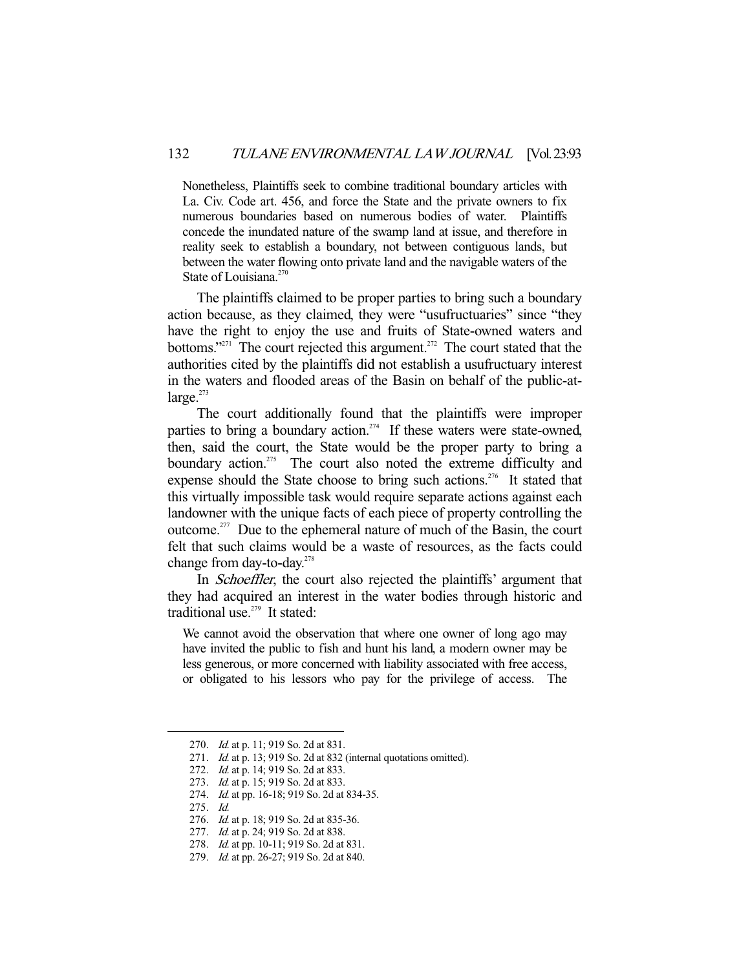Nonetheless, Plaintiffs seek to combine traditional boundary articles with La. Civ. Code art. 456, and force the State and the private owners to fix numerous boundaries based on numerous bodies of water. Plaintiffs concede the inundated nature of the swamp land at issue, and therefore in reality seek to establish a boundary, not between contiguous lands, but between the water flowing onto private land and the navigable waters of the State of Louisiana.<sup>270</sup>

 The plaintiffs claimed to be proper parties to bring such a boundary action because, as they claimed, they were "usufructuaries" since "they have the right to enjoy the use and fruits of State-owned waters and bottoms."<sup>271</sup> The court rejected this argument.<sup>272</sup> The court stated that the authorities cited by the plaintiffs did not establish a usufructuary interest in the waters and flooded areas of the Basin on behalf of the public-at $l$ arge. $273$ 

 The court additionally found that the plaintiffs were improper parties to bring a boundary action.<sup>274</sup> If these waters were state-owned, then, said the court, the State would be the proper party to bring a boundary action.<sup>275</sup> The court also noted the extreme difficulty and expense should the State choose to bring such actions.<sup>276</sup> It stated that this virtually impossible task would require separate actions against each landowner with the unique facts of each piece of property controlling the outcome.<sup>277</sup> Due to the ephemeral nature of much of the Basin, the court felt that such claims would be a waste of resources, as the facts could change from day-to-day.<sup>278</sup>

 In Schoeffler, the court also rejected the plaintiffs' argument that they had acquired an interest in the water bodies through historic and traditional use.<sup>279</sup> It stated:

We cannot avoid the observation that where one owner of long ago may have invited the public to fish and hunt his land, a modern owner may be less generous, or more concerned with liability associated with free access, or obligated to his lessors who pay for the privilege of access. The

<sup>270.</sup> *Id.* at p. 11; 919 So. 2d at 831.

<sup>271.</sup> Id. at p. 13; 919 So. 2d at 832 (internal quotations omitted).

<sup>272.</sup> *Id.* at p. 14; 919 So. 2d at 833.

<sup>273.</sup> *Id.* at p. 15; 919 So. 2d at 833.

<sup>274.</sup> *Id.* at pp. 16-18; 919 So. 2d at 834-35.

 <sup>275.</sup> Id.

<sup>276.</sup> *Id.* at p. 18; 919 So. 2d at 835-36.

<sup>277.</sup> *Id.* at p. 24; 919 So. 2d at 838.

<sup>278.</sup> *Id.* at pp. 10-11; 919 So. 2d at 831.

 <sup>279.</sup> Id. at pp. 26-27; 919 So. 2d at 840.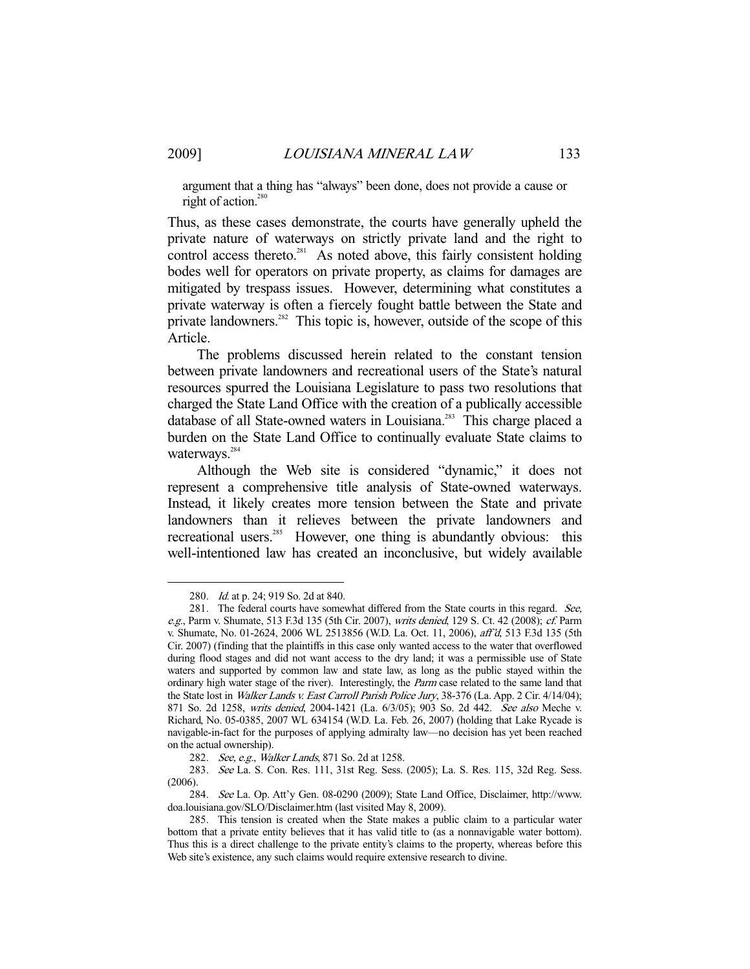argument that a thing has "always" been done, does not provide a cause or right of action.<sup>280</sup>

Thus, as these cases demonstrate, the courts have generally upheld the private nature of waterways on strictly private land and the right to control access thereto.<sup>281</sup> As noted above, this fairly consistent holding bodes well for operators on private property, as claims for damages are mitigated by trespass issues. However, determining what constitutes a private waterway is often a fiercely fought battle between the State and private landowners.<sup>282</sup> This topic is, however, outside of the scope of this Article.

 The problems discussed herein related to the constant tension between private landowners and recreational users of the State's natural resources spurred the Louisiana Legislature to pass two resolutions that charged the State Land Office with the creation of a publically accessible database of all State-owned waters in Louisiana.<sup>283</sup> This charge placed a burden on the State Land Office to continually evaluate State claims to waterways.<sup>284</sup>

 Although the Web site is considered "dynamic," it does not represent a comprehensive title analysis of State-owned waterways. Instead, it likely creates more tension between the State and private landowners than it relieves between the private landowners and recreational users.<sup>285</sup> However, one thing is abundantly obvious: this well-intentioned law has created an inconclusive, but widely available

 <sup>280.</sup> Id. at p. 24; 919 So. 2d at 840.

<sup>281.</sup> The federal courts have somewhat differed from the State courts in this regard. See, e.g., Parm v. Shumate, 513 F.3d 135 (5th Cir. 2007), writs denied, 129 S. Ct. 42 (2008); cf. Parm v. Shumate, No. 01-2624, 2006 WL 2513856 (W.D. La. Oct. 11, 2006), aff'd, 513 F.3d 135 (5th Cir. 2007) (finding that the plaintiffs in this case only wanted access to the water that overflowed during flood stages and did not want access to the dry land; it was a permissible use of State waters and supported by common law and state law, as long as the public stayed within the ordinary high water stage of the river). Interestingly, the *Parm* case related to the same land that the State lost in Walker Lands v. East Carroll Parish Police Jury, 38-376 (La. App. 2 Cir. 4/14/04); 871 So. 2d 1258, writs denied, 2004-1421 (La. 6/3/05); 903 So. 2d 442. See also Meche v. Richard, No. 05-0385, 2007 WL 634154 (W.D. La. Feb. 26, 2007) (holding that Lake Rycade is navigable-in-fact for the purposes of applying admiralty law—no decision has yet been reached on the actual ownership).

<sup>282.</sup> See, e.g., Walker Lands, 871 So. 2d at 1258.

 <sup>283.</sup> See La. S. Con. Res. 111, 31st Reg. Sess. (2005); La. S. Res. 115, 32d Reg. Sess. (2006).

 <sup>284.</sup> See La. Op. Att'y Gen. 08-0290 (2009); State Land Office, Disclaimer, http://www. doa.louisiana.gov/SLO/Disclaimer.htm (last visited May 8, 2009).

 <sup>285.</sup> This tension is created when the State makes a public claim to a particular water bottom that a private entity believes that it has valid title to (as a nonnavigable water bottom). Thus this is a direct challenge to the private entity's claims to the property, whereas before this Web site's existence, any such claims would require extensive research to divine.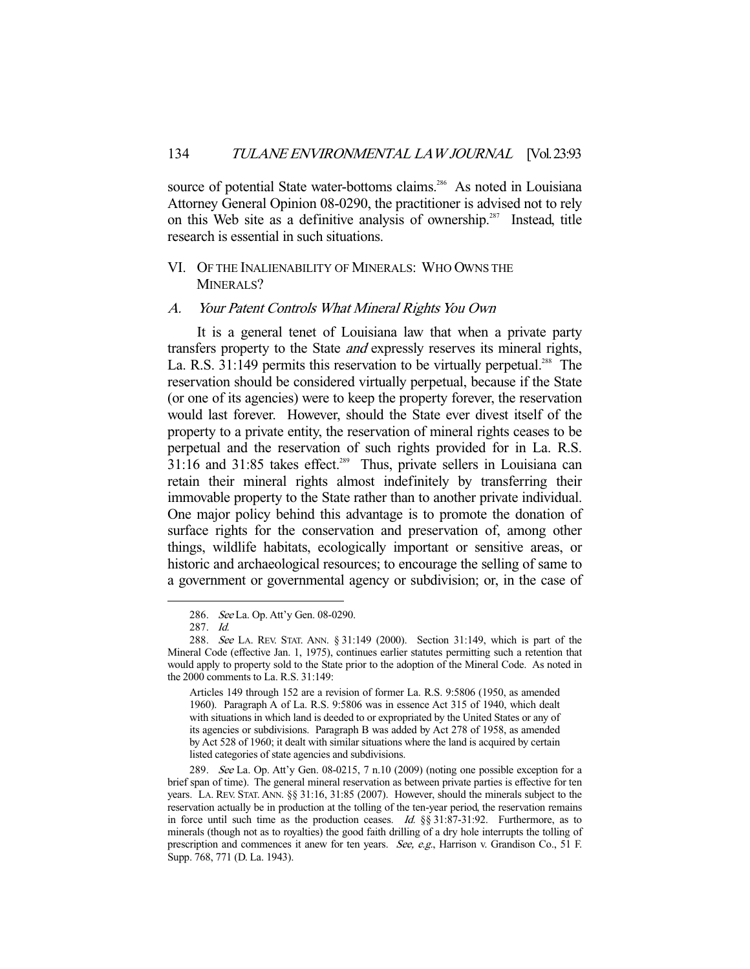source of potential State water-bottoms claims.<sup>286</sup> As noted in Louisiana Attorney General Opinion 08-0290, the practitioner is advised not to rely on this Web site as a definitive analysis of ownership.<sup>287</sup> Instead, title research is essential in such situations.

## VI. OF THE INALIENABILITY OF MINERALS: WHO OWNS THE MINERALS?

### A. Your Patent Controls What Mineral Rights You Own

 It is a general tenet of Louisiana law that when a private party transfers property to the State and expressly reserves its mineral rights, La. R.S. 31:149 permits this reservation to be virtually perpetual.<sup>288</sup> The reservation should be considered virtually perpetual, because if the State (or one of its agencies) were to keep the property forever, the reservation would last forever. However, should the State ever divest itself of the property to a private entity, the reservation of mineral rights ceases to be perpetual and the reservation of such rights provided for in La. R.S.  $31:16$  and  $31:85$  takes effect.<sup>289</sup> Thus, private sellers in Louisiana can retain their mineral rights almost indefinitely by transferring their immovable property to the State rather than to another private individual. One major policy behind this advantage is to promote the donation of surface rights for the conservation and preservation of, among other things, wildlife habitats, ecologically important or sensitive areas, or historic and archaeological resources; to encourage the selling of same to a government or governmental agency or subdivision; or, in the case of

 <sup>286.</sup> See La. Op. Att'y Gen. 08-0290.

 <sup>287.</sup> Id.

 <sup>288.</sup> See LA. REV. STAT. ANN. § 31:149 (2000). Section 31:149, which is part of the Mineral Code (effective Jan. 1, 1975), continues earlier statutes permitting such a retention that would apply to property sold to the State prior to the adoption of the Mineral Code. As noted in the 2000 comments to La. R.S. 31:149:

Articles 149 through 152 are a revision of former La. R.S. 9:5806 (1950, as amended 1960). Paragraph A of La. R.S. 9:5806 was in essence Act 315 of 1940, which dealt with situations in which land is deeded to or expropriated by the United States or any of its agencies or subdivisions. Paragraph B was added by Act 278 of 1958, as amended by Act 528 of 1960; it dealt with similar situations where the land is acquired by certain listed categories of state agencies and subdivisions.

 <sup>289.</sup> See La. Op. Att'y Gen. 08-0215, 7 n.10 (2009) (noting one possible exception for a brief span of time). The general mineral reservation as between private parties is effective for ten years. LA. REV. STAT. ANN. §§ 31:16, 31:85 (2007). However, should the minerals subject to the reservation actually be in production at the tolling of the ten-year period, the reservation remains in force until such time as the production ceases. Id.  $\S$ § 31:87-31:92. Furthermore, as to minerals (though not as to royalties) the good faith drilling of a dry hole interrupts the tolling of prescription and commences it anew for ten years. See, e.g., Harrison v. Grandison Co., 51 F. Supp. 768, 771 (D. La. 1943).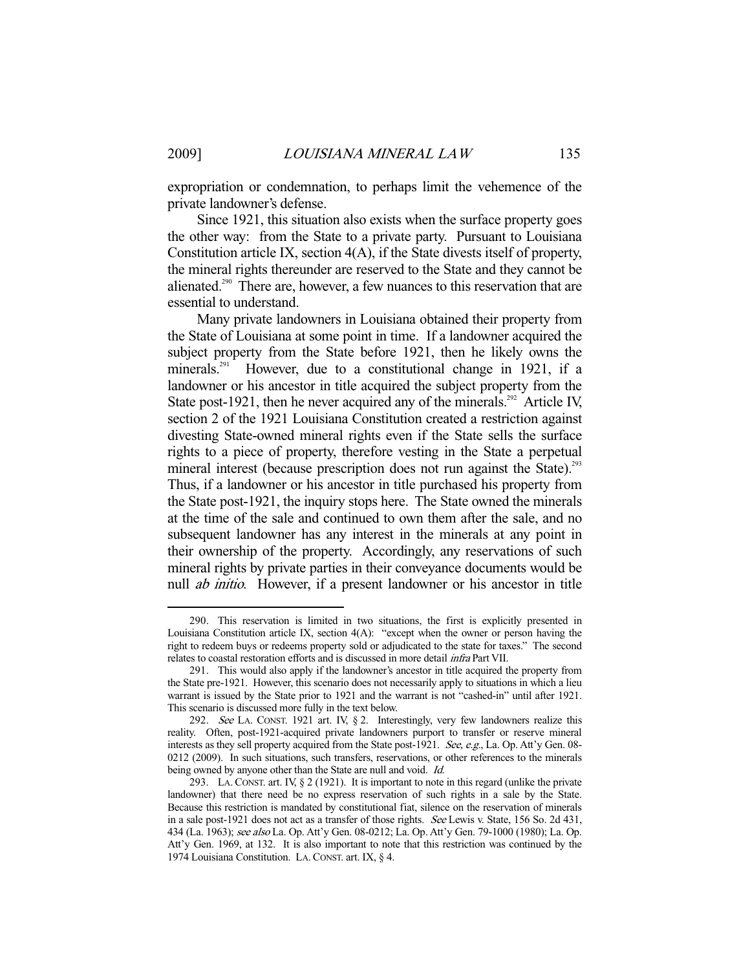expropriation or condemnation, to perhaps limit the vehemence of the private landowner's defense.

 Since 1921, this situation also exists when the surface property goes the other way: from the State to a private party. Pursuant to Louisiana Constitution article IX, section 4(A), if the State divests itself of property, the mineral rights thereunder are reserved to the State and they cannot be alienated.<sup>290</sup> There are, however, a few nuances to this reservation that are essential to understand.

 Many private landowners in Louisiana obtained their property from the State of Louisiana at some point in time. If a landowner acquired the subject property from the State before 1921, then he likely owns the minerals.<sup>291</sup> However, due to a constitutional change in 1921, if a landowner or his ancestor in title acquired the subject property from the State post-1921, then he never acquired any of the minerals.<sup> $292$ </sup> Article IV, section 2 of the 1921 Louisiana Constitution created a restriction against divesting State-owned mineral rights even if the State sells the surface rights to a piece of property, therefore vesting in the State a perpetual mineral interest (because prescription does not run against the State).<sup>293</sup> Thus, if a landowner or his ancestor in title purchased his property from the State post-1921, the inquiry stops here. The State owned the minerals at the time of the sale and continued to own them after the sale, and no subsequent landowner has any interest in the minerals at any point in their ownership of the property. Accordingly, any reservations of such mineral rights by private parties in their conveyance documents would be null ab initio. However, if a present landowner or his ancestor in title

 <sup>290.</sup> This reservation is limited in two situations, the first is explicitly presented in Louisiana Constitution article IX, section 4(A): "except when the owner or person having the right to redeem buys or redeems property sold or adjudicated to the state for taxes." The second relates to coastal restoration efforts and is discussed in more detail infra Part VII.

 <sup>291.</sup> This would also apply if the landowner's ancestor in title acquired the property from the State pre-1921. However, this scenario does not necessarily apply to situations in which a lieu warrant is issued by the State prior to 1921 and the warrant is not "cashed-in" until after 1921. This scenario is discussed more fully in the text below.

 <sup>292.</sup> See LA. CONST. 1921 art. IV, § 2. Interestingly, very few landowners realize this reality. Often, post-1921-acquired private landowners purport to transfer or reserve mineral interests as they sell property acquired from the State post-1921. See, e.g., La. Op. Att'y Gen. 08-0212 (2009). In such situations, such transfers, reservations, or other references to the minerals being owned by anyone other than the State are null and void. *Id.* 

 <sup>293.</sup> LA. CONST. art. IV, § 2 (1921). It is important to note in this regard (unlike the private landowner) that there need be no express reservation of such rights in a sale by the State. Because this restriction is mandated by constitutional fiat, silence on the reservation of minerals in a sale post-1921 does not act as a transfer of those rights. See Lewis v. State, 156 So. 2d 431, 434 (La. 1963); see also La. Op. Att'y Gen. 08-0212; La. Op. Att'y Gen. 79-1000 (1980); La. Op. Att'y Gen. 1969, at 132. It is also important to note that this restriction was continued by the 1974 Louisiana Constitution. LA.CONST. art. IX, § 4.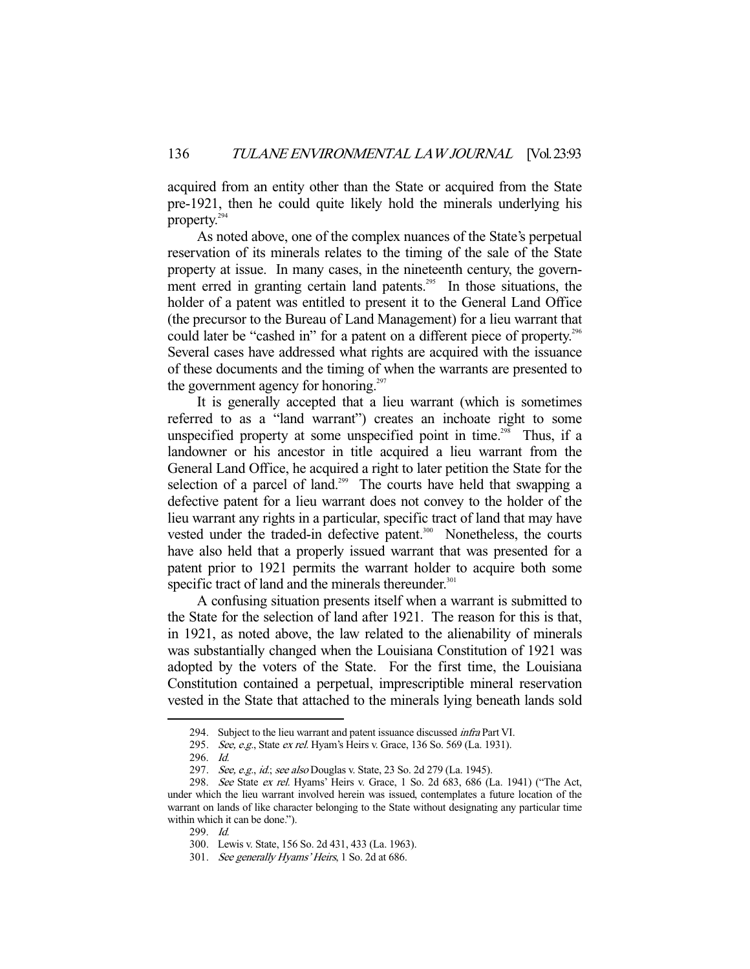acquired from an entity other than the State or acquired from the State pre-1921, then he could quite likely hold the minerals underlying his property.294

 As noted above, one of the complex nuances of the State's perpetual reservation of its minerals relates to the timing of the sale of the State property at issue. In many cases, in the nineteenth century, the government erred in granting certain land patents.<sup>295</sup> In those situations, the holder of a patent was entitled to present it to the General Land Office (the precursor to the Bureau of Land Management) for a lieu warrant that could later be "cashed in" for a patent on a different piece of property.<sup>296</sup> Several cases have addressed what rights are acquired with the issuance of these documents and the timing of when the warrants are presented to the government agency for honoring.<sup>297</sup>

 It is generally accepted that a lieu warrant (which is sometimes referred to as a "land warrant") creates an inchoate right to some unspecified property at some unspecified point in time.<sup>298</sup> Thus, if a landowner or his ancestor in title acquired a lieu warrant from the General Land Office, he acquired a right to later petition the State for the selection of a parcel of land.<sup>299</sup> The courts have held that swapping a defective patent for a lieu warrant does not convey to the holder of the lieu warrant any rights in a particular, specific tract of land that may have vested under the traded-in defective patent.<sup>300</sup> Nonetheless, the courts have also held that a properly issued warrant that was presented for a patent prior to 1921 permits the warrant holder to acquire both some specific tract of land and the minerals thereunder. $301$ 

 A confusing situation presents itself when a warrant is submitted to the State for the selection of land after 1921. The reason for this is that, in 1921, as noted above, the law related to the alienability of minerals was substantially changed when the Louisiana Constitution of 1921 was adopted by the voters of the State. For the first time, the Louisiana Constitution contained a perpetual, imprescriptible mineral reservation vested in the State that attached to the minerals lying beneath lands sold

<sup>294.</sup> Subject to the lieu warrant and patent issuance discussed *infra* Part VI.

<sup>295.</sup> See, e.g., State ex rel. Hyam's Heirs v. Grace, 136 So. 569 (La. 1931).

 <sup>296.</sup> Id.

<sup>297.</sup> See, e.g., id.; see also Douglas v. State, 23 So. 2d 279 (La. 1945).

 <sup>298.</sup> See State ex rel. Hyams' Heirs v. Grace, 1 So. 2d 683, 686 (La. 1941) ("The Act, under which the lieu warrant involved herein was issued, contemplates a future location of the warrant on lands of like character belonging to the State without designating any particular time within which it can be done.").

 <sup>299.</sup> Id.

 <sup>300.</sup> Lewis v. State, 156 So. 2d 431, 433 (La. 1963).

 <sup>301.</sup> See generally Hyams' Heirs, 1 So. 2d at 686.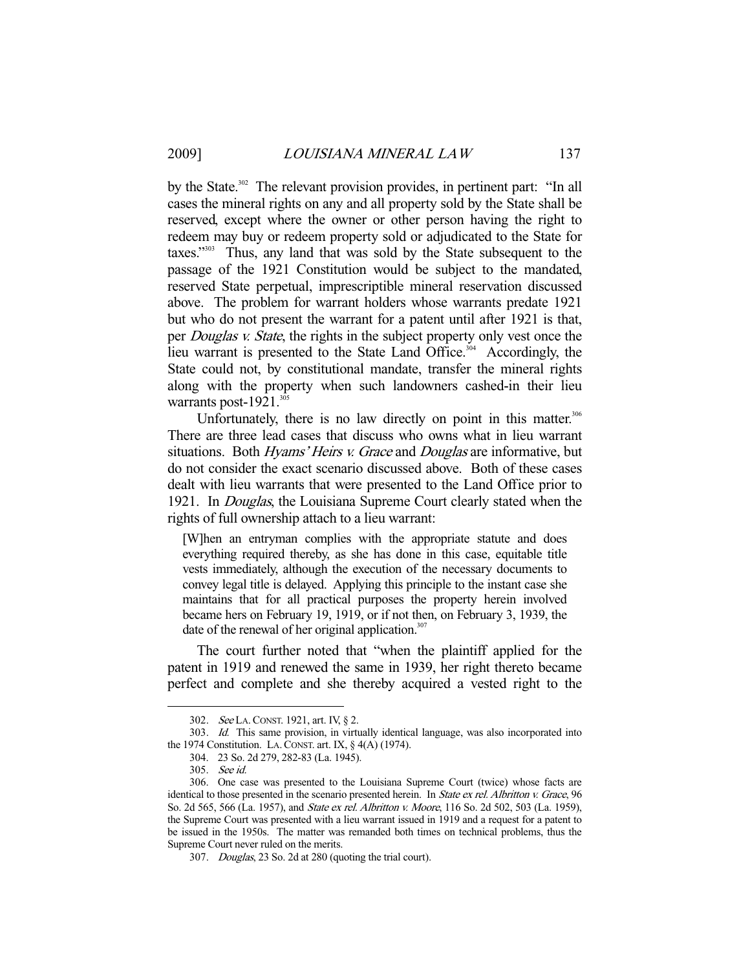by the State.<sup>302</sup> The relevant provision provides, in pertinent part: "In all cases the mineral rights on any and all property sold by the State shall be reserved, except where the owner or other person having the right to redeem may buy or redeem property sold or adjudicated to the State for taxes."303 Thus, any land that was sold by the State subsequent to the passage of the 1921 Constitution would be subject to the mandated, reserved State perpetual, imprescriptible mineral reservation discussed above. The problem for warrant holders whose warrants predate 1921 but who do not present the warrant for a patent until after 1921 is that, per *Douglas v. State*, the rights in the subject property only vest once the lieu warrant is presented to the State Land Office.<sup>304</sup> Accordingly, the State could not, by constitutional mandate, transfer the mineral rights along with the property when such landowners cashed-in their lieu warrants post-1921.<sup>305</sup>

Unfortunately, there is no law directly on point in this matter.<sup>306</sup> There are three lead cases that discuss who owns what in lieu warrant situations. Both *Hyams' Heirs v. Grace* and *Douglas* are informative, but do not consider the exact scenario discussed above. Both of these cases dealt with lieu warrants that were presented to the Land Office prior to 1921. In Douglas, the Louisiana Supreme Court clearly stated when the rights of full ownership attach to a lieu warrant:

[W]hen an entryman complies with the appropriate statute and does everything required thereby, as she has done in this case, equitable title vests immediately, although the execution of the necessary documents to convey legal title is delayed. Applying this principle to the instant case she maintains that for all practical purposes the property herein involved became hers on February 19, 1919, or if not then, on February 3, 1939, the date of the renewal of her original application. $307$ 

 The court further noted that "when the plaintiff applied for the patent in 1919 and renewed the same in 1939, her right thereto became perfect and complete and she thereby acquired a vested right to the

<sup>302.</sup> See LA. CONST. 1921, art. IV, § 2.

 <sup>303.</sup> Id. This same provision, in virtually identical language, was also incorporated into the 1974 Constitution. LA. CONST. art. IX,  $\S$  4(A) (1974).

 <sup>304. 23</sup> So. 2d 279, 282-83 (La. 1945).

 <sup>305.</sup> See id.

 <sup>306.</sup> One case was presented to the Louisiana Supreme Court (twice) whose facts are identical to those presented in the scenario presented herein. In State ex rel. Albritton v. Grace, 96 So. 2d 565, 566 (La. 1957), and State ex rel. Albritton v. Moore, 116 So. 2d 502, 503 (La. 1959), the Supreme Court was presented with a lieu warrant issued in 1919 and a request for a patent to be issued in the 1950s. The matter was remanded both times on technical problems, thus the Supreme Court never ruled on the merits.

 <sup>307.</sup> Douglas, 23 So. 2d at 280 (quoting the trial court).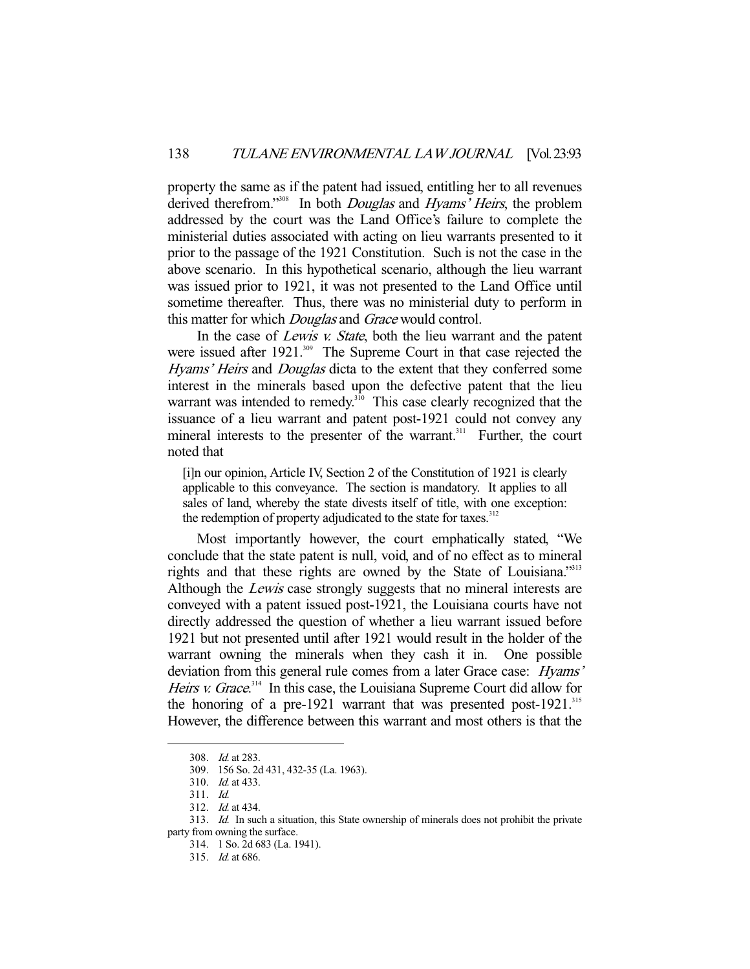property the same as if the patent had issued, entitling her to all revenues derived therefrom."<sup>308</sup> In both *Douglas* and *Hyams' Heirs*, the problem addressed by the court was the Land Office's failure to complete the ministerial duties associated with acting on lieu warrants presented to it prior to the passage of the 1921 Constitution. Such is not the case in the above scenario. In this hypothetical scenario, although the lieu warrant was issued prior to 1921, it was not presented to the Land Office until sometime thereafter. Thus, there was no ministerial duty to perform in this matter for which *Douglas* and *Grace* would control.

In the case of Lewis v. State, both the lieu warrant and the patent were issued after 1921.<sup>309</sup> The Supreme Court in that case rejected the Hyams' Heirs and Douglas dicta to the extent that they conferred some interest in the minerals based upon the defective patent that the lieu warrant was intended to remedy.<sup>310</sup> This case clearly recognized that the issuance of a lieu warrant and patent post-1921 could not convey any mineral interests to the presenter of the warrant.<sup>311</sup> Further, the court noted that

[i]n our opinion, Article IV, Section 2 of the Constitution of 1921 is clearly applicable to this conveyance. The section is mandatory. It applies to all sales of land, whereby the state divests itself of title, with one exception: the redemption of property adjudicated to the state for taxes.<sup>312</sup>

 Most importantly however, the court emphatically stated, "We conclude that the state patent is null, void, and of no effect as to mineral rights and that these rights are owned by the State of Louisiana."313 Although the *Lewis* case strongly suggests that no mineral interests are conveyed with a patent issued post-1921, the Louisiana courts have not directly addressed the question of whether a lieu warrant issued before 1921 but not presented until after 1921 would result in the holder of the warrant owning the minerals when they cash it in. One possible deviation from this general rule comes from a later Grace case: *Hyams'* Heirs v. Grace.<sup>314</sup> In this case, the Louisiana Supreme Court did allow for the honoring of a pre-1921 warrant that was presented post-1921. $^{315}$ However, the difference between this warrant and most others is that the

 <sup>308.</sup> Id. at 283.

 <sup>309. 156</sup> So. 2d 431, 432-35 (La. 1963).

 <sup>310.</sup> Id. at 433.

 <sup>311.</sup> Id.

 <sup>312.</sup> Id. at 434.

 <sup>313.</sup> Id. In such a situation, this State ownership of minerals does not prohibit the private party from owning the surface.

 <sup>314. 1</sup> So. 2d 683 (La. 1941).

 <sup>315.</sup> Id. at 686.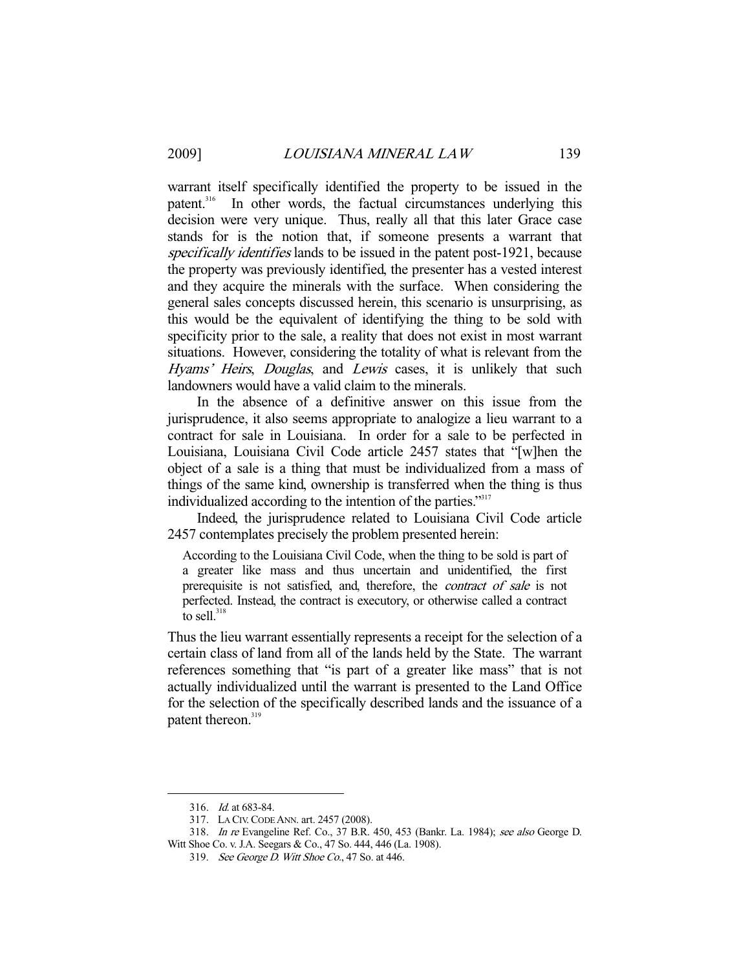warrant itself specifically identified the property to be issued in the patent.<sup>316</sup> In other words, the factual circumstances underlying this In other words, the factual circumstances underlying this decision were very unique. Thus, really all that this later Grace case stands for is the notion that, if someone presents a warrant that specifically identifies lands to be issued in the patent post-1921, because the property was previously identified, the presenter has a vested interest and they acquire the minerals with the surface. When considering the general sales concepts discussed herein, this scenario is unsurprising, as this would be the equivalent of identifying the thing to be sold with specificity prior to the sale, a reality that does not exist in most warrant situations. However, considering the totality of what is relevant from the Hyams' Heirs, Douglas, and Lewis cases, it is unlikely that such landowners would have a valid claim to the minerals.

 In the absence of a definitive answer on this issue from the jurisprudence, it also seems appropriate to analogize a lieu warrant to a contract for sale in Louisiana. In order for a sale to be perfected in Louisiana, Louisiana Civil Code article 2457 states that "[w]hen the object of a sale is a thing that must be individualized from a mass of things of the same kind, ownership is transferred when the thing is thus individualized according to the intention of the parties."317

 Indeed, the jurisprudence related to Louisiana Civil Code article 2457 contemplates precisely the problem presented herein:

According to the Louisiana Civil Code, when the thing to be sold is part of a greater like mass and thus uncertain and unidentified, the first prerequisite is not satisfied, and, therefore, the *contract of sale* is not perfected. Instead, the contract is executory, or otherwise called a contract to sell. $318$ 

Thus the lieu warrant essentially represents a receipt for the selection of a certain class of land from all of the lands held by the State. The warrant references something that "is part of a greater like mass" that is not actually individualized until the warrant is presented to the Land Office for the selection of the specifically described lands and the issuance of a patent thereon.<sup>319</sup>

 <sup>316.</sup> Id. at 683-84.

 <sup>317.</sup> LA CIV.CODE ANN. art. 2457 (2008).

 <sup>318.</sup> In re Evangeline Ref. Co., 37 B.R. 450, 453 (Bankr. La. 1984); see also George D. Witt Shoe Co. v. J.A. Seegars & Co., 47 So. 444, 446 (La. 1908).

 <sup>319.</sup> See George D. Witt Shoe Co., 47 So. at 446.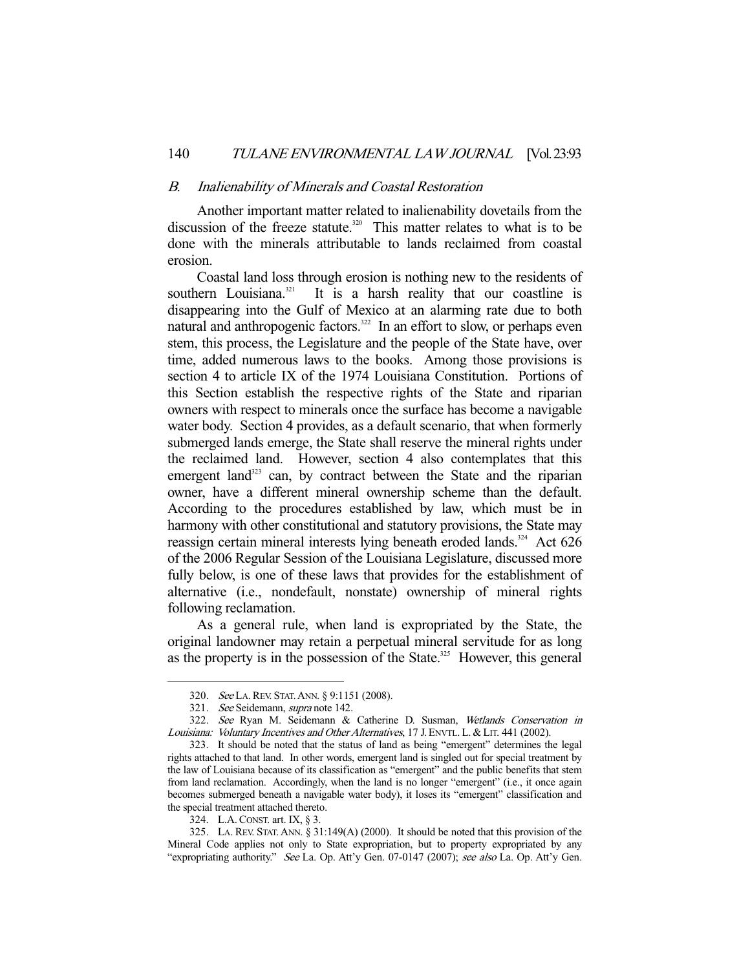#### B. Inalienability of Minerals and Coastal Restoration

 Another important matter related to inalienability dovetails from the discussion of the freeze statute.<sup>320</sup> This matter relates to what is to be done with the minerals attributable to lands reclaimed from coastal erosion.

 Coastal land loss through erosion is nothing new to the residents of southern Louisiana.<sup>321</sup> It is a harsh reality that our coastline is disappearing into the Gulf of Mexico at an alarming rate due to both natural and anthropogenic factors.<sup>322</sup> In an effort to slow, or perhaps even stem, this process, the Legislature and the people of the State have, over time, added numerous laws to the books. Among those provisions is section 4 to article IX of the 1974 Louisiana Constitution. Portions of this Section establish the respective rights of the State and riparian owners with respect to minerals once the surface has become a navigable water body. Section 4 provides, as a default scenario, that when formerly submerged lands emerge, the State shall reserve the mineral rights under the reclaimed land. However, section 4 also contemplates that this emergent land<sup>323</sup> can, by contract between the State and the riparian owner, have a different mineral ownership scheme than the default. According to the procedures established by law, which must be in harmony with other constitutional and statutory provisions, the State may reassign certain mineral interests lying beneath eroded lands.<sup>324</sup> Act 626 of the 2006 Regular Session of the Louisiana Legislature, discussed more fully below, is one of these laws that provides for the establishment of alternative (i.e., nondefault, nonstate) ownership of mineral rights following reclamation.

 As a general rule, when land is expropriated by the State, the original landowner may retain a perpetual mineral servitude for as long as the property is in the possession of the State.<sup>325</sup> However, this general

 <sup>320.</sup> See LA.REV. STAT.ANN. § 9:1151 (2008).

 <sup>321.</sup> See Seidemann, supra note 142.

 <sup>322.</sup> See Ryan M. Seidemann & Catherine D. Susman, Wetlands Conservation in Louisiana: Voluntary Incentives and Other Alternatives, 17 J. ENVTL. L. & LIT. 441 (2002).

 <sup>323.</sup> It should be noted that the status of land as being "emergent" determines the legal rights attached to that land. In other words, emergent land is singled out for special treatment by the law of Louisiana because of its classification as "emergent" and the public benefits that stem from land reclamation. Accordingly, when the land is no longer "emergent" (i.e., it once again becomes submerged beneath a navigable water body), it loses its "emergent" classification and the special treatment attached thereto.

 <sup>324.</sup> L.A.CONST. art. IX, § 3.

 <sup>325.</sup> LA. REV. STAT. ANN. § 31:149(A) (2000). It should be noted that this provision of the Mineral Code applies not only to State expropriation, but to property expropriated by any "expropriating authority." See La. Op. Att'y Gen. 07-0147 (2007); see also La. Op. Att'y Gen.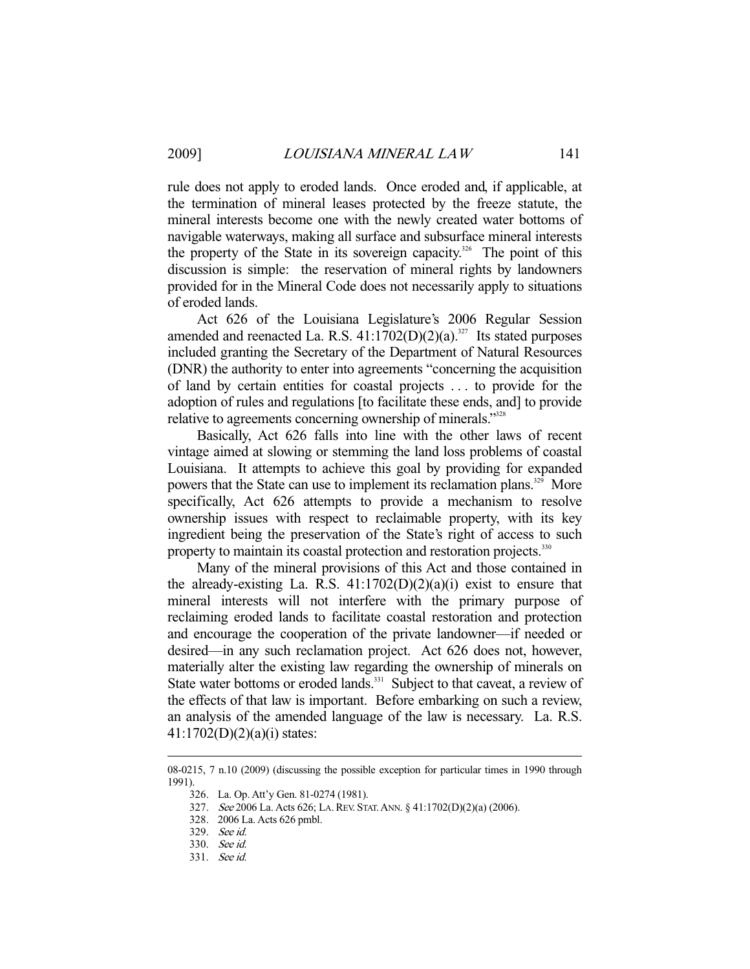rule does not apply to eroded lands. Once eroded and, if applicable, at the termination of mineral leases protected by the freeze statute, the mineral interests become one with the newly created water bottoms of navigable waterways, making all surface and subsurface mineral interests the property of the State in its sovereign capacity.<sup>326</sup> The point of this discussion is simple: the reservation of mineral rights by landowners provided for in the Mineral Code does not necessarily apply to situations of eroded lands.

 Act 626 of the Louisiana Legislature's 2006 Regular Session amended and reenacted La. R.S.  $41:1702(D)(2)(a).$ <sup>327</sup> Its stated purposes included granting the Secretary of the Department of Natural Resources (DNR) the authority to enter into agreements "concerning the acquisition of land by certain entities for coastal projects . . . to provide for the adoption of rules and regulations [to facilitate these ends, and] to provide relative to agreements concerning ownership of minerals."<sup>328</sup>

 Basically, Act 626 falls into line with the other laws of recent vintage aimed at slowing or stemming the land loss problems of coastal Louisiana. It attempts to achieve this goal by providing for expanded powers that the State can use to implement its reclamation plans.<sup>329</sup> More specifically, Act 626 attempts to provide a mechanism to resolve ownership issues with respect to reclaimable property, with its key ingredient being the preservation of the State's right of access to such property to maintain its coastal protection and restoration projects.<sup>330</sup>

 Many of the mineral provisions of this Act and those contained in the already-existing La. R.S.  $41:1702(D)(2)(a)(i)$  exist to ensure that mineral interests will not interfere with the primary purpose of reclaiming eroded lands to facilitate coastal restoration and protection and encourage the cooperation of the private landowner—if needed or desired—in any such reclamation project. Act 626 does not, however, materially alter the existing law regarding the ownership of minerals on State water bottoms or eroded lands.<sup>331</sup> Subject to that caveat, a review of the effects of that law is important. Before embarking on such a review, an analysis of the amended language of the law is necessary. La. R.S. 41:1702(D)(2)(a)(i) states:

<sup>08-0215, 7</sup> n.10 (2009) (discussing the possible exception for particular times in 1990 through 1991).

 <sup>326.</sup> La. Op. Att'y Gen. 81-0274 (1981).

<sup>327.</sup> See 2006 La. Acts 626; La. REV. STAT. ANN. § 41:1702(D)(2)(a) (2006).

 <sup>328. 2006</sup> La. Acts 626 pmbl.

 <sup>329.</sup> See id.

 <sup>330.</sup> See id.

 <sup>331.</sup> See id.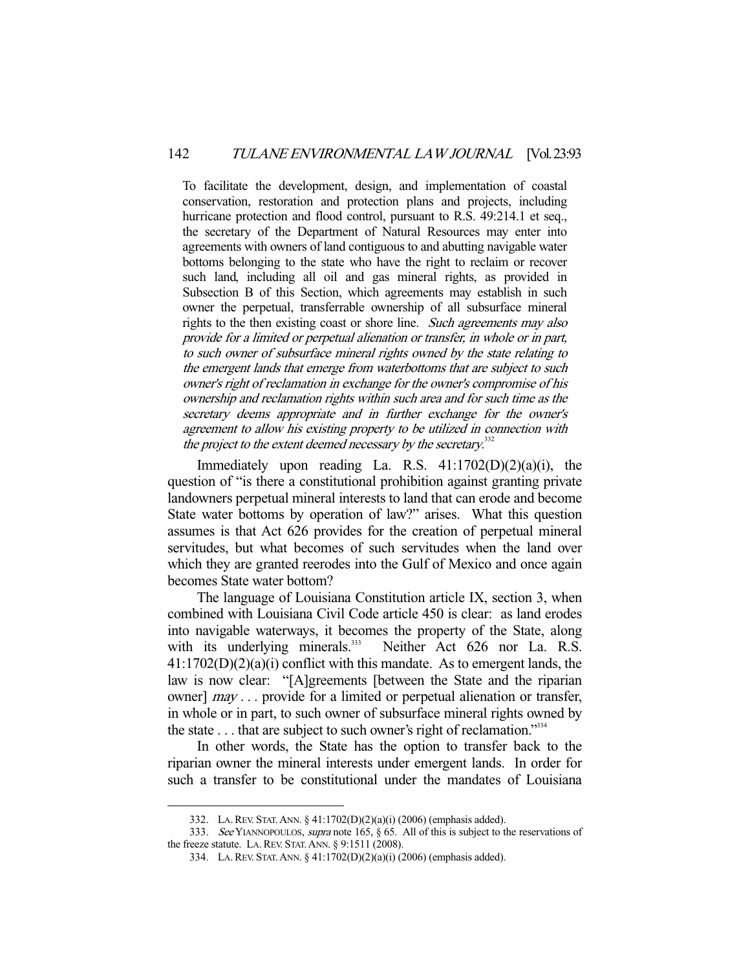To facilitate the development, design, and implementation of coastal conservation, restoration and protection plans and projects, including hurricane protection and flood control, pursuant to R.S. 49:214.1 et seq., the secretary of the Department of Natural Resources may enter into agreements with owners of land contiguous to and abutting navigable water bottoms belonging to the state who have the right to reclaim or recover such land, including all oil and gas mineral rights, as provided in Subsection B of this Section, which agreements may establish in such owner the perpetual, transferrable ownership of all subsurface mineral rights to the then existing coast or shore line. Such agreements may also provide for a limited or perpetual alienation or transfer, in whole or in part, to such owner of subsurface mineral rights owned by the state relating to the emergent lands that emerge from waterbottoms that are subject to such owner's right of reclamation in exchange for the owner's compromise of his ownership and reclamation rights within such area and for such time as the secretary deems appropriate and in further exchange for the owner's agreement to allow his existing property to be utilized in connection with the project to the extent deemed necessary by the secretary.<sup>332</sup>

Immediately upon reading La. R.S.  $41:1702(D)(2)(a)(i)$ , the question of "is there a constitutional prohibition against granting private landowners perpetual mineral interests to land that can erode and become State water bottoms by operation of law?" arises. What this question assumes is that Act 626 provides for the creation of perpetual mineral servitudes, but what becomes of such servitudes when the land over which they are granted reerodes into the Gulf of Mexico and once again becomes State water bottom?

 The language of Louisiana Constitution article IX, section 3, when combined with Louisiana Civil Code article 450 is clear: as land erodes into navigable waterways, it becomes the property of the State, along<br>with its underlying minerals.<sup>333</sup> Neither Act 626 nor La. R.S. Neither Act 626 nor La. R.S. 41:1702(D)(2)(a)(i) conflict with this mandate. As to emergent lands, the law is now clear: "[A]greements [between the State and the riparian owner] *may* . . . provide for a limited or perpetual alienation or transfer, in whole or in part, to such owner of subsurface mineral rights owned by the state . . . that are subject to such owner's right of reclamation."<sup>334</sup>

 In other words, the State has the option to transfer back to the riparian owner the mineral interests under emergent lands. In order for such a transfer to be constitutional under the mandates of Louisiana

 <sup>332.</sup> LA.REV. STAT.ANN. § 41:1702(D)(2)(a)(i) (2006) (emphasis added).

<sup>333.</sup> See YIANNOPOULOS, *supra* note 165, § 65. All of this is subject to the reservations of the freeze statute. LA.REV. STAT.ANN. § 9:1511 (2008).

 <sup>334.</sup> LA.REV. STAT.ANN. § 41:1702(D)(2)(a)(i) (2006) (emphasis added).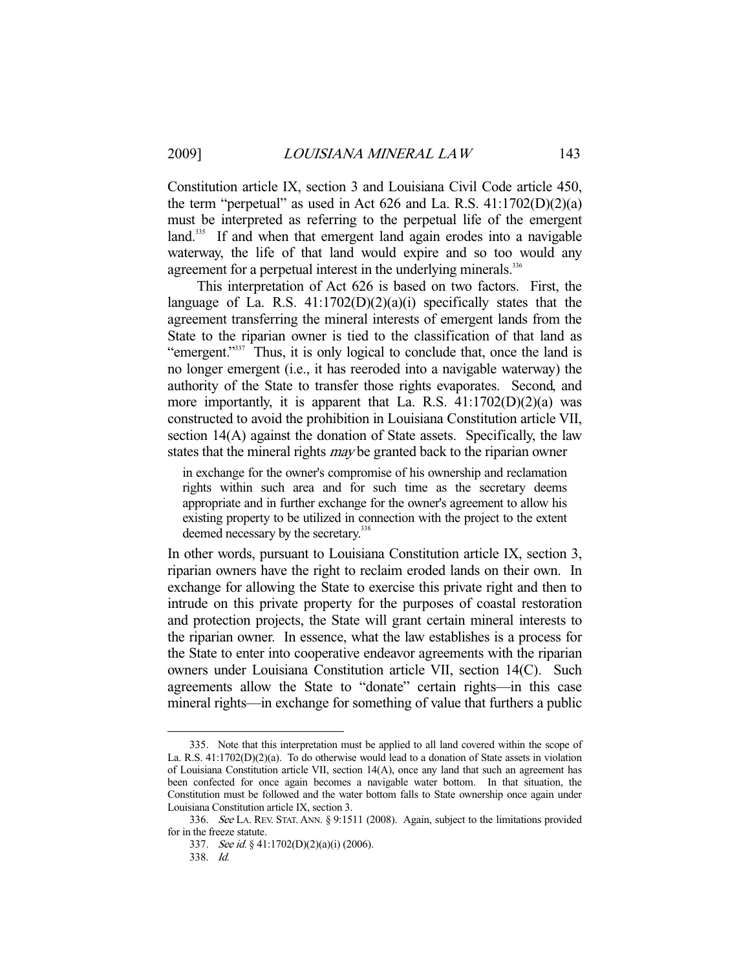Constitution article IX, section 3 and Louisiana Civil Code article 450, the term "perpetual" as used in Act 626 and La. R.S.  $41:1702(D)(2)(a)$ must be interpreted as referring to the perpetual life of the emergent land.<sup>335</sup> If and when that emergent land again erodes into a navigable waterway, the life of that land would expire and so too would any agreement for a perpetual interest in the underlying minerals.<sup>336</sup>

 This interpretation of Act 626 is based on two factors. First, the language of La. R.S.  $41:1702(D)(2)(a)(i)$  specifically states that the agreement transferring the mineral interests of emergent lands from the State to the riparian owner is tied to the classification of that land as "emergent."<sup>337</sup> Thus, it is only logical to conclude that, once the land is no longer emergent (i.e., it has reeroded into a navigable waterway) the authority of the State to transfer those rights evaporates. Second, and more importantly, it is apparent that La. R.S.  $41:1702(D)(2)(a)$  was constructed to avoid the prohibition in Louisiana Constitution article VII, section 14(A) against the donation of State assets. Specifically, the law states that the mineral rights *may* be granted back to the riparian owner

in exchange for the owner's compromise of his ownership and reclamation rights within such area and for such time as the secretary deems appropriate and in further exchange for the owner's agreement to allow his existing property to be utilized in connection with the project to the extent deemed necessary by the secretary.<sup>338</sup>

In other words, pursuant to Louisiana Constitution article IX, section 3, riparian owners have the right to reclaim eroded lands on their own. In exchange for allowing the State to exercise this private right and then to intrude on this private property for the purposes of coastal restoration and protection projects, the State will grant certain mineral interests to the riparian owner. In essence, what the law establishes is a process for the State to enter into cooperative endeavor agreements with the riparian owners under Louisiana Constitution article VII, section 14(C). Such agreements allow the State to "donate" certain rights—in this case mineral rights—in exchange for something of value that furthers a public

 <sup>335.</sup> Note that this interpretation must be applied to all land covered within the scope of La. R.S. 41:1702(D)(2)(a). To do otherwise would lead to a donation of State assets in violation of Louisiana Constitution article VII, section 14(A), once any land that such an agreement has been confected for once again becomes a navigable water bottom. In that situation, the Constitution must be followed and the water bottom falls to State ownership once again under Louisiana Constitution article IX, section 3.

<sup>336.</sup> See LA. REV. STAT. ANN. § 9:1511 (2008). Again, subject to the limitations provided for in the freeze statute.

 <sup>337.</sup> See id. § 41:1702(D)(2)(a)(i) (2006).

 <sup>338.</sup> Id.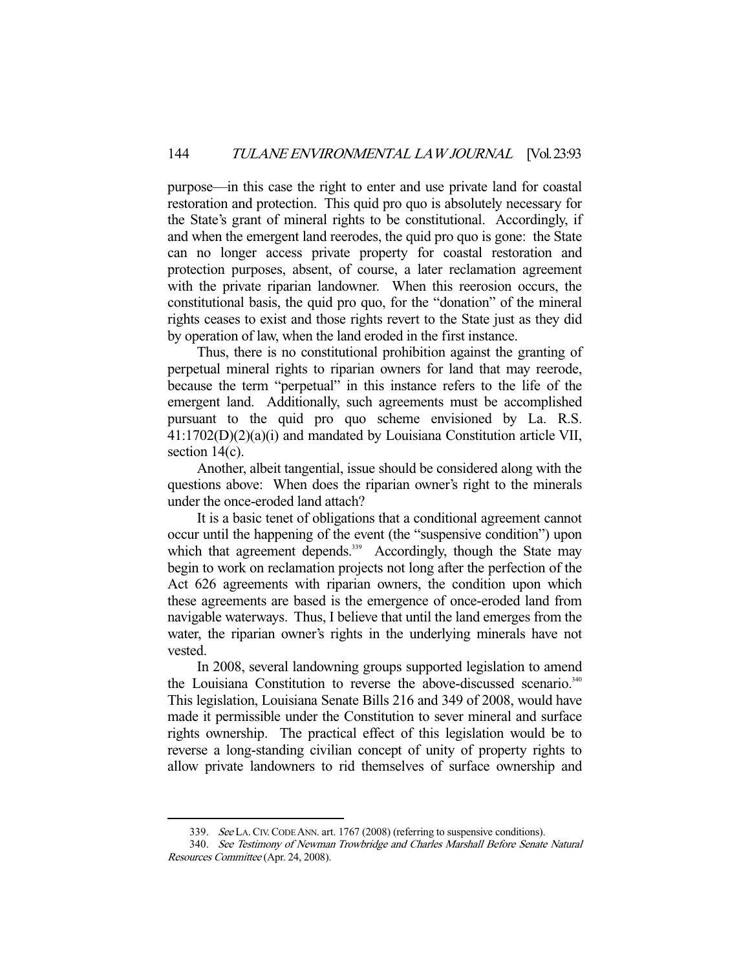purpose—in this case the right to enter and use private land for coastal restoration and protection. This quid pro quo is absolutely necessary for the State's grant of mineral rights to be constitutional. Accordingly, if and when the emergent land reerodes, the quid pro quo is gone: the State can no longer access private property for coastal restoration and protection purposes, absent, of course, a later reclamation agreement with the private riparian landowner. When this reerosion occurs, the constitutional basis, the quid pro quo, for the "donation" of the mineral rights ceases to exist and those rights revert to the State just as they did by operation of law, when the land eroded in the first instance.

 Thus, there is no constitutional prohibition against the granting of perpetual mineral rights to riparian owners for land that may reerode, because the term "perpetual" in this instance refers to the life of the emergent land. Additionally, such agreements must be accomplished pursuant to the quid pro quo scheme envisioned by La. R.S. 41:1702(D)(2)(a)(i) and mandated by Louisiana Constitution article VII, section 14(c).

 Another, albeit tangential, issue should be considered along with the questions above: When does the riparian owner's right to the minerals under the once-eroded land attach?

 It is a basic tenet of obligations that a conditional agreement cannot occur until the happening of the event (the "suspensive condition") upon which that agreement depends.<sup>339</sup> Accordingly, though the State may begin to work on reclamation projects not long after the perfection of the Act 626 agreements with riparian owners, the condition upon which these agreements are based is the emergence of once-eroded land from navigable waterways. Thus, I believe that until the land emerges from the water, the riparian owner's rights in the underlying minerals have not vested.

 In 2008, several landowning groups supported legislation to amend the Louisiana Constitution to reverse the above-discussed scenario.<sup>340</sup> This legislation, Louisiana Senate Bills 216 and 349 of 2008, would have made it permissible under the Constitution to sever mineral and surface rights ownership. The practical effect of this legislation would be to reverse a long-standing civilian concept of unity of property rights to allow private landowners to rid themselves of surface ownership and

<sup>339.</sup> See LA. CIV. CODE ANN. art. 1767 (2008) (referring to suspensive conditions).

 <sup>340.</sup> See Testimony of Newman Trowbridge and Charles Marshall Before Senate Natural Resources Committee (Apr. 24, 2008).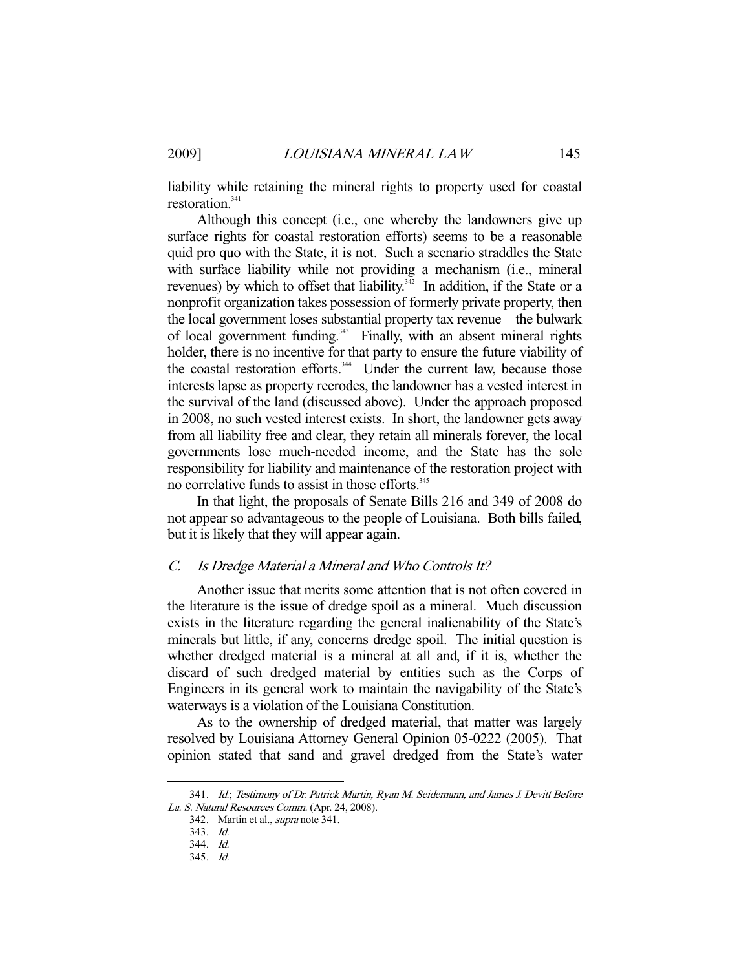liability while retaining the mineral rights to property used for coastal restoration.<sup>341</sup>

 Although this concept (i.e., one whereby the landowners give up surface rights for coastal restoration efforts) seems to be a reasonable quid pro quo with the State, it is not. Such a scenario straddles the State with surface liability while not providing a mechanism (i.e., mineral revenues) by which to offset that liability.<sup> $342$ </sup> In addition, if the State or a nonprofit organization takes possession of formerly private property, then the local government loses substantial property tax revenue—the bulwark of local government funding.<sup>343</sup> Finally, with an absent mineral rights holder, there is no incentive for that party to ensure the future viability of the coastal restoration efforts.<sup>344</sup> Under the current law, because those interests lapse as property reerodes, the landowner has a vested interest in the survival of the land (discussed above). Under the approach proposed in 2008, no such vested interest exists. In short, the landowner gets away from all liability free and clear, they retain all minerals forever, the local governments lose much-needed income, and the State has the sole responsibility for liability and maintenance of the restoration project with no correlative funds to assist in those efforts.<sup>345</sup>

 In that light, the proposals of Senate Bills 216 and 349 of 2008 do not appear so advantageous to the people of Louisiana. Both bills failed, but it is likely that they will appear again.

## C. Is Dredge Material a Mineral and Who Controls It?

 Another issue that merits some attention that is not often covered in the literature is the issue of dredge spoil as a mineral. Much discussion exists in the literature regarding the general inalienability of the State's minerals but little, if any, concerns dredge spoil. The initial question is whether dredged material is a mineral at all and, if it is, whether the discard of such dredged material by entities such as the Corps of Engineers in its general work to maintain the navigability of the State's waterways is a violation of the Louisiana Constitution.

 As to the ownership of dredged material, that matter was largely resolved by Louisiana Attorney General Opinion 05-0222 (2005). That opinion stated that sand and gravel dredged from the State's water

 <sup>341.</sup> Id.; Testimony of Dr. Patrick Martin, Ryan M. Seidemann, and James J. Devitt Before La. S. Natural Resources Comm. (Apr. 24, 2008).

 <sup>342.</sup> Martin et al., supra note 341.

 <sup>343.</sup> Id.

 <sup>344.</sup> Id.

 <sup>345.</sup> Id.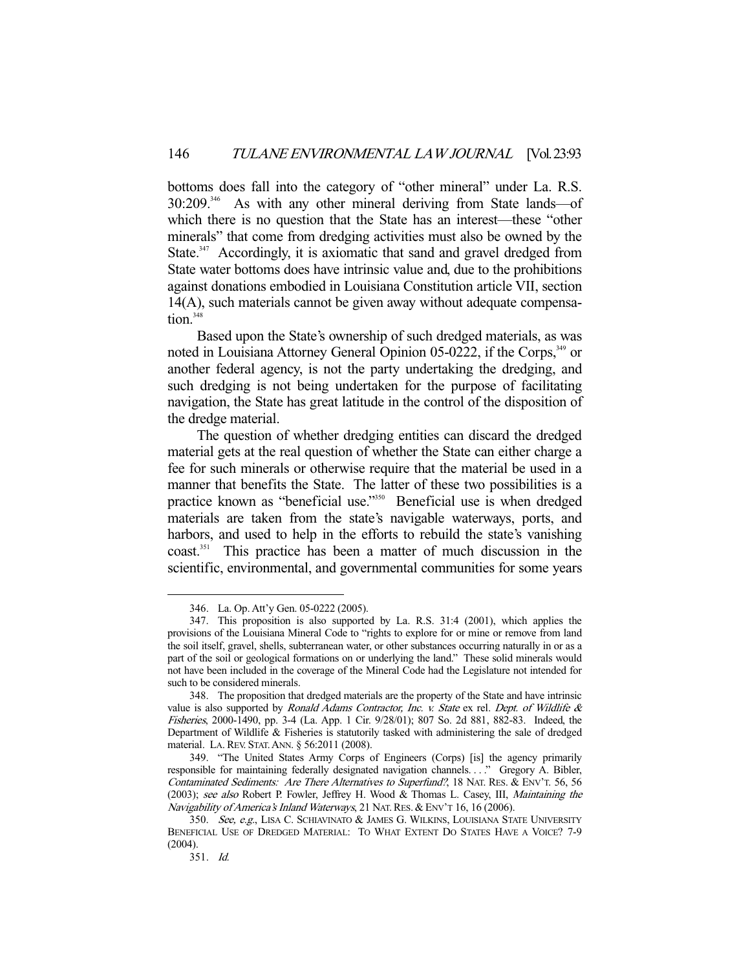bottoms does fall into the category of "other mineral" under La. R.S. 30:209.346 As with any other mineral deriving from State lands—of which there is no question that the State has an interest—these "other minerals" that come from dredging activities must also be owned by the State.<sup>347</sup> Accordingly, it is axiomatic that sand and gravel dredged from State water bottoms does have intrinsic value and, due to the prohibitions against donations embodied in Louisiana Constitution article VII, section 14(A), such materials cannot be given away without adequate compensa $tion<sup>348</sup>$ 

 Based upon the State's ownership of such dredged materials, as was noted in Louisiana Attorney General Opinion 05-0222, if the Corps,<sup>349</sup> or another federal agency, is not the party undertaking the dredging, and such dredging is not being undertaken for the purpose of facilitating navigation, the State has great latitude in the control of the disposition of the dredge material.

 The question of whether dredging entities can discard the dredged material gets at the real question of whether the State can either charge a fee for such minerals or otherwise require that the material be used in a manner that benefits the State. The latter of these two possibilities is a practice known as "beneficial use."<sup>350</sup> Beneficial use is when dredged materials are taken from the state's navigable waterways, ports, and harbors, and used to help in the efforts to rebuild the state's vanishing coast.351 This practice has been a matter of much discussion in the scientific, environmental, and governmental communities for some years

 <sup>346.</sup> La. Op. Att'y Gen. 05-0222 (2005).

 <sup>347.</sup> This proposition is also supported by La. R.S. 31:4 (2001), which applies the provisions of the Louisiana Mineral Code to "rights to explore for or mine or remove from land the soil itself, gravel, shells, subterranean water, or other substances occurring naturally in or as a part of the soil or geological formations on or underlying the land." These solid minerals would not have been included in the coverage of the Mineral Code had the Legislature not intended for such to be considered minerals.

 <sup>348.</sup> The proposition that dredged materials are the property of the State and have intrinsic value is also supported by Ronald Adams Contractor, Inc. v. State ex rel. Dept. of Wildlife  $\&$ Fisheries, 2000-1490, pp. 3-4 (La. App. 1 Cir. 9/28/01); 807 So. 2d 881, 882-83. Indeed, the Department of Wildlife & Fisheries is statutorily tasked with administering the sale of dredged material. LA.REV. STAT.ANN. § 56:2011 (2008).

 <sup>349. &</sup>quot;The United States Army Corps of Engineers (Corps) [is] the agency primarily responsible for maintaining federally designated navigation channels. . . ." Gregory A. Bibler, Contaminated Sediments: Are There Alternatives to Superfund?, 18 NAT. RES. & ENV'T. 56, 56 (2003); see also Robert P. Fowler, Jeffrey H. Wood & Thomas L. Casey, III, Maintaining the Navigability of America's Inland Waterways, 21 NAT. RES. & ENV'T 16, 16 (2006).

<sup>350.</sup> See, e.g., LISA C. SCHIAVINATO & JAMES G. WILKINS, LOUISIANA STATE UNIVERSITY BENEFICIAL USE OF DREDGED MATERIAL: TO WHAT EXTENT DO STATES HAVE A VOICE? 7-9 (2004).

 <sup>351.</sup> Id.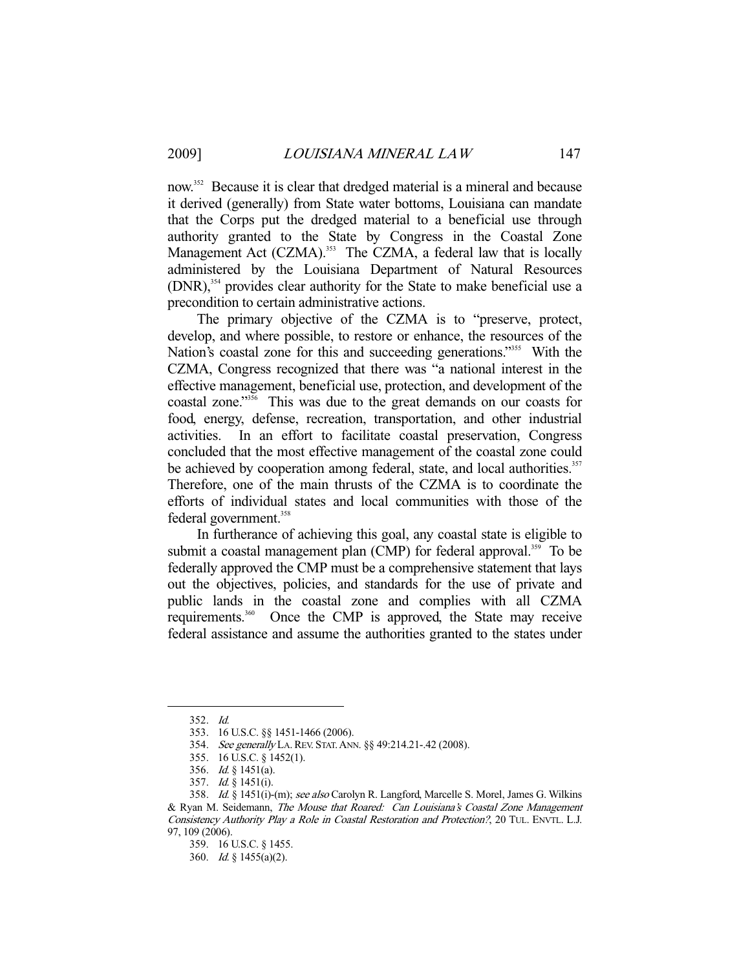now.<sup>352</sup> Because it is clear that dredged material is a mineral and because it derived (generally) from State water bottoms, Louisiana can mandate that the Corps put the dredged material to a beneficial use through authority granted to the State by Congress in the Coastal Zone Management Act (CZMA).<sup>353</sup> The CZMA, a federal law that is locally administered by the Louisiana Department of Natural Resources  $(DNR)$ ,<sup>354</sup> provides clear authority for the State to make beneficial use a precondition to certain administrative actions.

 The primary objective of the CZMA is to "preserve, protect, develop, and where possible, to restore or enhance, the resources of the Nation's coastal zone for this and succeeding generations."<sup>355</sup> With the CZMA, Congress recognized that there was "a national interest in the effective management, beneficial use, protection, and development of the coastal zone."<sup>356</sup> This was due to the great demands on our coasts for food, energy, defense, recreation, transportation, and other industrial activities. In an effort to facilitate coastal preservation, Congress concluded that the most effective management of the coastal zone could be achieved by cooperation among federal, state, and local authorities.<sup>357</sup> Therefore, one of the main thrusts of the CZMA is to coordinate the efforts of individual states and local communities with those of the federal government.<sup>358</sup>

 In furtherance of achieving this goal, any coastal state is eligible to submit a coastal management plan (CMP) for federal approval.<sup>359</sup> To be federally approved the CMP must be a comprehensive statement that lays out the objectives, policies, and standards for the use of private and public lands in the coastal zone and complies with all CZMA requirements.<sup>360</sup> Once the CMP is approved, the State may receive federal assistance and assume the authorities granted to the states under

 <sup>352.</sup> Id.

 <sup>353. 16</sup> U.S.C. §§ 1451-1466 (2006).

 <sup>354.</sup> See generally LA.REV. STAT.ANN. §§ 49:214.21-.42 (2008).

 <sup>355. 16</sup> U.S.C. § 1452(1).

 <sup>356.</sup> Id. § 1451(a).

 <sup>357.</sup> Id. § 1451(i).

 <sup>358.</sup> Id. § 1451(i)-(m); see also Carolyn R. Langford, Marcelle S. Morel, James G. Wilkins & Ryan M. Seidemann, The Mouse that Roared: Can Louisiana's Coastal Zone Management Consistency Authority Play a Role in Coastal Restoration and Protection?, 20 TUL. ENVTL. L.J. 97, 109 (2006).

 <sup>359. 16</sup> U.S.C. § 1455.

 <sup>360.</sup> Id. § 1455(a)(2).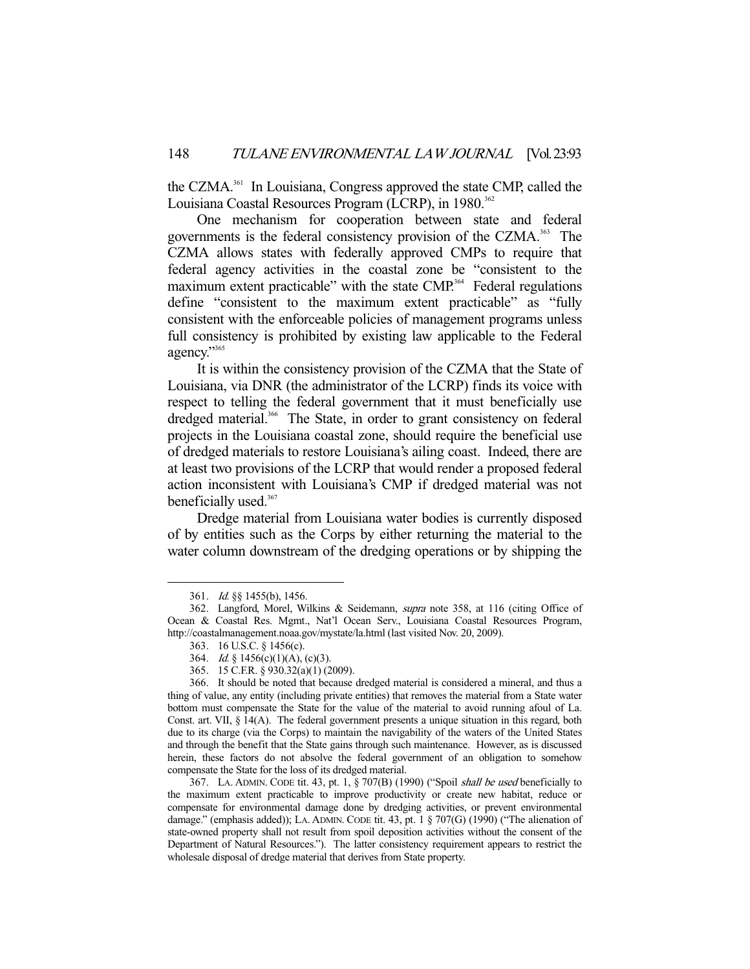the CZMA.361 In Louisiana, Congress approved the state CMP, called the Louisiana Coastal Resources Program (LCRP), in 1980.<sup>362</sup>

 One mechanism for cooperation between state and federal governments is the federal consistency provision of the CZMA.<sup>363</sup> The CZMA allows states with federally approved CMPs to require that federal agency activities in the coastal zone be "consistent to the maximum extent practicable" with the state CMP.<sup>364</sup> Federal regulations define "consistent to the maximum extent practicable" as "fully consistent with the enforceable policies of management programs unless full consistency is prohibited by existing law applicable to the Federal agency."365

 It is within the consistency provision of the CZMA that the State of Louisiana, via DNR (the administrator of the LCRP) finds its voice with respect to telling the federal government that it must beneficially use dredged material.<sup>366</sup> The State, in order to grant consistency on federal projects in the Louisiana coastal zone, should require the beneficial use of dredged materials to restore Louisiana's ailing coast. Indeed, there are at least two provisions of the LCRP that would render a proposed federal action inconsistent with Louisiana's CMP if dredged material was not beneficially used.<sup>367</sup>

 Dredge material from Louisiana water bodies is currently disposed of by entities such as the Corps by either returning the material to the water column downstream of the dredging operations or by shipping the

-

 367. LA. ADMIN. CODE tit. 43, pt. 1, § 707(B) (1990) ("Spoil shall be used beneficially to the maximum extent practicable to improve productivity or create new habitat, reduce or compensate for environmental damage done by dredging activities, or prevent environmental damage." (emphasis added)); LA. ADMIN. CODE tit. 43, pt. 1 § 707(G) (1990) ("The alienation of state-owned property shall not result from spoil deposition activities without the consent of the Department of Natural Resources."). The latter consistency requirement appears to restrict the wholesale disposal of dredge material that derives from State property.

 <sup>361.</sup> Id. §§ 1455(b), 1456.

 <sup>362.</sup> Langford, Morel, Wilkins & Seidemann, supra note 358, at 116 (citing Office of Ocean & Coastal Res. Mgmt., Nat'l Ocean Serv., Louisiana Coastal Resources Program, http://coastalmanagement.noaa.gov/mystate/la.html (last visited Nov. 20, 2009).

 <sup>363. 16</sup> U.S.C. § 1456(c).

 <sup>364.</sup> Id. § 1456(c)(1)(A), (c)(3).

 <sup>365. 15</sup> C.F.R. § 930.32(a)(1) (2009).

 <sup>366.</sup> It should be noted that because dredged material is considered a mineral, and thus a thing of value, any entity (including private entities) that removes the material from a State water bottom must compensate the State for the value of the material to avoid running afoul of La. Const. art. VII, § 14(A). The federal government presents a unique situation in this regard, both due to its charge (via the Corps) to maintain the navigability of the waters of the United States and through the benefit that the State gains through such maintenance. However, as is discussed herein, these factors do not absolve the federal government of an obligation to somehow compensate the State for the loss of its dredged material.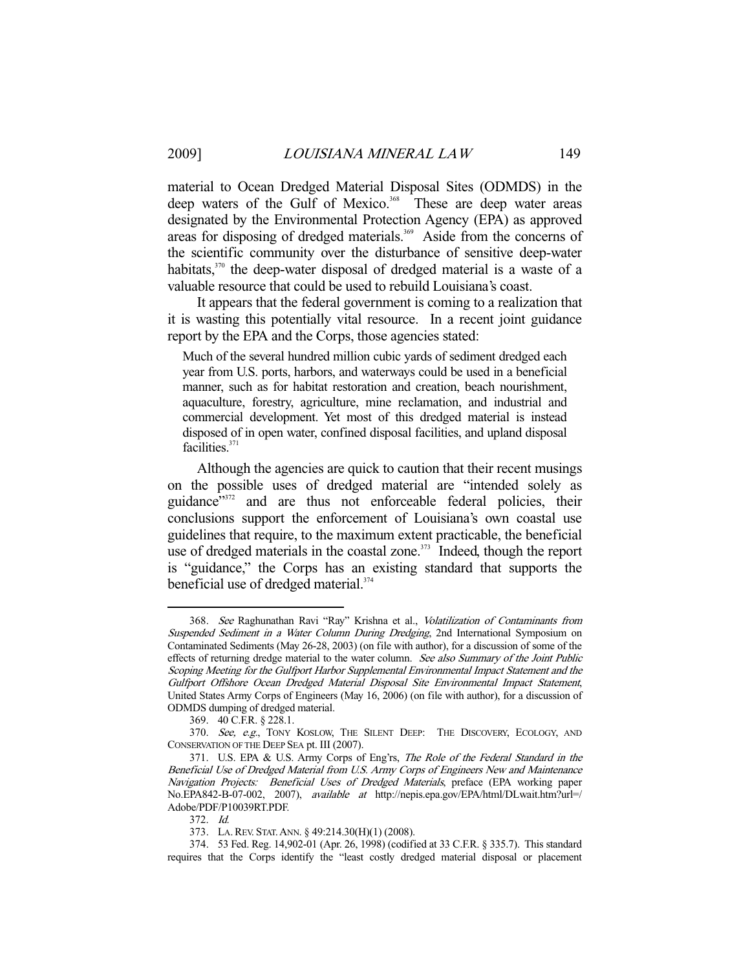material to Ocean Dredged Material Disposal Sites (ODMDS) in the deep waters of the Gulf of Mexico.<sup>368</sup> These are deep water areas designated by the Environmental Protection Agency (EPA) as approved areas for disposing of dredged materials.<sup>369</sup> Aside from the concerns of the scientific community over the disturbance of sensitive deep-water habitats,<sup>370</sup> the deep-water disposal of dredged material is a waste of a valuable resource that could be used to rebuild Louisiana's coast.

 It appears that the federal government is coming to a realization that it is wasting this potentially vital resource. In a recent joint guidance report by the EPA and the Corps, those agencies stated:

Much of the several hundred million cubic yards of sediment dredged each year from U.S. ports, harbors, and waterways could be used in a beneficial manner, such as for habitat restoration and creation, beach nourishment, aquaculture, forestry, agriculture, mine reclamation, and industrial and commercial development. Yet most of this dredged material is instead disposed of in open water, confined disposal facilities, and upland disposal facilities.<sup>371</sup>

 Although the agencies are quick to caution that their recent musings on the possible uses of dredged material are "intended solely as guidance"<sup>372</sup> and are thus not enforceable federal policies, their conclusions support the enforcement of Louisiana's own coastal use guidelines that require, to the maximum extent practicable, the beneficial use of dredged materials in the coastal zone. $373$  Indeed, though the report is "guidance," the Corps has an existing standard that supports the beneficial use of dredged material.<sup>374</sup>

<sup>368.</sup> See Raghunathan Ravi "Ray" Krishna et al., Volatilization of Contaminants from Suspended Sediment in a Water Column During Dredging, 2nd International Symposium on Contaminated Sediments (May 26-28, 2003) (on file with author), for a discussion of some of the effects of returning dredge material to the water column. See also Summary of the Joint Public Scoping Meeting for the Gulfport Harbor Supplemental Environmental Impact Statement and the Gulfport Offshore Ocean Dredged Material Disposal Site Environmental Impact Statement, United States Army Corps of Engineers (May 16, 2006) (on file with author), for a discussion of ODMDS dumping of dredged material.

 <sup>369. 40</sup> C.F.R. § 228.1.

<sup>370.</sup> See, e.g., TONY KOSLOW, THE SILENT DEEP: THE DISCOVERY, ECOLOGY, AND CONSERVATION OF THE DEEP SEA pt. III (2007).

 <sup>371.</sup> U.S. EPA & U.S. Army Corps of Eng'rs, The Role of the Federal Standard in the Beneficial Use of Dredged Material from U.S. Army Corps of Engineers New and Maintenance Navigation Projects: Beneficial Uses of Dredged Materials, preface (EPA working paper No.EPA842-B-07-002, 2007), available at http://nepis.epa.gov/EPA/html/DLwait.htm?url=/ Adobe/PDF/P10039RT.PDF.

 <sup>372.</sup> Id.

 <sup>373.</sup> LA.REV. STAT.ANN. § 49:214.30(H)(1) (2008).

 <sup>374. 53</sup> Fed. Reg. 14,902-01 (Apr. 26, 1998) (codified at 33 C.F.R. § 335.7). This standard requires that the Corps identify the "least costly dredged material disposal or placement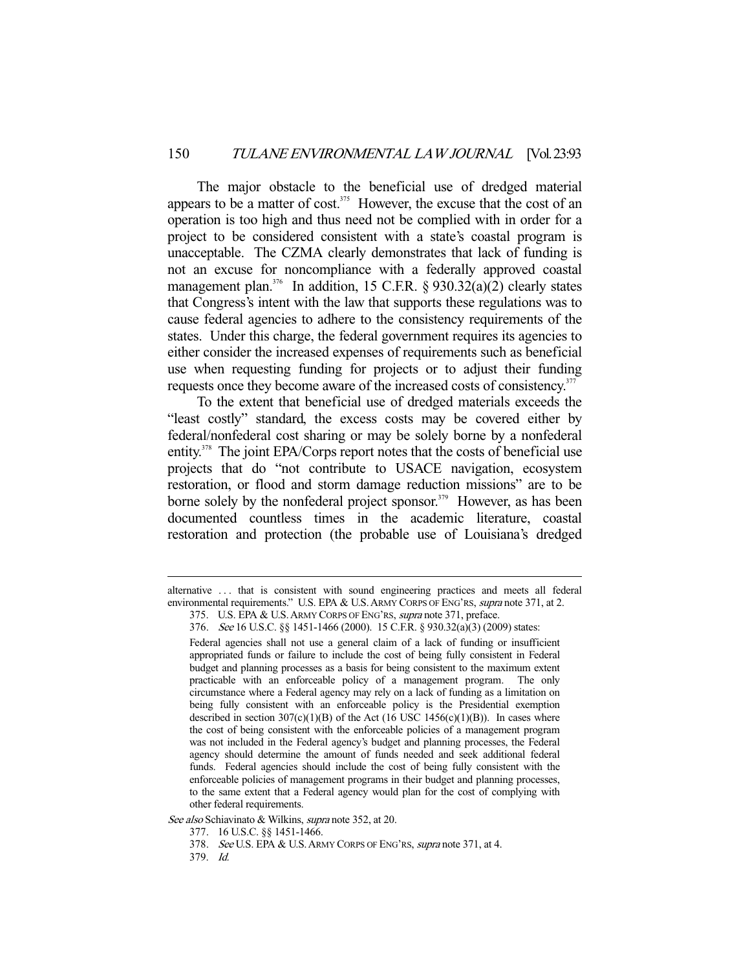The major obstacle to the beneficial use of dredged material appears to be a matter of cost.<sup>375</sup> However, the excuse that the cost of an operation is too high and thus need not be complied with in order for a project to be considered consistent with a state's coastal program is unacceptable. The CZMA clearly demonstrates that lack of funding is not an excuse for noncompliance with a federally approved coastal management plan.<sup>376</sup> In addition, 15 C.F.R. § 930.32(a)(2) clearly states that Congress's intent with the law that supports these regulations was to cause federal agencies to adhere to the consistency requirements of the states. Under this charge, the federal government requires its agencies to either consider the increased expenses of requirements such as beneficial use when requesting funding for projects or to adjust their funding requests once they become aware of the increased costs of consistency.<sup>377</sup>

 To the extent that beneficial use of dredged materials exceeds the "least costly" standard, the excess costs may be covered either by federal/nonfederal cost sharing or may be solely borne by a nonfederal entity.<sup>378</sup> The joint EPA/Corps report notes that the costs of beneficial use projects that do "not contribute to USACE navigation, ecosystem restoration, or flood and storm damage reduction missions" are to be borne solely by the nonfederal project sponsor.<sup>379</sup> However, as has been documented countless times in the academic literature, coastal restoration and protection (the probable use of Louisiana's dredged

alternative . . . that is consistent with sound engineering practices and meets all federal environmental requirements." U.S. EPA & U.S. ARMY CORPS OF ENG'RS, *supra* note 371, at 2. 375. U.S. EPA & U.S.ARMY CORPS OF ENG'RS, supra note 371, preface.

 <sup>376.</sup> See 16 U.S.C. §§ 1451-1466 (2000). 15 C.F.R. § 930.32(a)(3) (2009) states:

Federal agencies shall not use a general claim of a lack of funding or insufficient appropriated funds or failure to include the cost of being fully consistent in Federal budget and planning processes as a basis for being consistent to the maximum extent practicable with an enforceable policy of a management program. The only circumstance where a Federal agency may rely on a lack of funding as a limitation on being fully consistent with an enforceable policy is the Presidential exemption described in section  $307(c)(1)(B)$  of the Act (16 USC 1456(c)(1)(B)). In cases where the cost of being consistent with the enforceable policies of a management program was not included in the Federal agency's budget and planning processes, the Federal agency should determine the amount of funds needed and seek additional federal funds. Federal agencies should include the cost of being fully consistent with the enforceable policies of management programs in their budget and planning processes, to the same extent that a Federal agency would plan for the cost of complying with other federal requirements.

See also Schiavinato & Wilkins, supra note 352, at 20.

 <sup>377. 16</sup> U.S.C. §§ 1451-1466.

<sup>378.</sup> See U.S. EPA & U.S. ARMY CORPS OF ENG'RS, supra note 371, at 4.

 <sup>379.</sup> Id.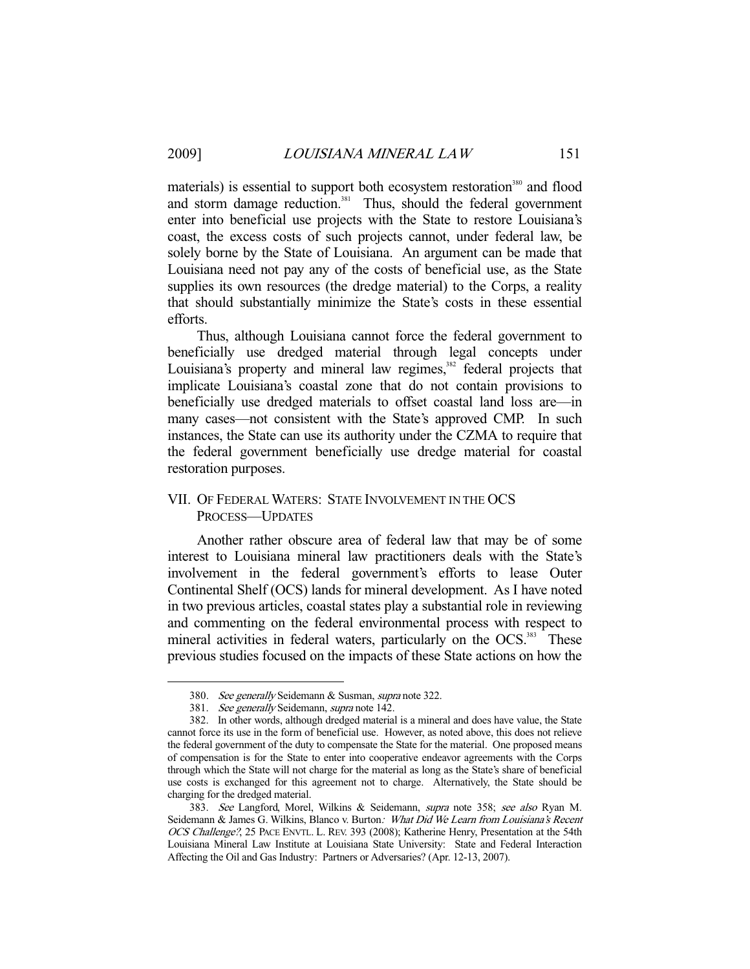-

materials) is essential to support both ecosystem restoration<sup>380</sup> and flood and storm damage reduction.<sup>381</sup> Thus, should the federal government enter into beneficial use projects with the State to restore Louisiana's coast, the excess costs of such projects cannot, under federal law, be solely borne by the State of Louisiana. An argument can be made that Louisiana need not pay any of the costs of beneficial use, as the State supplies its own resources (the dredge material) to the Corps, a reality that should substantially minimize the State's costs in these essential efforts.

 Thus, although Louisiana cannot force the federal government to beneficially use dredged material through legal concepts under Louisiana's property and mineral law regimes, $382$  federal projects that implicate Louisiana's coastal zone that do not contain provisions to beneficially use dredged materials to offset coastal land loss are—in many cases—not consistent with the State's approved CMP. In such instances, the State can use its authority under the CZMA to require that the federal government beneficially use dredge material for coastal restoration purposes.

# VII. OF FEDERAL WATERS: STATE INVOLVEMENT IN THE OCS PROCESS—UPDATES

 Another rather obscure area of federal law that may be of some interest to Louisiana mineral law practitioners deals with the State's involvement in the federal government's efforts to lease Outer Continental Shelf (OCS) lands for mineral development. As I have noted in two previous articles, coastal states play a substantial role in reviewing and commenting on the federal environmental process with respect to mineral activities in federal waters, particularly on the OCS.<sup>383</sup> These previous studies focused on the impacts of these State actions on how the

 <sup>380.</sup> See generally Seidemann & Susman, supra note 322.

<sup>381.</sup> See generally Seidemann, supra note 142.

 <sup>382.</sup> In other words, although dredged material is a mineral and does have value, the State cannot force its use in the form of beneficial use. However, as noted above, this does not relieve the federal government of the duty to compensate the State for the material. One proposed means of compensation is for the State to enter into cooperative endeavor agreements with the Corps through which the State will not charge for the material as long as the State's share of beneficial use costs is exchanged for this agreement not to charge. Alternatively, the State should be charging for the dredged material.

<sup>383.</sup> See Langford, Morel, Wilkins & Seidemann, supra note 358; see also Ryan M. Seidemann & James G. Wilkins, Blanco v. Burton: What Did We Learn from Louisiana's Recent OCS Challenge?, 25 PACE ENVTL. L. REV. 393 (2008); Katherine Henry, Presentation at the 54th Louisiana Mineral Law Institute at Louisiana State University: State and Federal Interaction Affecting the Oil and Gas Industry: Partners or Adversaries? (Apr. 12-13, 2007).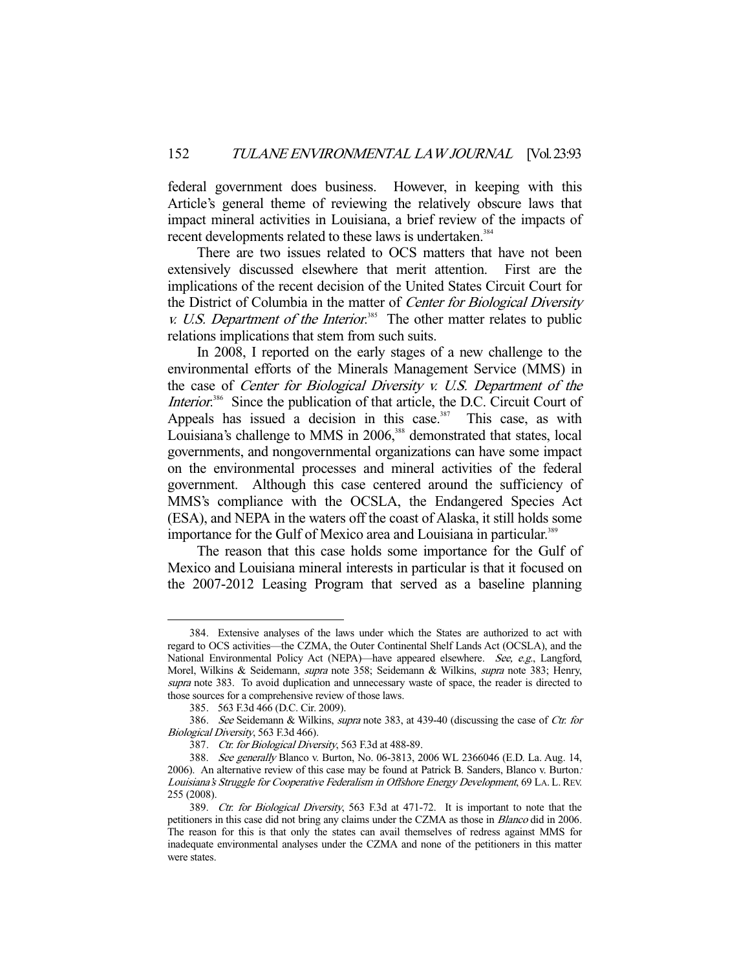federal government does business. However, in keeping with this Article's general theme of reviewing the relatively obscure laws that impact mineral activities in Louisiana, a brief review of the impacts of recent developments related to these laws is undertaken.<sup>384</sup>

 There are two issues related to OCS matters that have not been extensively discussed elsewhere that merit attention. First are the implications of the recent decision of the United States Circuit Court for the District of Columbia in the matter of Center for Biological Diversity  $v.$  U.S. Department of the Interior.<sup>385</sup> The other matter relates to public relations implications that stem from such suits.

 In 2008, I reported on the early stages of a new challenge to the environmental efforts of the Minerals Management Service (MMS) in the case of Center for Biological Diversity v. U.S. Department of the Interior.<sup>386</sup> Since the publication of that article, the D.C. Circuit Court of Appeals has issued a decision in this case.<sup>387</sup> This case, as with Louisiana's challenge to MMS in 2006,<sup>388</sup> demonstrated that states, local governments, and nongovernmental organizations can have some impact on the environmental processes and mineral activities of the federal government. Although this case centered around the sufficiency of MMS's compliance with the OCSLA, the Endangered Species Act (ESA), and NEPA in the waters off the coast of Alaska, it still holds some importance for the Gulf of Mexico area and Louisiana in particular.<sup>389</sup>

 The reason that this case holds some importance for the Gulf of Mexico and Louisiana mineral interests in particular is that it focused on the 2007-2012 Leasing Program that served as a baseline planning

 <sup>384.</sup> Extensive analyses of the laws under which the States are authorized to act with regard to OCS activities—the CZMA, the Outer Continental Shelf Lands Act (OCSLA), and the National Environmental Policy Act (NEPA)—have appeared elsewhere. See, e.g., Langford, Morel, Wilkins & Seidemann, *supra* note 358; Seidemann & Wilkins, *supra* note 383; Henry, supra note 383. To avoid duplication and unnecessary waste of space, the reader is directed to those sources for a comprehensive review of those laws.

 <sup>385. 563</sup> F.3d 466 (D.C. Cir. 2009).

<sup>386.</sup> See Seidemann & Wilkins, supra note 383, at 439-40 (discussing the case of Ctr. for Biological Diversity, 563 F.3d 466).

<sup>387.</sup> Ctr. for Biological Diversity, 563 F.3d at 488-89.

 <sup>388.</sup> See generally Blanco v. Burton, No. 06-3813, 2006 WL 2366046 (E.D. La. Aug. 14, 2006). An alternative review of this case may be found at Patrick B. Sanders, Blanco v. Burton: Louisiana's Struggle for Cooperative Federalism in Offshore Energy Development, 69 LA. L.REV. 255 (2008).

<sup>389.</sup> Ctr. for Biological Diversity, 563 F.3d at 471-72. It is important to note that the petitioners in this case did not bring any claims under the CZMA as those in Blanco did in 2006. The reason for this is that only the states can avail themselves of redress against MMS for inadequate environmental analyses under the CZMA and none of the petitioners in this matter were states.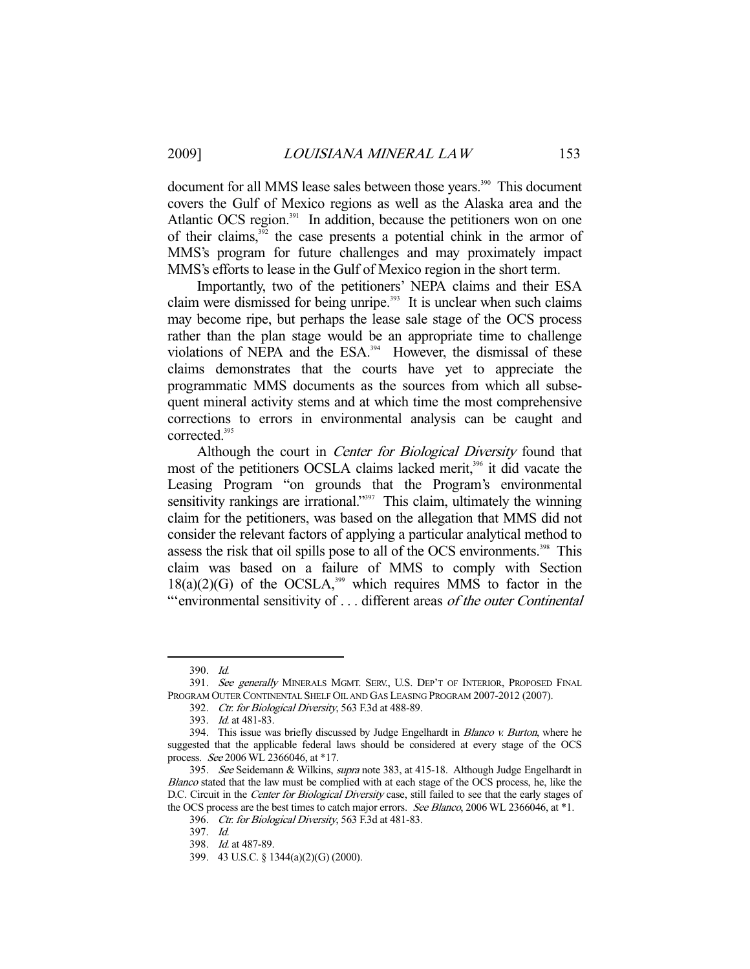document for all MMS lease sales between those years.<sup>390</sup> This document covers the Gulf of Mexico regions as well as the Alaska area and the Atlantic OCS region.<sup>391</sup> In addition, because the petitioners won on one of their claims, $3^{32}$  the case presents a potential chink in the armor of MMS's program for future challenges and may proximately impact MMS's efforts to lease in the Gulf of Mexico region in the short term.

 Importantly, two of the petitioners' NEPA claims and their ESA claim were dismissed for being unripe.<sup>393</sup> It is unclear when such claims may become ripe, but perhaps the lease sale stage of the OCS process rather than the plan stage would be an appropriate time to challenge violations of NEPA and the ESA.<sup>394</sup> However, the dismissal of these claims demonstrates that the courts have yet to appreciate the programmatic MMS documents as the sources from which all subsequent mineral activity stems and at which time the most comprehensive corrections to errors in environmental analysis can be caught and corrected.<sup>395</sup>

Although the court in *Center for Biological Diversity* found that most of the petitioners OCSLA claims lacked merit,<sup>396</sup> it did vacate the Leasing Program "on grounds that the Program's environmental sensitivity rankings are irrational."<sup>397</sup> This claim, ultimately the winning claim for the petitioners, was based on the allegation that MMS did not consider the relevant factors of applying a particular analytical method to assess the risk that oil spills pose to all of the OCS environments.<sup>398</sup> This claim was based on a failure of MMS to comply with Section  $18(a)(2)(G)$  of the OCSLA,<sup>399</sup> which requires MMS to factor in the "'environmental sensitivity of . . . different areas of the outer Continental

 <sup>390.</sup> Id.

<sup>391.</sup> See generally MINERALS MGMT. SERV., U.S. DEP'T OF INTERIOR, PROPOSED FINAL PROGRAM OUTER CONTINENTAL SHELF OIL AND GAS LEASING PROGRAM 2007-2012 (2007).

<sup>392.</sup> Ctr. for Biological Diversity, 563 F.3d at 488-89.

 <sup>393.</sup> Id. at 481-83.

<sup>394.</sup> This issue was briefly discussed by Judge Engelhardt in *Blanco v. Burton*, where he suggested that the applicable federal laws should be considered at every stage of the OCS process. See 2006 WL 2366046, at \*17.

 <sup>395.</sup> See Seidemann & Wilkins, supra note 383, at 415-18. Although Judge Engelhardt in Blanco stated that the law must be complied with at each stage of the OCS process, he, like the D.C. Circuit in the Center for Biological Diversity case, still failed to see that the early stages of the OCS process are the best times to catch major errors. See Blanco, 2006 WL 2366046, at \*1.

<sup>396.</sup> Ctr. for Biological Diversity, 563 F.3d at 481-83.

 <sup>397.</sup> Id.

 <sup>398.</sup> Id. at 487-89.

 <sup>399. 43</sup> U.S.C. § 1344(a)(2)(G) (2000).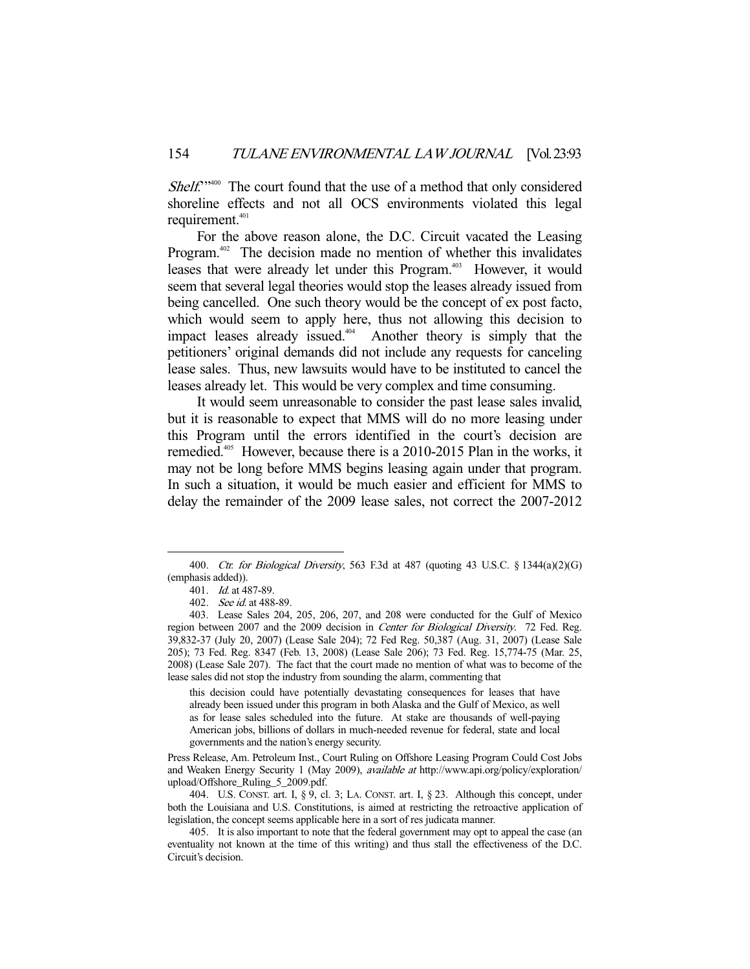Shelf."<sup>400</sup> The court found that the use of a method that only considered shoreline effects and not all OCS environments violated this legal requirement.<sup>401</sup>

 For the above reason alone, the D.C. Circuit vacated the Leasing Program.<sup>402</sup> The decision made no mention of whether this invalidates leases that were already let under this Program.<sup>403</sup> However, it would seem that several legal theories would stop the leases already issued from being cancelled. One such theory would be the concept of ex post facto, which would seem to apply here, thus not allowing this decision to impact leases already issued.<sup>404</sup> Another theory is simply that the petitioners' original demands did not include any requests for canceling lease sales. Thus, new lawsuits would have to be instituted to cancel the leases already let. This would be very complex and time consuming.

 It would seem unreasonable to consider the past lease sales invalid, but it is reasonable to expect that MMS will do no more leasing under this Program until the errors identified in the court's decision are remedied.<sup>405</sup> However, because there is a 2010-2015 Plan in the works, it may not be long before MMS begins leasing again under that program. In such a situation, it would be much easier and efficient for MMS to delay the remainder of the 2009 lease sales, not correct the 2007-2012

-

this decision could have potentially devastating consequences for leases that have already been issued under this program in both Alaska and the Gulf of Mexico, as well as for lease sales scheduled into the future. At stake are thousands of well-paying American jobs, billions of dollars in much-needed revenue for federal, state and local governments and the nation's energy security.

Press Release, Am. Petroleum Inst., Court Ruling on Offshore Leasing Program Could Cost Jobs and Weaken Energy Security 1 (May 2009), available at http://www.api.org/policy/exploration/ upload/Offshore\_Ruling\_5\_2009.pdf.

 404. U.S. CONST. art. I, § 9, cl. 3; LA. CONST. art. I, § 23. Although this concept, under both the Louisiana and U.S. Constitutions, is aimed at restricting the retroactive application of legislation, the concept seems applicable here in a sort of res judicata manner.

<sup>400.</sup> Ctr. for Biological Diversity, 563 F.3d at 487 (quoting 43 U.S.C. § 1344(a)(2)(G) (emphasis added)).

 <sup>401.</sup> Id. at 487-89.

 <sup>402.</sup> See id. at 488-89.

 <sup>403.</sup> Lease Sales 204, 205, 206, 207, and 208 were conducted for the Gulf of Mexico region between 2007 and the 2009 decision in Center for Biological Diversity. 72 Fed. Reg. 39,832-37 (July 20, 2007) (Lease Sale 204); 72 Fed Reg. 50,387 (Aug. 31, 2007) (Lease Sale 205); 73 Fed. Reg. 8347 (Feb. 13, 2008) (Lease Sale 206); 73 Fed. Reg. 15,774-75 (Mar. 25, 2008) (Lease Sale 207). The fact that the court made no mention of what was to become of the lease sales did not stop the industry from sounding the alarm, commenting that

 <sup>405.</sup> It is also important to note that the federal government may opt to appeal the case (an eventuality not known at the time of this writing) and thus stall the effectiveness of the D.C. Circuit's decision.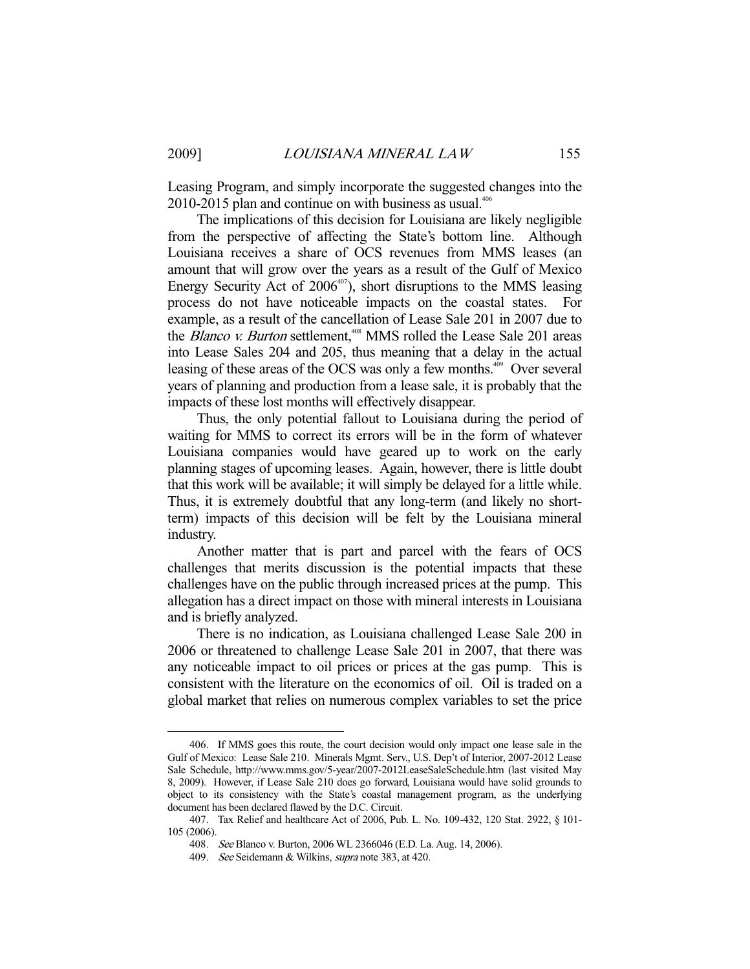Leasing Program, and simply incorporate the suggested changes into the  $2010-2015$  plan and continue on with business as usual.<sup>406</sup>

 The implications of this decision for Louisiana are likely negligible from the perspective of affecting the State's bottom line. Although Louisiana receives a share of OCS revenues from MMS leases (an amount that will grow over the years as a result of the Gulf of Mexico Energy Security Act of  $2006^{407}$ , short disruptions to the MMS leasing process do not have noticeable impacts on the coastal states. For example, as a result of the cancellation of Lease Sale 201 in 2007 due to the Blanco v. Burton settlement,<sup>408</sup> MMS rolled the Lease Sale 201 areas into Lease Sales 204 and 205, thus meaning that a delay in the actual leasing of these areas of the OCS was only a few months.<sup>409</sup> Over several years of planning and production from a lease sale, it is probably that the impacts of these lost months will effectively disappear.

 Thus, the only potential fallout to Louisiana during the period of waiting for MMS to correct its errors will be in the form of whatever Louisiana companies would have geared up to work on the early planning stages of upcoming leases. Again, however, there is little doubt that this work will be available; it will simply be delayed for a little while. Thus, it is extremely doubtful that any long-term (and likely no shortterm) impacts of this decision will be felt by the Louisiana mineral industry.

 Another matter that is part and parcel with the fears of OCS challenges that merits discussion is the potential impacts that these challenges have on the public through increased prices at the pump. This allegation has a direct impact on those with mineral interests in Louisiana and is briefly analyzed.

 There is no indication, as Louisiana challenged Lease Sale 200 in 2006 or threatened to challenge Lease Sale 201 in 2007, that there was any noticeable impact to oil prices or prices at the gas pump. This is consistent with the literature on the economics of oil. Oil is traded on a global market that relies on numerous complex variables to set the price

 <sup>406.</sup> If MMS goes this route, the court decision would only impact one lease sale in the Gulf of Mexico: Lease Sale 210. Minerals Mgmt. Serv., U.S. Dep't of Interior, 2007-2012 Lease Sale Schedule, http://www.mms.gov/5-year/2007-2012LeaseSaleSchedule.htm (last visited May 8, 2009). However, if Lease Sale 210 does go forward, Louisiana would have solid grounds to object to its consistency with the State's coastal management program, as the underlying document has been declared flawed by the D.C. Circuit.

 <sup>407.</sup> Tax Relief and healthcare Act of 2006, Pub. L. No. 109-432, 120 Stat. 2922, § 101- 105 (2006).

 <sup>408.</sup> See Blanco v. Burton, 2006 WL 2366046 (E.D. La. Aug. 14, 2006).

 <sup>409.</sup> See Seidemann & Wilkins, supra note 383, at 420.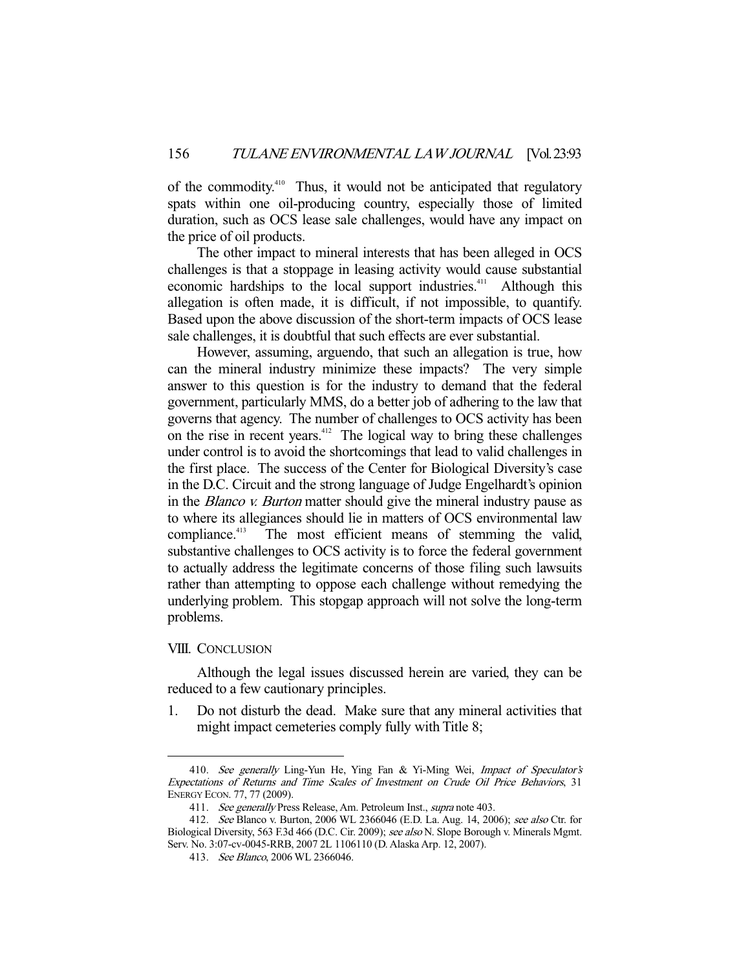of the commodity.410 Thus, it would not be anticipated that regulatory spats within one oil-producing country, especially those of limited duration, such as OCS lease sale challenges, would have any impact on the price of oil products.

 The other impact to mineral interests that has been alleged in OCS challenges is that a stoppage in leasing activity would cause substantial economic hardships to the local support industries.<sup>411</sup> Although this allegation is often made, it is difficult, if not impossible, to quantify. Based upon the above discussion of the short-term impacts of OCS lease sale challenges, it is doubtful that such effects are ever substantial.

 However, assuming, arguendo, that such an allegation is true, how can the mineral industry minimize these impacts? The very simple answer to this question is for the industry to demand that the federal government, particularly MMS, do a better job of adhering to the law that governs that agency. The number of challenges to OCS activity has been on the rise in recent years. $412$  The logical way to bring these challenges under control is to avoid the shortcomings that lead to valid challenges in the first place. The success of the Center for Biological Diversity's case in the D.C. Circuit and the strong language of Judge Engelhardt's opinion in the Blanco v. Burton matter should give the mineral industry pause as to where its allegiances should lie in matters of OCS environmental law compliance.<sup>413</sup> The most efficient means of stemming the valid, substantive challenges to OCS activity is to force the federal government to actually address the legitimate concerns of those filing such lawsuits rather than attempting to oppose each challenge without remedying the underlying problem. This stopgap approach will not solve the long-term problems.

#### VIII. CONCLUSION

-

 Although the legal issues discussed herein are varied, they can be reduced to a few cautionary principles.

1. Do not disturb the dead. Make sure that any mineral activities that might impact cemeteries comply fully with Title 8;

<sup>410.</sup> See generally Ling-Yun He, Ying Fan & Yi-Ming Wei, Impact of Speculator's Expectations of Returns and Time Scales of Investment on Crude Oil Price Behaviors, 31 ENERGY ECON. 77, 77 (2009).

<sup>411.</sup> See generally Press Release, Am. Petroleum Inst., supra note 403.

 <sup>412.</sup> See Blanco v. Burton, 2006 WL 2366046 (E.D. La. Aug. 14, 2006); see also Ctr. for Biological Diversity, 563 F.3d 466 (D.C. Cir. 2009); see also N. Slope Borough v. Minerals Mgmt. Serv. No. 3:07-cv-0045-RRB, 2007 2L 1106110 (D. Alaska Arp. 12, 2007).

 <sup>413.</sup> See Blanco, 2006 WL 2366046.